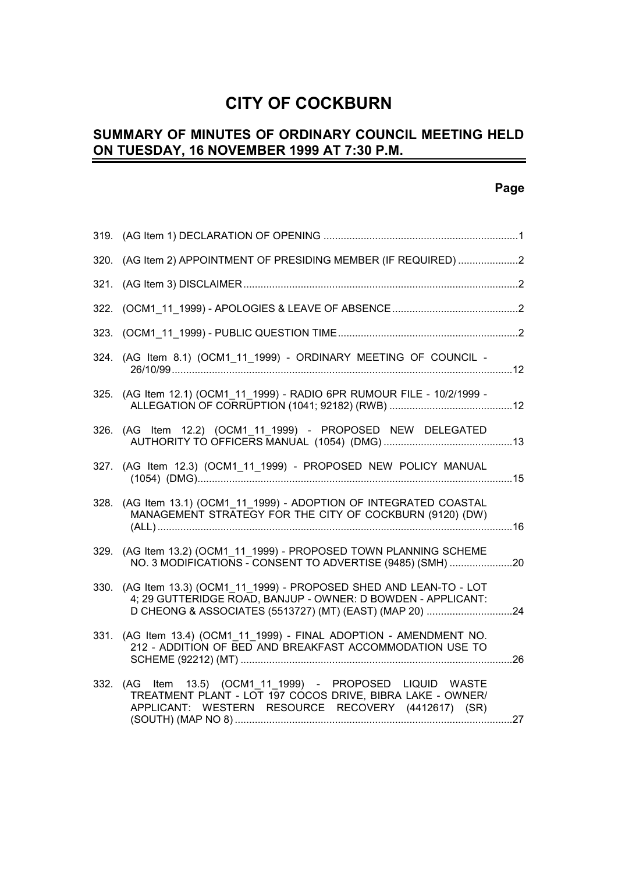# **CITY OF COCKBURN**

#### **SUMMARY OF MINUTES OF ORDINARY COUNCIL MEETING HELD ON TUESDAY, 16 NOVEMBER 1999 AT 7:30 P.M.** L,

### **Page**

|      | 320. (AG Item 2) APPOINTMENT OF PRESIDING MEMBER (IF REQUIRED) 2                                                                                                                |  |
|------|---------------------------------------------------------------------------------------------------------------------------------------------------------------------------------|--|
|      |                                                                                                                                                                                 |  |
|      |                                                                                                                                                                                 |  |
|      |                                                                                                                                                                                 |  |
| 324. | (AG Item 8.1) (OCM1_11_1999) - ORDINARY MEETING OF COUNCIL -                                                                                                                    |  |
|      | 325. (AG Item 12.1) (OCM1 11 1999) - RADIO 6PR RUMOUR FILE - 10/2/1999 -                                                                                                        |  |
|      | 326. (AG Item 12.2) (OCM1 11 1999) - PROPOSED NEW DELEGATED                                                                                                                     |  |
|      | 327. (AG Item 12.3) (OCM1_11_1999) - PROPOSED NEW POLICY MANUAL                                                                                                                 |  |
|      | 328. (AG Item 13.1) (OCM1 11 1999) - ADOPTION OF INTEGRATED COASTAL<br>MANAGEMENT STRATEGY FOR THE CITY OF COCKBURN (9120) (DW)                                                 |  |
| 329. | (AG Item 13.2) (OCM1_11_1999) - PROPOSED TOWN PLANNING SCHEME<br>NO. 3 MODIFICATIONS - CONSENT TO ADVERTISE (9485) (SMH) 20                                                     |  |
|      | 330. (AG Item 13.3) (OCM1 11 1999) - PROPOSED SHED AND LEAN-TO - LOT<br>4; 29 GUTTERIDGE ROAD, BANJUP - OWNER: D BOWDEN - APPLICANT:                                            |  |
|      | 331. (AG Item 13.4) (OCM1_11_1999) - FINAL ADOPTION - AMENDMENT NO.<br>212 - ADDITION OF BED AND BREAKFAST ACCOMMODATION USE TO                                                 |  |
|      | 332. (AG Item 13.5) (OCM1 11 1999) - PROPOSED LIQUID WASTE<br>TREATMENT PLANT - LOT 197 COCOS DRIVE, BIBRA LAKE - OWNER/<br>APPLICANT: WESTERN RESOURCE RECOVERY (4412617) (SR) |  |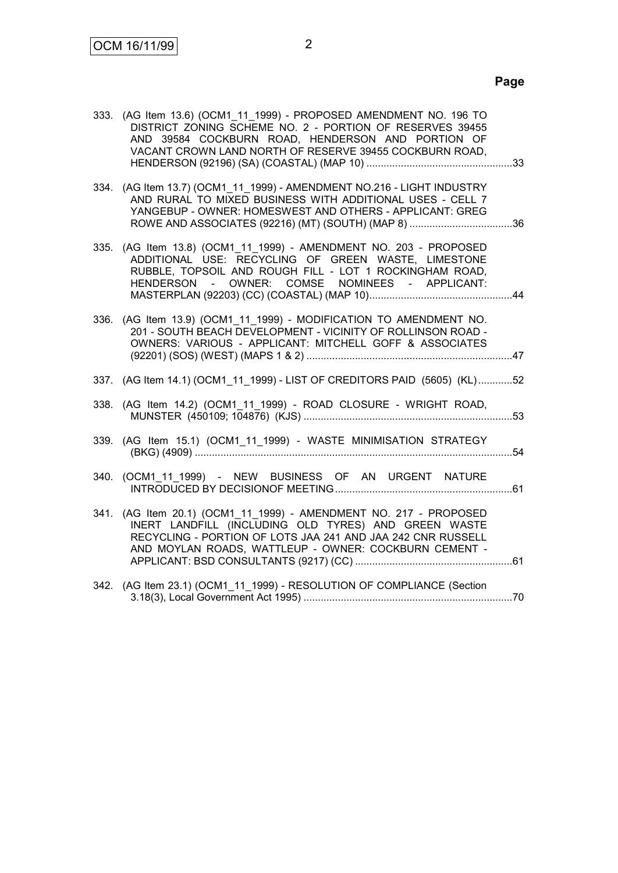|      | 333. (AG Item 13.6) (OCM1 11 1999) - PROPOSED AMENDMENT NO. 196 TO<br>DISTRICT ZONING SCHEME NO. 2 - PORTION OF RESERVES 39455<br>AND 39584 COCKBURN ROAD, HENDERSON AND PORTION OF<br>VACANT CROWN LAND NORTH OF RESERVE 39455 COCKBURN ROAD, |  |
|------|------------------------------------------------------------------------------------------------------------------------------------------------------------------------------------------------------------------------------------------------|--|
|      | 334. (AG Item 13.7) (OCM1 11 1999) - AMENDMENT NO.216 - LIGHT INDUSTRY<br>AND RURAL TO MIXED BUSINESS WITH ADDITIONAL USES - CELL 7<br>YANGEBUP - OWNER: HOMESWEST AND OTHERS - APPLICANT: GREG                                                |  |
|      | 335. (AG Item 13.8) (OCM1_11_1999) - AMENDMENT NO. 203 - PROPOSED<br>ADDITIONAL USE: RECYCLING OF GREEN WASTE, LIMESTONE<br>RUBBLE, TOPSOIL AND ROUGH FILL - LOT 1 ROCKINGHAM ROAD,<br>HENDERSON - OWNER: COMSE NOMINEES - APPLICANT:          |  |
| 336. | (AG Item 13.9) (OCM1 11 1999) - MODIFICATION TO AMENDMENT NO.<br>201 - SOUTH BEACH DEVELOPMENT - VICINITY OF ROLLINSON ROAD -<br>OWNERS: VARIOUS - APPLICANT: MITCHELL GOFF & ASSOCIATES                                                       |  |
|      | 337. (AG Item 14.1) (OCM1_11_1999) - LIST OF CREDITORS PAID (5605) (KL)52                                                                                                                                                                      |  |
|      | 338. (AG Item 14.2) (OCM1_11_1999) - ROAD CLOSURE - WRIGHT ROAD,                                                                                                                                                                               |  |
|      | 339. (AG Item 15.1) (OCM1_11_1999) - WASTE MINIMISATION STRATEGY                                                                                                                                                                               |  |
|      | 340. (OCM1 11 1999) - NEW BUSINESS OF AN URGENT NATURE                                                                                                                                                                                         |  |
|      | 341. (AG Item 20.1) (OCM1 11 1999) - AMENDMENT NO. 217 - PROPOSED<br>INERT LANDFILL (INCLUDING OLD TYRES) AND GREEN WASTE<br>RECYCLING - PORTION OF LOTS JAA 241 AND JAA 242 CNR RUSSELL                                                       |  |
|      | AND MOYLAN ROADS, WATTLEUP - OWNER: COCKBURN CEMENT -                                                                                                                                                                                          |  |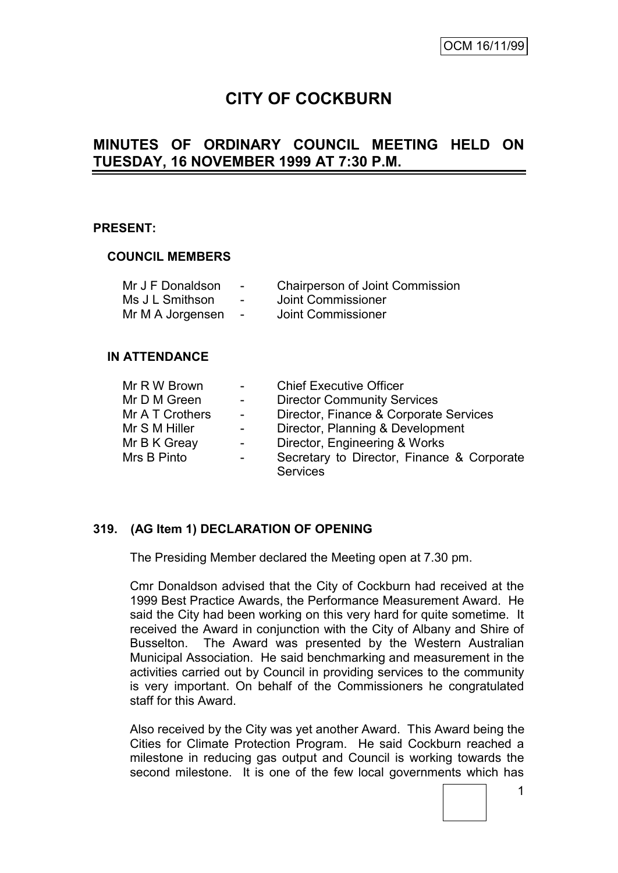# **CITY OF COCKBURN**

# **MINUTES OF ORDINARY COUNCIL MEETING HELD ON TUESDAY, 16 NOVEMBER 1999 AT 7:30 P.M.**

#### **PRESENT:**

#### **COUNCIL MEMBERS**

| Mr J F Donaldson | $\sim$ | <b>Chairperson of Joint Commission</b> |
|------------------|--------|----------------------------------------|
| Ms J L Smithson  | $\sim$ | Joint Commissioner                     |
| Mr M A Jorgensen | $\sim$ | Joint Commissioner                     |

#### **IN ATTENDANCE**

| Mr R W Brown    | $\blacksquare$ | <b>Chief Executive Officer</b>             |
|-----------------|----------------|--------------------------------------------|
| Mr D M Green    | $\sim$ $-$     | <b>Director Community Services</b>         |
| Mr A T Crothers | $\sim$         | Director, Finance & Corporate Services     |
| Mr S M Hiller   | $\sim$         | Director, Planning & Development           |
| Mr B K Greay    | $\blacksquare$ | Director, Engineering & Works              |
| Mrs B Pinto     | $\blacksquare$ | Secretary to Director, Finance & Corporate |
|                 |                | <b>Services</b>                            |

### **319. (AG Item 1) DECLARATION OF OPENING**

The Presiding Member declared the Meeting open at 7.30 pm.

Cmr Donaldson advised that the City of Cockburn had received at the 1999 Best Practice Awards, the Performance Measurement Award. He said the City had been working on this very hard for quite sometime. It received the Award in conjunction with the City of Albany and Shire of Busselton. The Award was presented by the Western Australian Municipal Association. He said benchmarking and measurement in the activities carried out by Council in providing services to the community is very important. On behalf of the Commissioners he congratulated staff for this Award.

Also received by the City was yet another Award. This Award being the Cities for Climate Protection Program. He said Cockburn reached a milestone in reducing gas output and Council is working towards the second milestone. It is one of the few local governments which has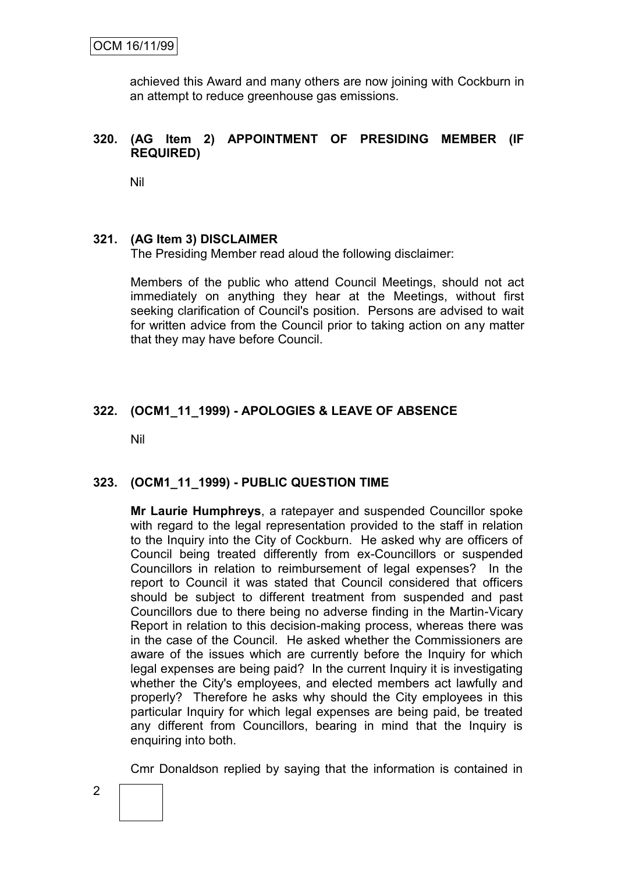achieved this Award and many others are now joining with Cockburn in an attempt to reduce greenhouse gas emissions.

### **320. (AG Item 2) APPOINTMENT OF PRESIDING MEMBER (IF REQUIRED)**

Nil

#### **321. (AG Item 3) DISCLAIMER**

The Presiding Member read aloud the following disclaimer:

Members of the public who attend Council Meetings, should not act immediately on anything they hear at the Meetings, without first seeking clarification of Council's position. Persons are advised to wait for written advice from the Council prior to taking action on any matter that they may have before Council.

### **322. (OCM1\_11\_1999) - APOLOGIES & LEAVE OF ABSENCE**

Nil

#### **323. (OCM1\_11\_1999) - PUBLIC QUESTION TIME**

**Mr Laurie Humphreys**, a ratepayer and suspended Councillor spoke with regard to the legal representation provided to the staff in relation to the Inquiry into the City of Cockburn. He asked why are officers of Council being treated differently from ex-Councillors or suspended Councillors in relation to reimbursement of legal expenses? In the report to Council it was stated that Council considered that officers should be subject to different treatment from suspended and past Councillors due to there being no adverse finding in the Martin-Vicary Report in relation to this decision-making process, whereas there was in the case of the Council. He asked whether the Commissioners are aware of the issues which are currently before the Inquiry for which legal expenses are being paid? In the current Inquiry it is investigating whether the City's employees, and elected members act lawfully and properly? Therefore he asks why should the City employees in this particular Inquiry for which legal expenses are being paid, be treated any different from Councillors, bearing in mind that the Inquiry is enquiring into both.

Cmr Donaldson replied by saying that the information is contained in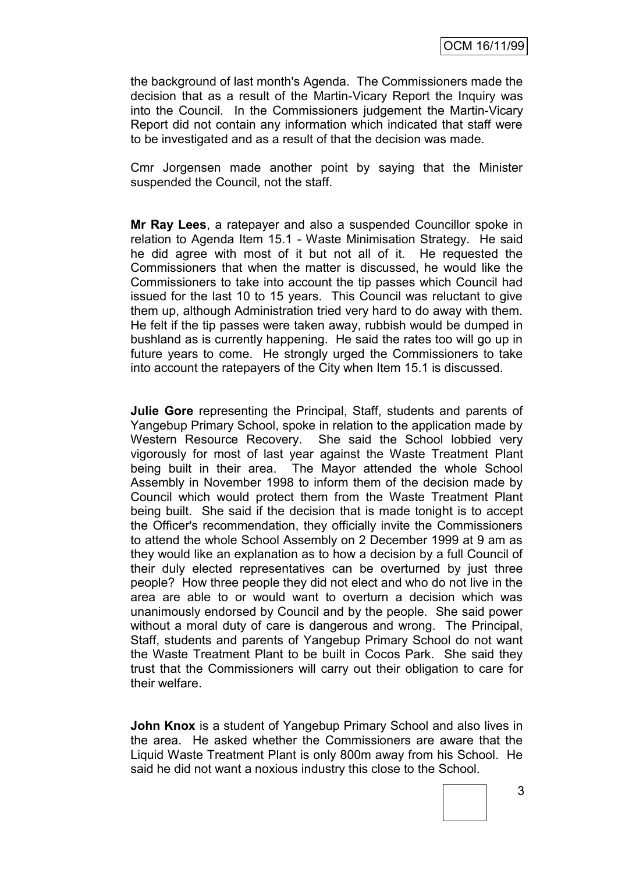OCM 16/11/99

the background of last month's Agenda. The Commissioners made the decision that as a result of the Martin-Vicary Report the Inquiry was into the Council. In the Commissioners judgement the Martin-Vicary Report did not contain any information which indicated that staff were to be investigated and as a result of that the decision was made.

Cmr Jorgensen made another point by saying that the Minister suspended the Council, not the staff.

**Mr Ray Lees**, a ratepayer and also a suspended Councillor spoke in relation to Agenda Item 15.1 - Waste Minimisation Strategy. He said he did agree with most of it but not all of it. He requested the Commissioners that when the matter is discussed, he would like the Commissioners to take into account the tip passes which Council had issued for the last 10 to 15 years. This Council was reluctant to give them up, although Administration tried very hard to do away with them. He felt if the tip passes were taken away, rubbish would be dumped in bushland as is currently happening. He said the rates too will go up in future years to come. He strongly urged the Commissioners to take into account the ratepayers of the City when Item 15.1 is discussed.

**Julie Gore** representing the Principal, Staff, students and parents of Yangebup Primary School, spoke in relation to the application made by Western Resource Recovery. She said the School lobbied very vigorously for most of last year against the Waste Treatment Plant being built in their area. The Mayor attended the whole School Assembly in November 1998 to inform them of the decision made by Council which would protect them from the Waste Treatment Plant being built. She said if the decision that is made tonight is to accept the Officer's recommendation, they officially invite the Commissioners to attend the whole School Assembly on 2 December 1999 at 9 am as they would like an explanation as to how a decision by a full Council of their duly elected representatives can be overturned by just three people? How three people they did not elect and who do not live in the area are able to or would want to overturn a decision which was unanimously endorsed by Council and by the people. She said power without a moral duty of care is dangerous and wrong. The Principal, Staff, students and parents of Yangebup Primary School do not want the Waste Treatment Plant to be built in Cocos Park. She said they trust that the Commissioners will carry out their obligation to care for their welfare.

**John Knox** is a student of Yangebup Primary School and also lives in the area. He asked whether the Commissioners are aware that the Liquid Waste Treatment Plant is only 800m away from his School. He said he did not want a noxious industry this close to the School.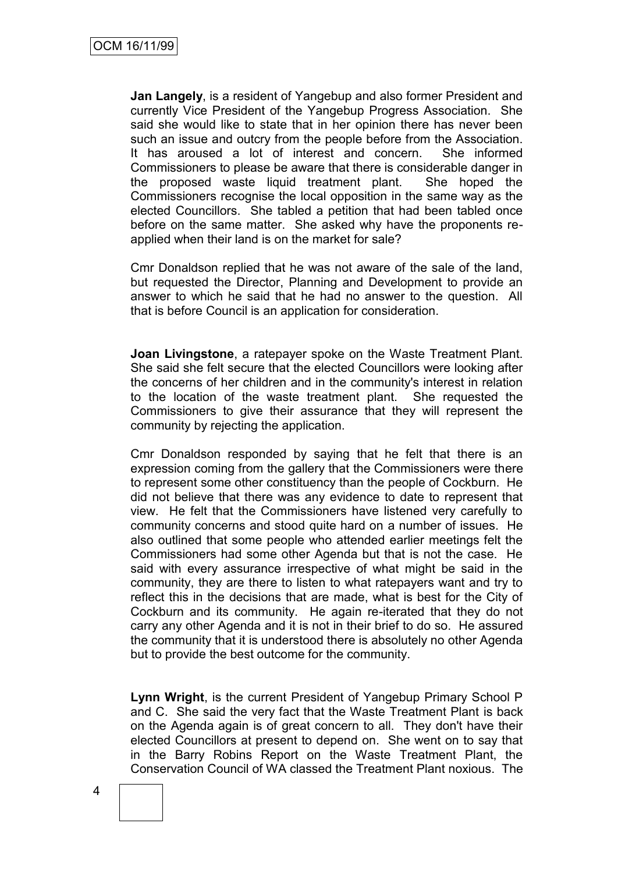**Jan Langely**, is a resident of Yangebup and also former President and currently Vice President of the Yangebup Progress Association. She said she would like to state that in her opinion there has never been such an issue and outcry from the people before from the Association. It has aroused a lot of interest and concern. She informed Commissioners to please be aware that there is considerable danger in the proposed waste liquid treatment plant. She hoped the Commissioners recognise the local opposition in the same way as the elected Councillors. She tabled a petition that had been tabled once before on the same matter. She asked why have the proponents reapplied when their land is on the market for sale?

Cmr Donaldson replied that he was not aware of the sale of the land, but requested the Director, Planning and Development to provide an answer to which he said that he had no answer to the question. All that is before Council is an application for consideration.

**Joan Livingstone**, a ratepayer spoke on the Waste Treatment Plant. She said she felt secure that the elected Councillors were looking after the concerns of her children and in the community's interest in relation to the location of the waste treatment plant. She requested the Commissioners to give their assurance that they will represent the community by rejecting the application.

Cmr Donaldson responded by saying that he felt that there is an expression coming from the gallery that the Commissioners were there to represent some other constituency than the people of Cockburn. He did not believe that there was any evidence to date to represent that view. He felt that the Commissioners have listened very carefully to community concerns and stood quite hard on a number of issues. He also outlined that some people who attended earlier meetings felt the Commissioners had some other Agenda but that is not the case. He said with every assurance irrespective of what might be said in the community, they are there to listen to what ratepayers want and try to reflect this in the decisions that are made, what is best for the City of Cockburn and its community. He again re-iterated that they do not carry any other Agenda and it is not in their brief to do so. He assured the community that it is understood there is absolutely no other Agenda but to provide the best outcome for the community.

**Lynn Wright**, is the current President of Yangebup Primary School P and C. She said the very fact that the Waste Treatment Plant is back on the Agenda again is of great concern to all. They don't have their elected Councillors at present to depend on. She went on to say that in the Barry Robins Report on the Waste Treatment Plant, the Conservation Council of WA classed the Treatment Plant noxious. The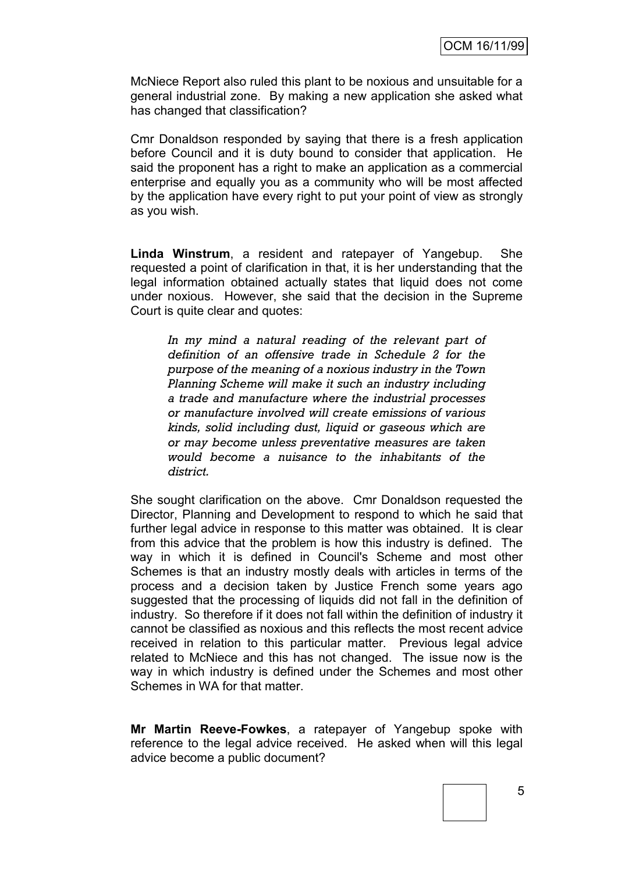McNiece Report also ruled this plant to be noxious and unsuitable for a general industrial zone. By making a new application she asked what has changed that classification?

Cmr Donaldson responded by saying that there is a fresh application before Council and it is duty bound to consider that application. He said the proponent has a right to make an application as a commercial enterprise and equally you as a community who will be most affected by the application have every right to put your point of view as strongly as you wish.

**Linda Winstrum**, a resident and ratepayer of Yangebup. She requested a point of clarification in that, it is her understanding that the legal information obtained actually states that liquid does not come under noxious. However, she said that the decision in the Supreme Court is quite clear and quotes:

*In my mind a natural reading of the relevant part of definition of an offensive trade in Schedule 2 for the purpose of the meaning of a noxious industry in the Town Planning Scheme will make it such an industry including a trade and manufacture where the industrial processes or manufacture involved will create emissions of various kinds, solid including dust, liquid or gaseous which are or may become unless preventative measures are taken would become a nuisance to the inhabitants of the district.*

She sought clarification on the above. Cmr Donaldson requested the Director, Planning and Development to respond to which he said that further legal advice in response to this matter was obtained. It is clear from this advice that the problem is how this industry is defined. The way in which it is defined in Council's Scheme and most other Schemes is that an industry mostly deals with articles in terms of the process and a decision taken by Justice French some years ago suggested that the processing of liquids did not fall in the definition of industry. So therefore if it does not fall within the definition of industry it cannot be classified as noxious and this reflects the most recent advice received in relation to this particular matter. Previous legal advice related to McNiece and this has not changed. The issue now is the way in which industry is defined under the Schemes and most other Schemes in WA for that matter.

**Mr Martin Reeve-Fowkes**, a ratepayer of Yangebup spoke with reference to the legal advice received. He asked when will this legal advice become a public document?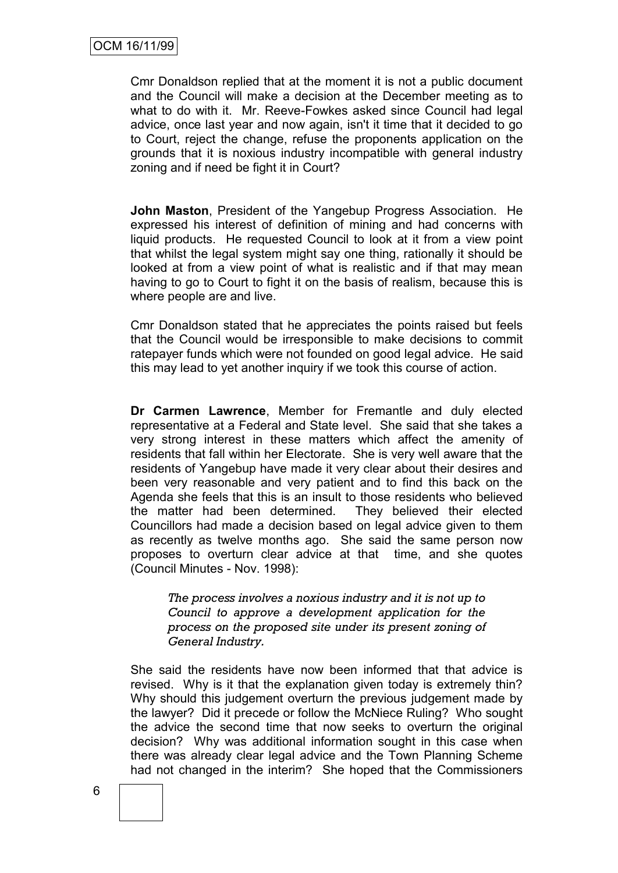Cmr Donaldson replied that at the moment it is not a public document and the Council will make a decision at the December meeting as to what to do with it. Mr. Reeve-Fowkes asked since Council had legal advice, once last year and now again, isn't it time that it decided to go to Court, reject the change, refuse the proponents application on the grounds that it is noxious industry incompatible with general industry zoning and if need be fight it in Court?

**John Maston**, President of the Yangebup Progress Association. He expressed his interest of definition of mining and had concerns with liquid products. He requested Council to look at it from a view point that whilst the legal system might say one thing, rationally it should be looked at from a view point of what is realistic and if that may mean having to go to Court to fight it on the basis of realism, because this is where people are and live.

Cmr Donaldson stated that he appreciates the points raised but feels that the Council would be irresponsible to make decisions to commit ratepayer funds which were not founded on good legal advice. He said this may lead to yet another inquiry if we took this course of action.

**Dr Carmen Lawrence**, Member for Fremantle and duly elected representative at a Federal and State level. She said that she takes a very strong interest in these matters which affect the amenity of residents that fall within her Electorate. She is very well aware that the residents of Yangebup have made it very clear about their desires and been very reasonable and very patient and to find this back on the Agenda she feels that this is an insult to those residents who believed the matter had been determined. They believed their elected Councillors had made a decision based on legal advice given to them as recently as twelve months ago. She said the same person now proposes to overturn clear advice at that time, and she quotes (Council Minutes - Nov. 1998):

*The process involves a noxious industry and it is not up to Council to approve a development application for the process on the proposed site under its present zoning of General Industry.*

She said the residents have now been informed that that advice is revised. Why is it that the explanation given today is extremely thin? Why should this judgement overturn the previous judgement made by the lawyer? Did it precede or follow the McNiece Ruling? Who sought the advice the second time that now seeks to overturn the original decision? Why was additional information sought in this case when there was already clear legal advice and the Town Planning Scheme had not changed in the interim? She hoped that the Commissioners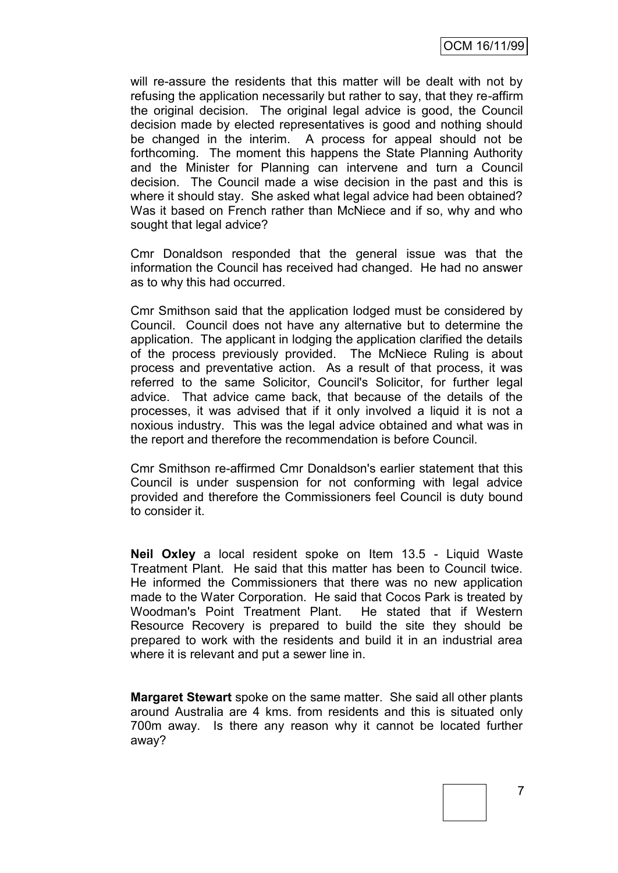will re-assure the residents that this matter will be dealt with not by refusing the application necessarily but rather to say, that they re-affirm the original decision. The original legal advice is good, the Council decision made by elected representatives is good and nothing should be changed in the interim. A process for appeal should not be forthcoming. The moment this happens the State Planning Authority and the Minister for Planning can intervene and turn a Council decision. The Council made a wise decision in the past and this is where it should stay. She asked what legal advice had been obtained? Was it based on French rather than McNiece and if so, why and who sought that legal advice?

Cmr Donaldson responded that the general issue was that the information the Council has received had changed. He had no answer as to why this had occurred.

Cmr Smithson said that the application lodged must be considered by Council. Council does not have any alternative but to determine the application. The applicant in lodging the application clarified the details of the process previously provided. The McNiece Ruling is about process and preventative action. As a result of that process, it was referred to the same Solicitor, Council's Solicitor, for further legal advice. That advice came back, that because of the details of the processes, it was advised that if it only involved a liquid it is not a noxious industry. This was the legal advice obtained and what was in the report and therefore the recommendation is before Council.

Cmr Smithson re-affirmed Cmr Donaldson's earlier statement that this Council is under suspension for not conforming with legal advice provided and therefore the Commissioners feel Council is duty bound to consider it.

**Neil Oxley** a local resident spoke on Item 13.5 - Liquid Waste Treatment Plant. He said that this matter has been to Council twice. He informed the Commissioners that there was no new application made to the Water Corporation. He said that Cocos Park is treated by Woodman's Point Treatment Plant. He stated that if Western Resource Recovery is prepared to build the site they should be prepared to work with the residents and build it in an industrial area where it is relevant and put a sewer line in.

**Margaret Stewart** spoke on the same matter. She said all other plants around Australia are 4 kms. from residents and this is situated only 700m away. Is there any reason why it cannot be located further away?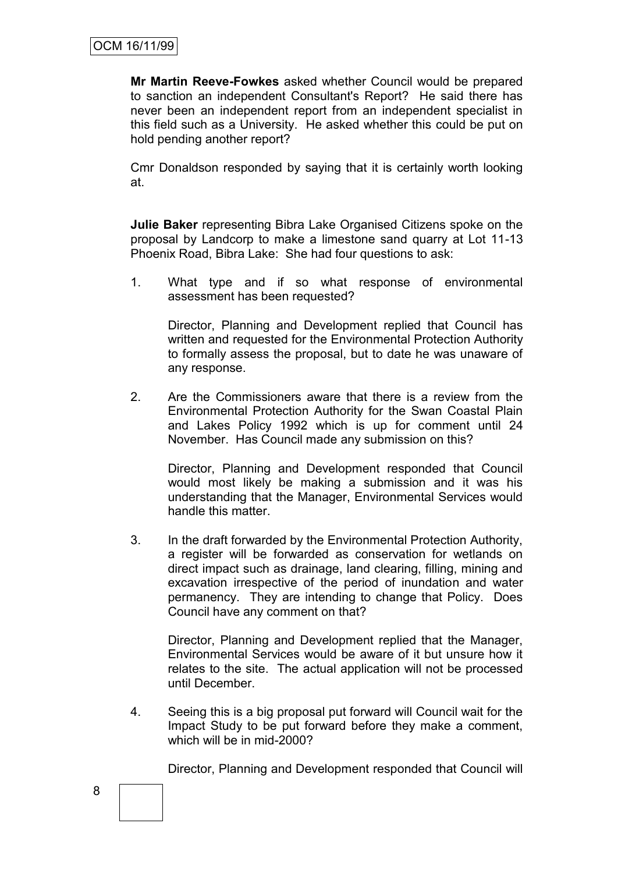**Mr Martin Reeve-Fowkes** asked whether Council would be prepared to sanction an independent Consultant's Report? He said there has never been an independent report from an independent specialist in this field such as a University. He asked whether this could be put on hold pending another report?

Cmr Donaldson responded by saying that it is certainly worth looking at.

**Julie Baker** representing Bibra Lake Organised Citizens spoke on the proposal by Landcorp to make a limestone sand quarry at Lot 11-13 Phoenix Road, Bibra Lake: She had four questions to ask:

1. What type and if so what response of environmental assessment has been requested?

Director, Planning and Development replied that Council has written and requested for the Environmental Protection Authority to formally assess the proposal, but to date he was unaware of any response.

2. Are the Commissioners aware that there is a review from the Environmental Protection Authority for the Swan Coastal Plain and Lakes Policy 1992 which is up for comment until 24 November. Has Council made any submission on this?

Director, Planning and Development responded that Council would most likely be making a submission and it was his understanding that the Manager, Environmental Services would handle this matter.

3. In the draft forwarded by the Environmental Protection Authority, a register will be forwarded as conservation for wetlands on direct impact such as drainage, land clearing, filling, mining and excavation irrespective of the period of inundation and water permanency. They are intending to change that Policy. Does Council have any comment on that?

Director, Planning and Development replied that the Manager, Environmental Services would be aware of it but unsure how it relates to the site. The actual application will not be processed until December.

4. Seeing this is a big proposal put forward will Council wait for the Impact Study to be put forward before they make a comment, which will be in mid-2000?

Director, Planning and Development responded that Council will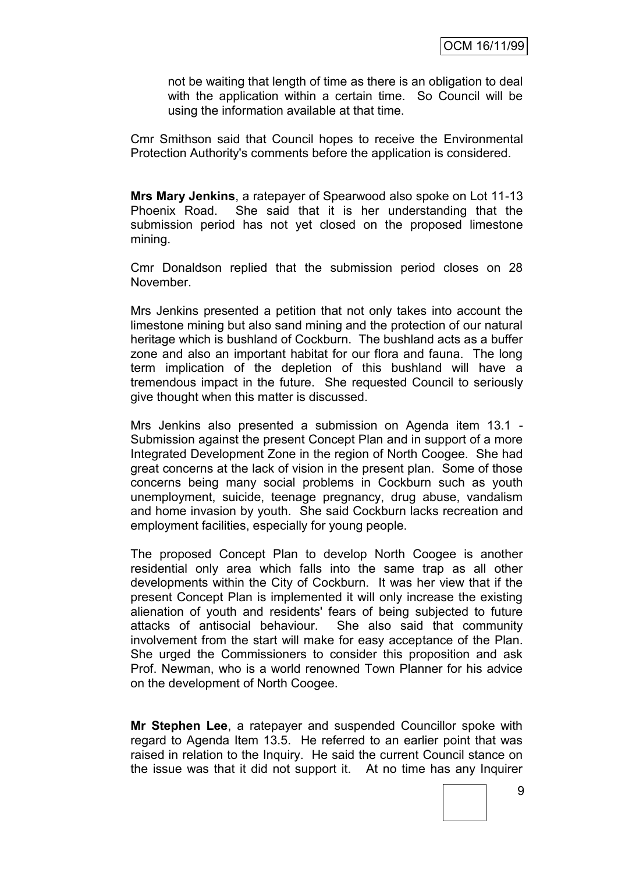not be waiting that length of time as there is an obligation to deal with the application within a certain time. So Council will be using the information available at that time.

Cmr Smithson said that Council hopes to receive the Environmental Protection Authority's comments before the application is considered.

**Mrs Mary Jenkins**, a ratepayer of Spearwood also spoke on Lot 11-13 Phoenix Road. She said that it is her understanding that the submission period has not yet closed on the proposed limestone mining.

Cmr Donaldson replied that the submission period closes on 28 November.

Mrs Jenkins presented a petition that not only takes into account the limestone mining but also sand mining and the protection of our natural heritage which is bushland of Cockburn. The bushland acts as a buffer zone and also an important habitat for our flora and fauna. The long term implication of the depletion of this bushland will have a tremendous impact in the future. She requested Council to seriously give thought when this matter is discussed.

Mrs Jenkins also presented a submission on Agenda item 13.1 - Submission against the present Concept Plan and in support of a more Integrated Development Zone in the region of North Coogee. She had great concerns at the lack of vision in the present plan. Some of those concerns being many social problems in Cockburn such as youth unemployment, suicide, teenage pregnancy, drug abuse, vandalism and home invasion by youth. She said Cockburn lacks recreation and employment facilities, especially for young people.

The proposed Concept Plan to develop North Coogee is another residential only area which falls into the same trap as all other developments within the City of Cockburn. It was her view that if the present Concept Plan is implemented it will only increase the existing alienation of youth and residents' fears of being subjected to future attacks of antisocial behaviour. She also said that community involvement from the start will make for easy acceptance of the Plan. She urged the Commissioners to consider this proposition and ask Prof. Newman, who is a world renowned Town Planner for his advice on the development of North Coogee.

**Mr Stephen Lee**, a ratepayer and suspended Councillor spoke with regard to Agenda Item 13.5. He referred to an earlier point that was raised in relation to the Inquiry. He said the current Council stance on the issue was that it did not support it. At no time has any Inquirer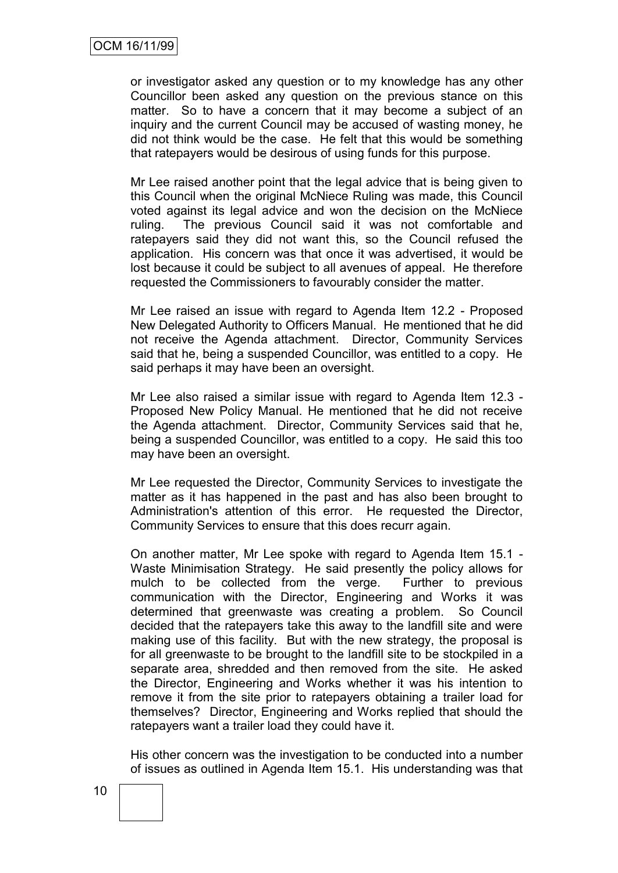or investigator asked any question or to my knowledge has any other Councillor been asked any question on the previous stance on this matter. So to have a concern that it may become a subject of an inquiry and the current Council may be accused of wasting money, he did not think would be the case. He felt that this would be something that ratepayers would be desirous of using funds for this purpose.

Mr Lee raised another point that the legal advice that is being given to this Council when the original McNiece Ruling was made, this Council voted against its legal advice and won the decision on the McNiece ruling. The previous Council said it was not comfortable and ratepayers said they did not want this, so the Council refused the application. His concern was that once it was advertised, it would be lost because it could be subject to all avenues of appeal. He therefore requested the Commissioners to favourably consider the matter.

Mr Lee raised an issue with regard to Agenda Item 12.2 - Proposed New Delegated Authority to Officers Manual. He mentioned that he did not receive the Agenda attachment. Director, Community Services said that he, being a suspended Councillor, was entitled to a copy. He said perhaps it may have been an oversight.

Mr Lee also raised a similar issue with regard to Agenda Item 12.3 - Proposed New Policy Manual. He mentioned that he did not receive the Agenda attachment. Director, Community Services said that he, being a suspended Councillor, was entitled to a copy. He said this too may have been an oversight.

Mr Lee requested the Director, Community Services to investigate the matter as it has happened in the past and has also been brought to Administration's attention of this error. He requested the Director, Community Services to ensure that this does recurr again.

On another matter, Mr Lee spoke with regard to Agenda Item 15.1 - Waste Minimisation Strategy. He said presently the policy allows for mulch to be collected from the verge. Further to previous communication with the Director, Engineering and Works it was determined that greenwaste was creating a problem. So Council decided that the ratepayers take this away to the landfill site and were making use of this facility. But with the new strategy, the proposal is for all greenwaste to be brought to the landfill site to be stockpiled in a separate area, shredded and then removed from the site. He asked the Director, Engineering and Works whether it was his intention to remove it from the site prior to ratepayers obtaining a trailer load for themselves? Director, Engineering and Works replied that should the ratepayers want a trailer load they could have it.

His other concern was the investigation to be conducted into a number of issues as outlined in Agenda Item 15.1. His understanding was that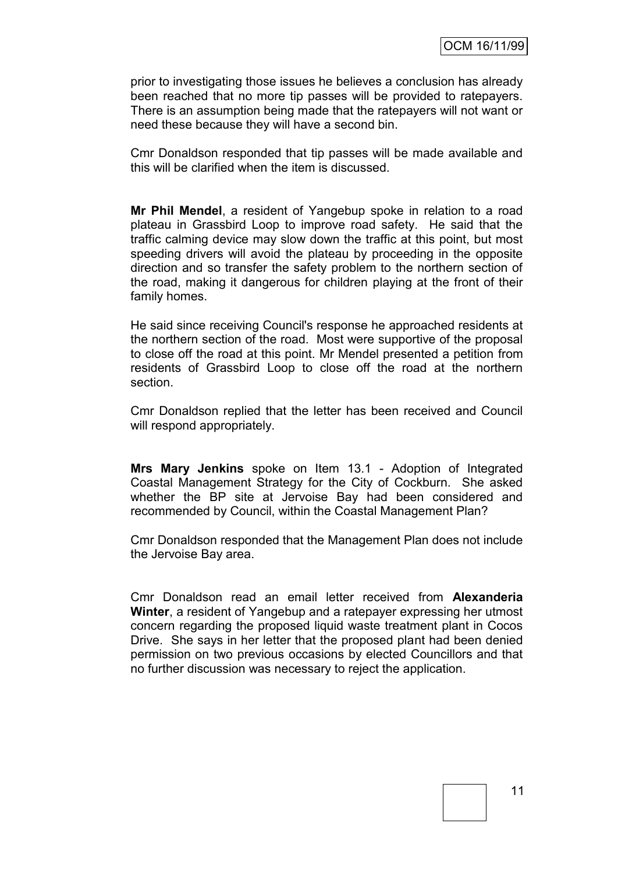prior to investigating those issues he believes a conclusion has already been reached that no more tip passes will be provided to ratepayers. There is an assumption being made that the ratepayers will not want or need these because they will have a second bin.

Cmr Donaldson responded that tip passes will be made available and this will be clarified when the item is discussed.

**Mr Phil Mendel**, a resident of Yangebup spoke in relation to a road plateau in Grassbird Loop to improve road safety. He said that the traffic calming device may slow down the traffic at this point, but most speeding drivers will avoid the plateau by proceeding in the opposite direction and so transfer the safety problem to the northern section of the road, making it dangerous for children playing at the front of their family homes.

He said since receiving Council's response he approached residents at the northern section of the road. Most were supportive of the proposal to close off the road at this point. Mr Mendel presented a petition from residents of Grassbird Loop to close off the road at the northern section.

Cmr Donaldson replied that the letter has been received and Council will respond appropriately.

**Mrs Mary Jenkins** spoke on Item 13.1 - Adoption of Integrated Coastal Management Strategy for the City of Cockburn. She asked whether the BP site at Jervoise Bay had been considered and recommended by Council, within the Coastal Management Plan?

Cmr Donaldson responded that the Management Plan does not include the Jervoise Bay area.

Cmr Donaldson read an email letter received from **Alexanderia Winter**, a resident of Yangebup and a ratepayer expressing her utmost concern regarding the proposed liquid waste treatment plant in Cocos Drive. She says in her letter that the proposed plant had been denied permission on two previous occasions by elected Councillors and that no further discussion was necessary to reject the application.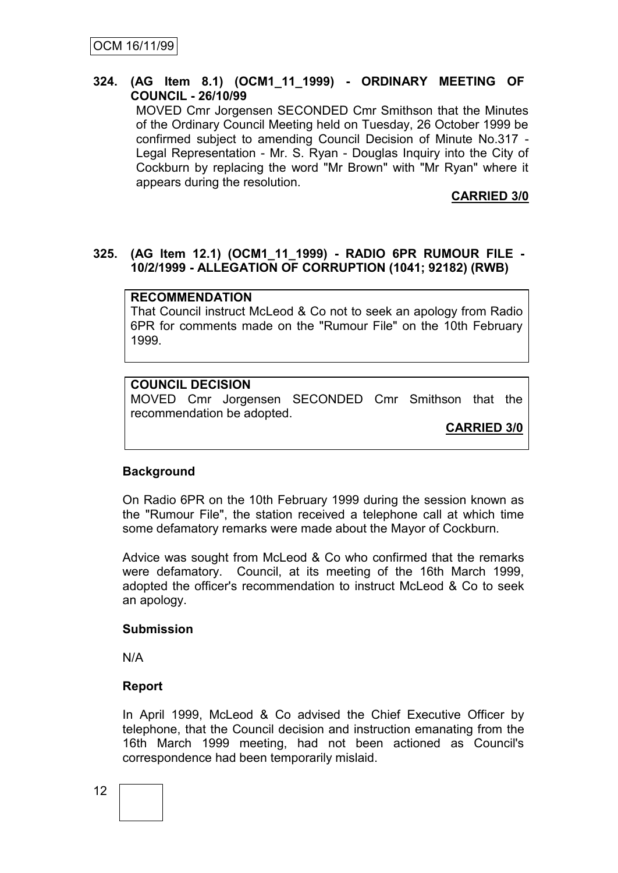#### **324. (AG Item 8.1) (OCM1\_11\_1999) - ORDINARY MEETING OF COUNCIL - 26/10/99**

MOVED Cmr Jorgensen SECONDED Cmr Smithson that the Minutes of the Ordinary Council Meeting held on Tuesday, 26 October 1999 be confirmed subject to amending Council Decision of Minute No.317 - Legal Representation - Mr. S. Ryan - Douglas Inquiry into the City of Cockburn by replacing the word "Mr Brown" with "Mr Ryan" where it appears during the resolution.

**CARRIED 3/0**

#### **325. (AG Item 12.1) (OCM1\_11\_1999) - RADIO 6PR RUMOUR FILE - 10/2/1999 - ALLEGATION OF CORRUPTION (1041; 92182) (RWB)**

#### **RECOMMENDATION**

That Council instruct McLeod & Co not to seek an apology from Radio 6PR for comments made on the "Rumour File" on the 10th February 1999.

#### **COUNCIL DECISION**

MOVED Cmr Jorgensen SECONDED Cmr Smithson that the recommendation be adopted.

**CARRIED 3/0**

#### **Background**

On Radio 6PR on the 10th February 1999 during the session known as the "Rumour File", the station received a telephone call at which time some defamatory remarks were made about the Mayor of Cockburn.

Advice was sought from McLeod & Co who confirmed that the remarks were defamatory. Council, at its meeting of the 16th March 1999, adopted the officer's recommendation to instruct McLeod & Co to seek an apology.

#### **Submission**

N/A

#### **Report**

In April 1999, McLeod & Co advised the Chief Executive Officer by telephone, that the Council decision and instruction emanating from the 16th March 1999 meeting, had not been actioned as Council's correspondence had been temporarily mislaid.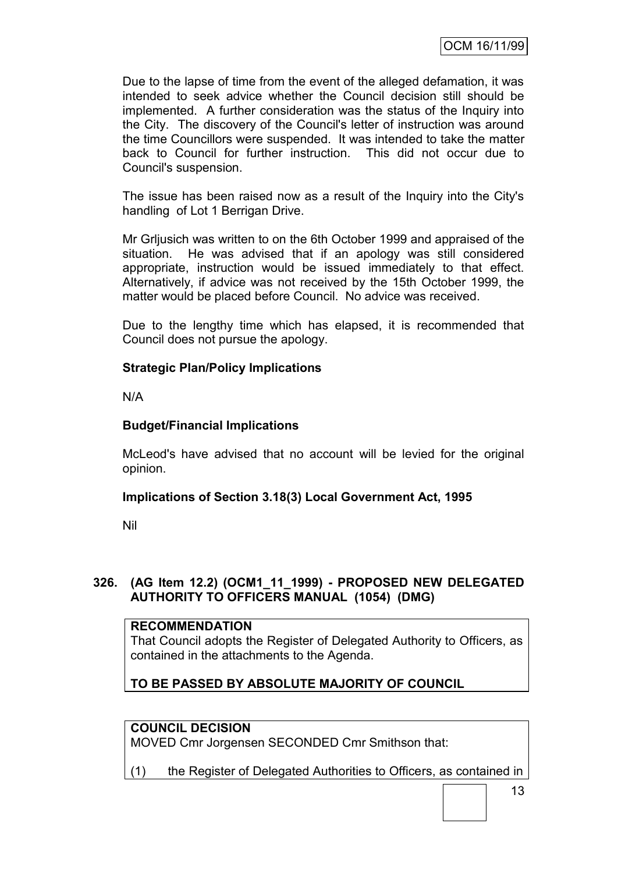Due to the lapse of time from the event of the alleged defamation, it was intended to seek advice whether the Council decision still should be implemented. A further consideration was the status of the Inquiry into the City. The discovery of the Council's letter of instruction was around the time Councillors were suspended. It was intended to take the matter back to Council for further instruction. This did not occur due to Council's suspension.

The issue has been raised now as a result of the Inquiry into the City's handling of Lot 1 Berrigan Drive.

Mr Grljusich was written to on the 6th October 1999 and appraised of the situation. He was advised that if an apology was still considered appropriate, instruction would be issued immediately to that effect. Alternatively, if advice was not received by the 15th October 1999, the matter would be placed before Council. No advice was received.

Due to the lengthy time which has elapsed, it is recommended that Council does not pursue the apology.

### **Strategic Plan/Policy Implications**

N/A

### **Budget/Financial Implications**

McLeod's have advised that no account will be levied for the original opinion.

### **Implications of Section 3.18(3) Local Government Act, 1995**

Nil

### **326. (AG Item 12.2) (OCM1\_11\_1999) - PROPOSED NEW DELEGATED AUTHORITY TO OFFICERS MANUAL (1054) (DMG)**

#### **RECOMMENDATION**

That Council adopts the Register of Delegated Authority to Officers, as contained in the attachments to the Agenda.

# **TO BE PASSED BY ABSOLUTE MAJORITY OF COUNCIL**

#### **COUNCIL DECISION**

MOVED Cmr Jorgensen SECONDED Cmr Smithson that:

(1) the Register of Delegated Authorities to Officers, as contained in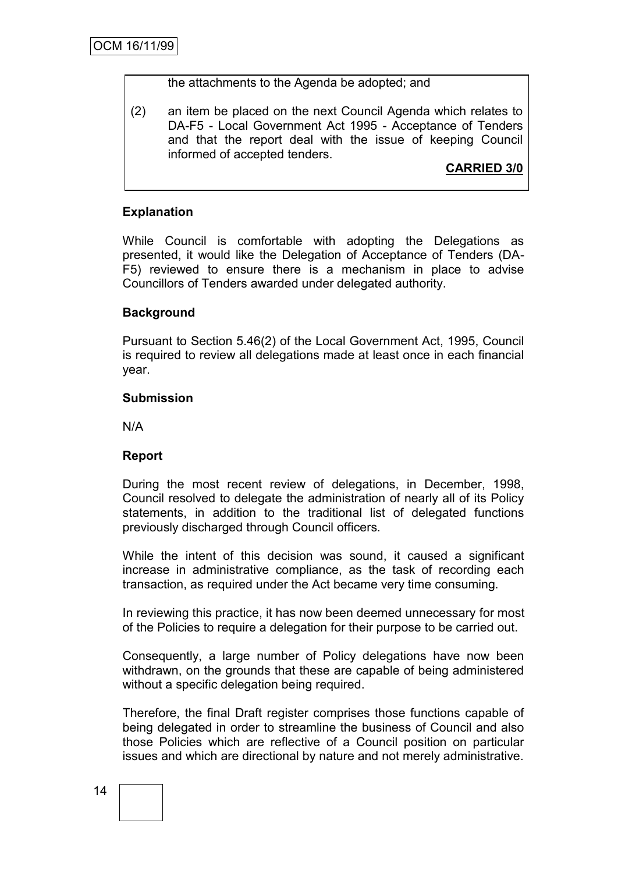the attachments to the Agenda be adopted; and

(2) an item be placed on the next Council Agenda which relates to DA-F5 - Local Government Act 1995 - Acceptance of Tenders and that the report deal with the issue of keeping Council informed of accepted tenders.

## **CARRIED 3/0**

### **Explanation**

While Council is comfortable with adopting the Delegations as presented, it would like the Delegation of Acceptance of Tenders (DA-F5) reviewed to ensure there is a mechanism in place to advise Councillors of Tenders awarded under delegated authority.

### **Background**

Pursuant to Section 5.46(2) of the Local Government Act, 1995, Council is required to review all delegations made at least once in each financial year.

#### **Submission**

N/A

#### **Report**

During the most recent review of delegations, in December, 1998, Council resolved to delegate the administration of nearly all of its Policy statements, in addition to the traditional list of delegated functions previously discharged through Council officers.

While the intent of this decision was sound, it caused a significant increase in administrative compliance, as the task of recording each transaction, as required under the Act became very time consuming.

In reviewing this practice, it has now been deemed unnecessary for most of the Policies to require a delegation for their purpose to be carried out.

Consequently, a large number of Policy delegations have now been withdrawn, on the grounds that these are capable of being administered without a specific delegation being required.

Therefore, the final Draft register comprises those functions capable of being delegated in order to streamline the business of Council and also those Policies which are reflective of a Council position on particular issues and which are directional by nature and not merely administrative.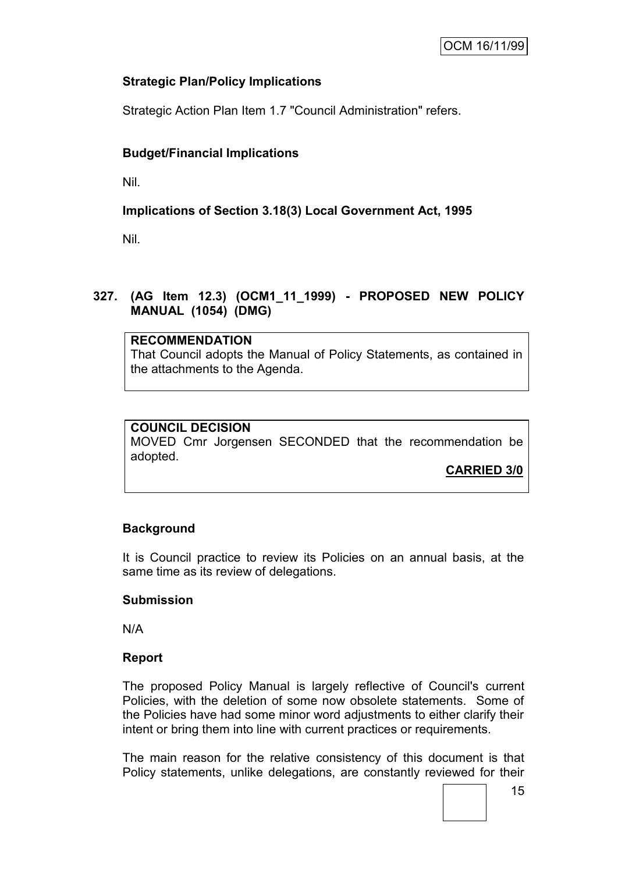### **Strategic Plan/Policy Implications**

Strategic Action Plan Item 1.7 "Council Administration" refers.

# **Budget/Financial Implications**

Nil.

# **Implications of Section 3.18(3) Local Government Act, 1995**

Nil.

### **327. (AG Item 12.3) (OCM1\_11\_1999) - PROPOSED NEW POLICY MANUAL (1054) (DMG)**

#### **RECOMMENDATION**

That Council adopts the Manual of Policy Statements, as contained in the attachments to the Agenda.

# **COUNCIL DECISION**

MOVED Cmr Jorgensen SECONDED that the recommendation be adopted.

**CARRIED 3/0**

### **Background**

It is Council practice to review its Policies on an annual basis, at the same time as its review of delegations.

### **Submission**

N/A

### **Report**

The proposed Policy Manual is largely reflective of Council's current Policies, with the deletion of some now obsolete statements. Some of the Policies have had some minor word adjustments to either clarify their intent or bring them into line with current practices or requirements.

The main reason for the relative consistency of this document is that Policy statements, unlike delegations, are constantly reviewed for their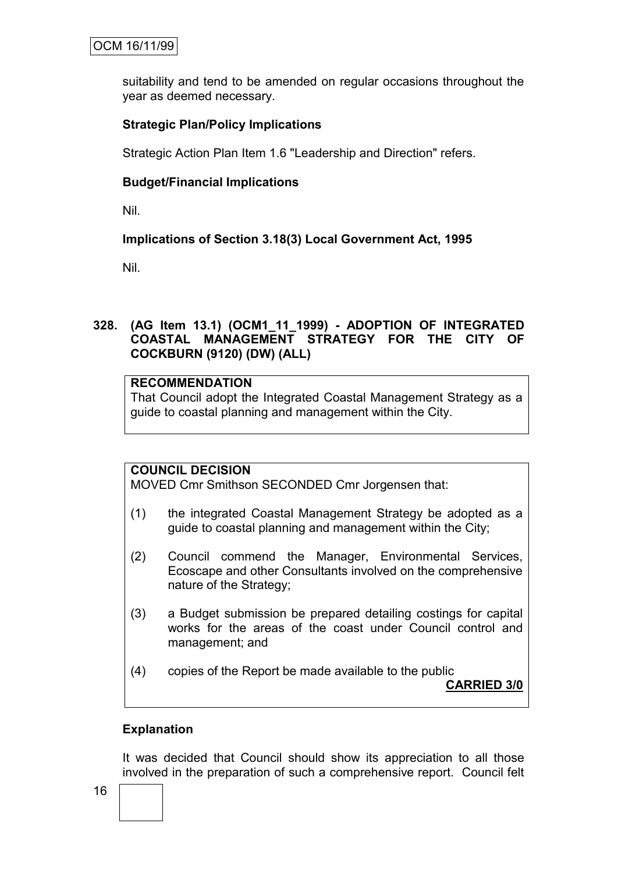suitability and tend to be amended on regular occasions throughout the year as deemed necessary.

## **Strategic Plan/Policy Implications**

Strategic Action Plan Item 1.6 "Leadership and Direction" refers.

### **Budget/Financial Implications**

Nil.

# **Implications of Section 3.18(3) Local Government Act, 1995**

Nil.

### **328. (AG Item 13.1) (OCM1\_11\_1999) - ADOPTION OF INTEGRATED COASTAL MANAGEMENT STRATEGY FOR THE CITY OF COCKBURN (9120) (DW) (ALL)**

### **RECOMMENDATION**

That Council adopt the Integrated Coastal Management Strategy as a guide to coastal planning and management within the City.

# **COUNCIL DECISION**

MOVED Cmr Smithson SECONDED Cmr Jorgensen that:

- (1) the integrated Coastal Management Strategy be adopted as a guide to coastal planning and management within the City;
- (2) Council commend the Manager, Environmental Services, Ecoscape and other Consultants involved on the comprehensive nature of the Strategy;
- (3) a Budget submission be prepared detailing costings for capital works for the areas of the coast under Council control and management; and
- (4) copies of the Report be made available to the public

**CARRIED 3/0**

### **Explanation**

It was decided that Council should show its appreciation to all those involved in the preparation of such a comprehensive report. Council felt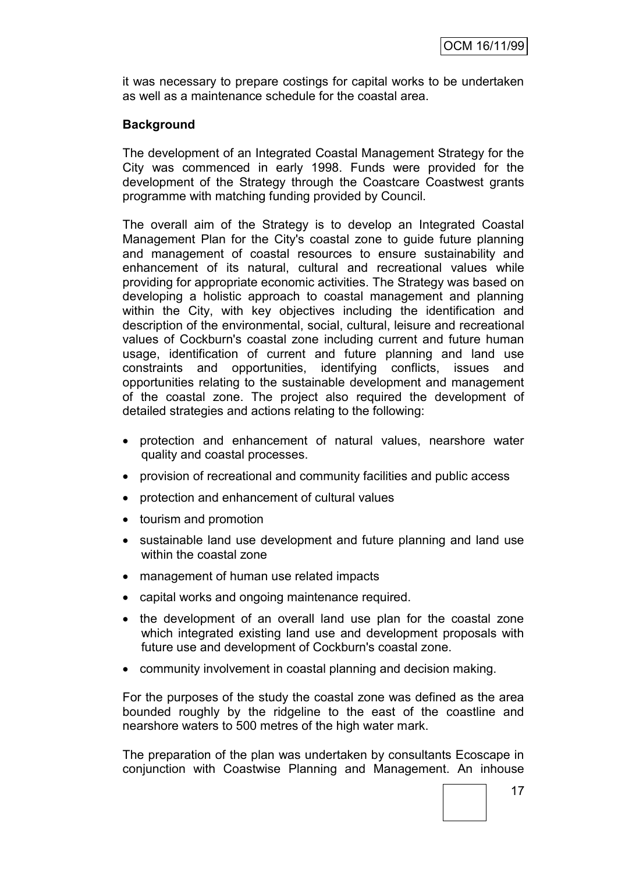it was necessary to prepare costings for capital works to be undertaken as well as a maintenance schedule for the coastal area.

### **Background**

The development of an Integrated Coastal Management Strategy for the City was commenced in early 1998. Funds were provided for the development of the Strategy through the Coastcare Coastwest grants programme with matching funding provided by Council.

The overall aim of the Strategy is to develop an Integrated Coastal Management Plan for the City's coastal zone to guide future planning and management of coastal resources to ensure sustainability and enhancement of its natural, cultural and recreational values while providing for appropriate economic activities. The Strategy was based on developing a holistic approach to coastal management and planning within the City, with key objectives including the identification and description of the environmental, social, cultural, leisure and recreational values of Cockburn's coastal zone including current and future human usage, identification of current and future planning and land use constraints and opportunities, identifying conflicts, issues and opportunities relating to the sustainable development and management of the coastal zone. The project also required the development of detailed strategies and actions relating to the following:

- protection and enhancement of natural values, nearshore water quality and coastal processes.
- provision of recreational and community facilities and public access
- protection and enhancement of cultural values
- tourism and promotion
- sustainable land use development and future planning and land use within the coastal zone
- management of human use related impacts
- capital works and ongoing maintenance required.
- the development of an overall land use plan for the coastal zone which integrated existing land use and development proposals with future use and development of Cockburn's coastal zone.
- community involvement in coastal planning and decision making.

For the purposes of the study the coastal zone was defined as the area bounded roughly by the ridgeline to the east of the coastline and nearshore waters to 500 metres of the high water mark.

The preparation of the plan was undertaken by consultants Ecoscape in conjunction with Coastwise Planning and Management. An inhouse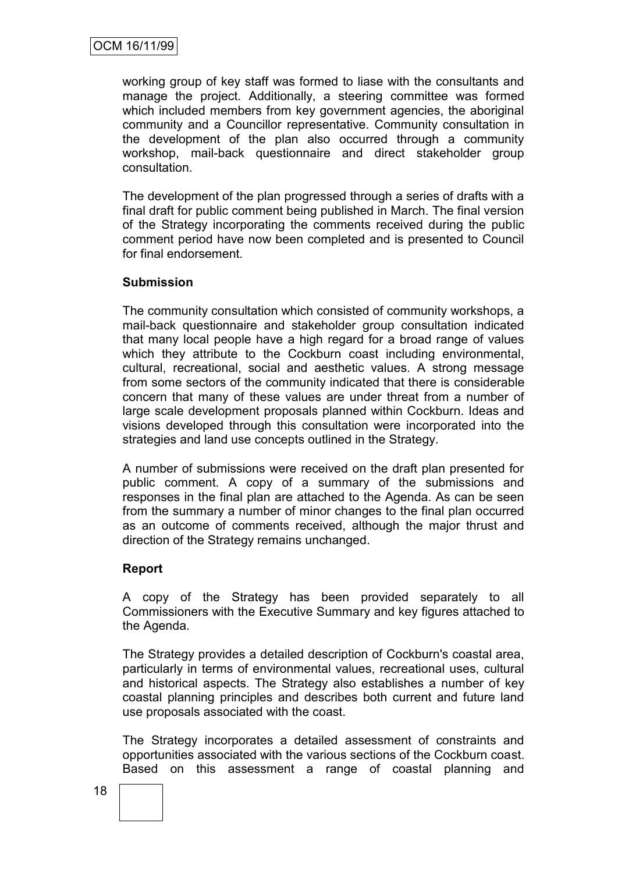working group of key staff was formed to liase with the consultants and manage the project. Additionally, a steering committee was formed which included members from key government agencies, the aboriginal community and a Councillor representative. Community consultation in the development of the plan also occurred through a community workshop, mail-back questionnaire and direct stakeholder group consultation.

The development of the plan progressed through a series of drafts with a final draft for public comment being published in March. The final version of the Strategy incorporating the comments received during the public comment period have now been completed and is presented to Council for final endorsement.

#### **Submission**

The community consultation which consisted of community workshops, a mail-back questionnaire and stakeholder group consultation indicated that many local people have a high regard for a broad range of values which they attribute to the Cockburn coast including environmental, cultural, recreational, social and aesthetic values. A strong message from some sectors of the community indicated that there is considerable concern that many of these values are under threat from a number of large scale development proposals planned within Cockburn. Ideas and visions developed through this consultation were incorporated into the strategies and land use concepts outlined in the Strategy.

A number of submissions were received on the draft plan presented for public comment. A copy of a summary of the submissions and responses in the final plan are attached to the Agenda. As can be seen from the summary a number of minor changes to the final plan occurred as an outcome of comments received, although the major thrust and direction of the Strategy remains unchanged.

#### **Report**

A copy of the Strategy has been provided separately to all Commissioners with the Executive Summary and key figures attached to the Agenda.

The Strategy provides a detailed description of Cockburn's coastal area, particularly in terms of environmental values, recreational uses, cultural and historical aspects. The Strategy also establishes a number of key coastal planning principles and describes both current and future land use proposals associated with the coast.

The Strategy incorporates a detailed assessment of constraints and opportunities associated with the various sections of the Cockburn coast. Based on this assessment a range of coastal planning and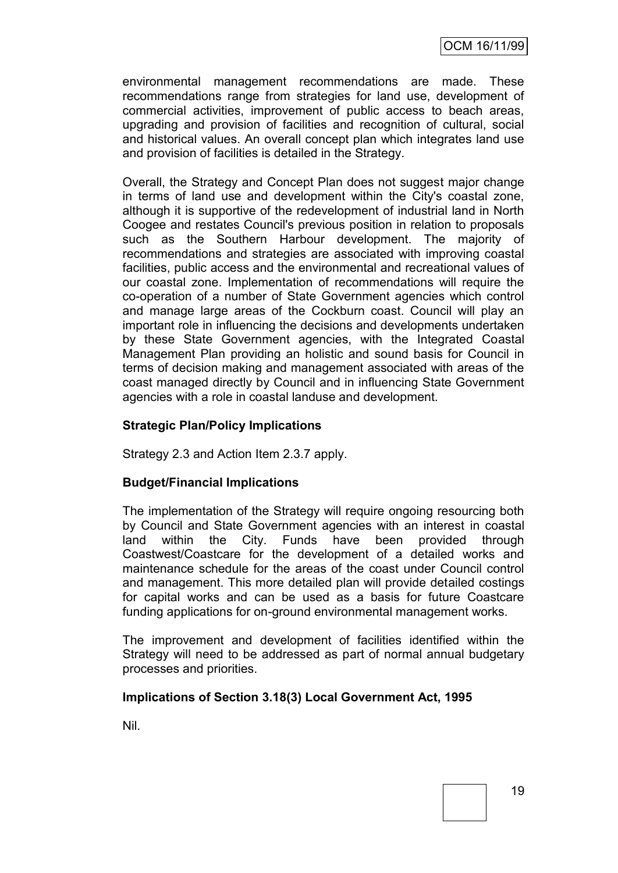environmental management recommendations are made. These recommendations range from strategies for land use, development of commercial activities, improvement of public access to beach areas, upgrading and provision of facilities and recognition of cultural, social and historical values. An overall concept plan which integrates land use and provision of facilities is detailed in the Strategy.

Overall, the Strategy and Concept Plan does not suggest major change in terms of land use and development within the City's coastal zone, although it is supportive of the redevelopment of industrial land in North Coogee and restates Council's previous position in relation to proposals such as the Southern Harbour development. The majority of recommendations and strategies are associated with improving coastal facilities, public access and the environmental and recreational values of our coastal zone. Implementation of recommendations will require the co-operation of a number of State Government agencies which control and manage large areas of the Cockburn coast. Council will play an important role in influencing the decisions and developments undertaken by these State Government agencies, with the Integrated Coastal Management Plan providing an holistic and sound basis for Council in terms of decision making and management associated with areas of the coast managed directly by Council and in influencing State Government agencies with a role in coastal landuse and development.

#### **Strategic Plan/Policy Implications**

Strategy 2.3 and Action Item 2.3.7 apply.

#### **Budget/Financial Implications**

The implementation of the Strategy will require ongoing resourcing both by Council and State Government agencies with an interest in coastal land within the City. Funds have been provided through Coastwest/Coastcare for the development of a detailed works and maintenance schedule for the areas of the coast under Council control and management. This more detailed plan will provide detailed costings for capital works and can be used as a basis for future Coastcare funding applications for on-ground environmental management works.

The improvement and development of facilities identified within the Strategy will need to be addressed as part of normal annual budgetary processes and priorities.

#### **Implications of Section 3.18(3) Local Government Act, 1995**

Nil.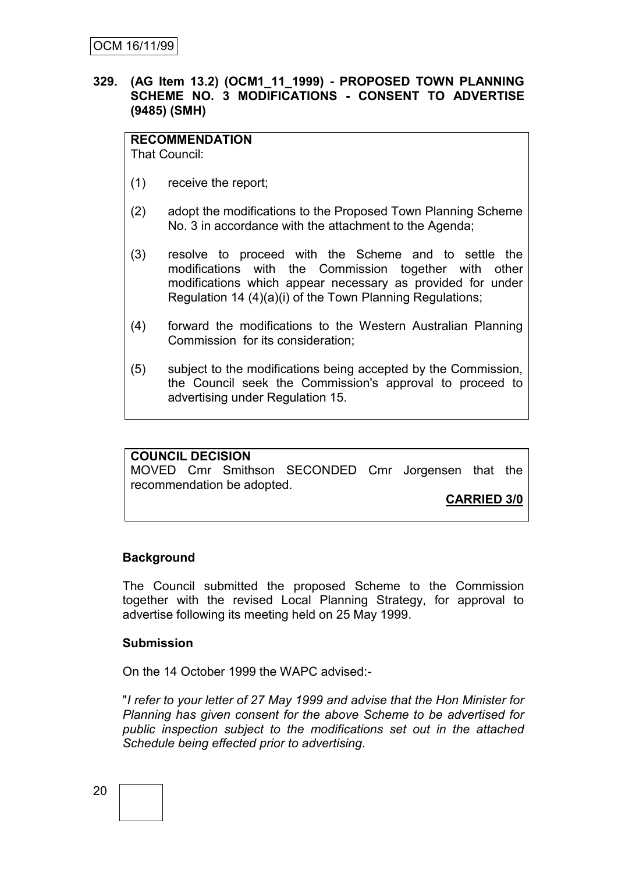#### **329. (AG Item 13.2) (OCM1\_11\_1999) - PROPOSED TOWN PLANNING SCHEME NO. 3 MODIFICATIONS - CONSENT TO ADVERTISE (9485) (SMH)**

#### **RECOMMENDATION**

That Council:

- (1) receive the report;
- (2) adopt the modifications to the Proposed Town Planning Scheme No. 3 in accordance with the attachment to the Agenda;
- (3) resolve to proceed with the Scheme and to settle the modifications with the Commission together with other modifications which appear necessary as provided for under Regulation 14 (4)(a)(i) of the Town Planning Regulations;
- (4) forward the modifications to the Western Australian Planning Commission for its consideration;
- (5) subject to the modifications being accepted by the Commission, the Council seek the Commission's approval to proceed to advertising under Regulation 15.

#### **COUNCIL DECISION**

MOVED Cmr Smithson SECONDED Cmr Jorgensen that the recommendation be adopted.

**CARRIED 3/0**

#### **Background**

The Council submitted the proposed Scheme to the Commission together with the revised Local Planning Strategy, for approval to advertise following its meeting held on 25 May 1999.

#### **Submission**

On the 14 October 1999 the WAPC advised:-

"*I refer to your letter of 27 May 1999 and advise that the Hon Minister for Planning has given consent for the above Scheme to be advertised for public inspection subject to the modifications set out in the attached Schedule being effected prior to advertising.*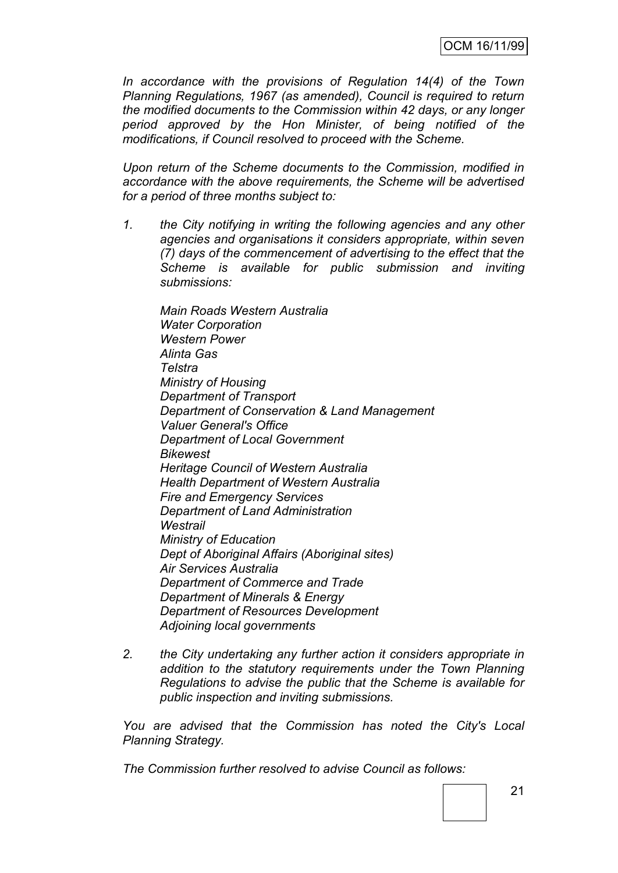*In accordance with the provisions of Regulation 14(4) of the Town Planning Regulations, 1967 (as amended), Council is required to return the modified documents to the Commission within 42 days, or any longer period approved by the Hon Minister, of being notified of the modifications, if Council resolved to proceed with the Scheme.*

*Upon return of the Scheme documents to the Commission, modified in accordance with the above requirements, the Scheme will be advertised for a period of three months subject to:*

*1. the City notifying in writing the following agencies and any other agencies and organisations it considers appropriate, within seven (7) days of the commencement of advertising to the effect that the Scheme is available for public submission and inviting submissions:*

*Main Roads Western Australia Water Corporation Western Power Alinta Gas Telstra Ministry of Housing Department of Transport Department of Conservation & Land Management Valuer General's Office Department of Local Government Bikewest Heritage Council of Western Australia Health Department of Western Australia Fire and Emergency Services Department of Land Administration Westrail Ministry of Education Dept of Aboriginal Affairs (Aboriginal sites) Air Services Australia Department of Commerce and Trade Department of Minerals & Energy Department of Resources Development Adjoining local governments*

*2. the City undertaking any further action it considers appropriate in addition to the statutory requirements under the Town Planning Regulations to advise the public that the Scheme is available for public inspection and inviting submissions.*

*You are advised that the Commission has noted the City's Local Planning Strategy.*

*The Commission further resolved to advise Council as follows:*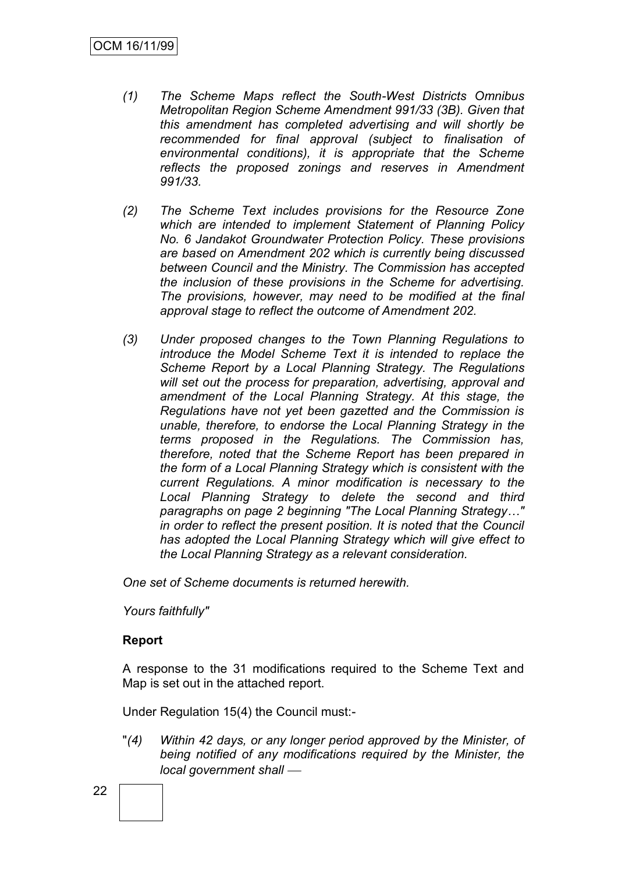- *(1) The Scheme Maps reflect the South-West Districts Omnibus Metropolitan Region Scheme Amendment 991/33 (3B). Given that this amendment has completed advertising and will shortly be recommended for final approval (subject to finalisation of environmental conditions), it is appropriate that the Scheme reflects the proposed zonings and reserves in Amendment 991/33.*
- *(2) The Scheme Text includes provisions for the Resource Zone which are intended to implement Statement of Planning Policy No. 6 Jandakot Groundwater Protection Policy. These provisions are based on Amendment 202 which is currently being discussed between Council and the Ministry. The Commission has accepted the inclusion of these provisions in the Scheme for advertising. The provisions, however, may need to be modified at the final approval stage to reflect the outcome of Amendment 202.*
- *(3) Under proposed changes to the Town Planning Regulations to introduce the Model Scheme Text it is intended to replace the Scheme Report by a Local Planning Strategy. The Regulations will set out the process for preparation, advertising, approval and amendment of the Local Planning Strategy. At this stage, the Regulations have not yet been gazetted and the Commission is unable, therefore, to endorse the Local Planning Strategy in the terms proposed in the Regulations. The Commission has, therefore, noted that the Scheme Report has been prepared in the form of a Local Planning Strategy which is consistent with the current Regulations. A minor modification is necessary to the Local Planning Strategy to delete the second and third paragraphs on page 2 beginning "The Local Planning Strategy…" in order to reflect the present position. It is noted that the Council has adopted the Local Planning Strategy which will give effect to the Local Planning Strategy as a relevant consideration.*

*One set of Scheme documents is returned herewith.*

*Yours faithfully"*

#### **Report**

A response to the 31 modifications required to the Scheme Text and Map is set out in the attached report.

Under Regulation 15(4) the Council must:-

"*(4) Within 42 days, or any longer period approved by the Minister, of being notified of any modifications required by the Minister, the*  local government shall —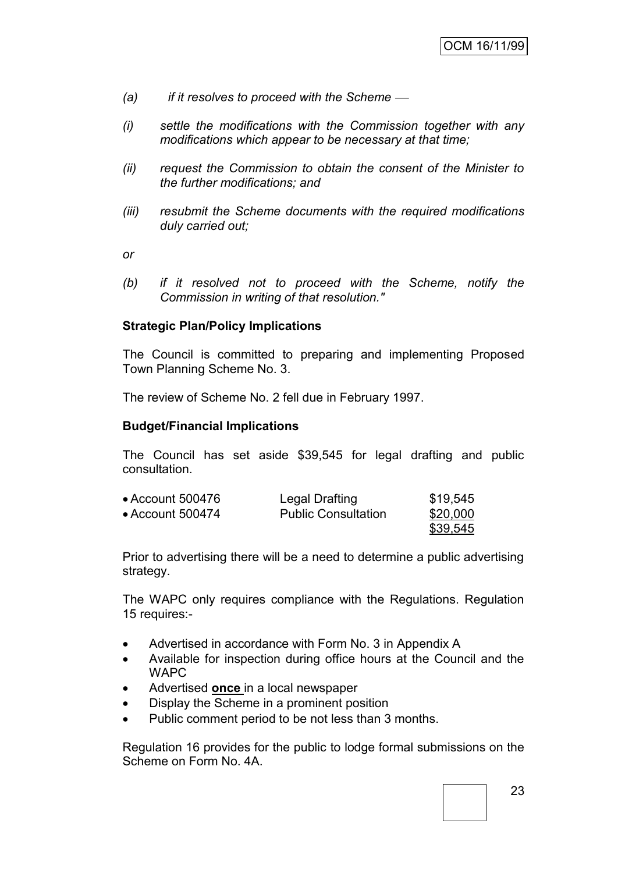- *(a) if it resolves to proceed with the Scheme*
- *(i) settle the modifications with the Commission together with any modifications which appear to be necessary at that time;*
- *(ii) request the Commission to obtain the consent of the Minister to the further modifications; and*
- *(iii) resubmit the Scheme documents with the required modifications duly carried out;*

*or*

*(b) if it resolved not to proceed with the Scheme, notify the Commission in writing of that resolution."*

#### **Strategic Plan/Policy Implications**

The Council is committed to preparing and implementing Proposed Town Planning Scheme No. 3.

The review of Scheme No. 2 fell due in February 1997.

#### **Budget/Financial Implications**

The Council has set aside \$39,545 for legal drafting and public consultation.

| • Account 500476 | Legal Drafting             | \$19,545 |
|------------------|----------------------------|----------|
| • Account 500474 | <b>Public Consultation</b> | \$20,000 |
|                  |                            | \$39,545 |

Prior to advertising there will be a need to determine a public advertising strategy.

The WAPC only requires compliance with the Regulations. Regulation 15 requires:-

- Advertised in accordance with Form No. 3 in Appendix A
- Available for inspection during office hours at the Council and the **WAPC**
- Advertised **once** in a local newspaper
- Display the Scheme in a prominent position
- Public comment period to be not less than 3 months.

Regulation 16 provides for the public to lodge formal submissions on the Scheme on Form No. 4A.

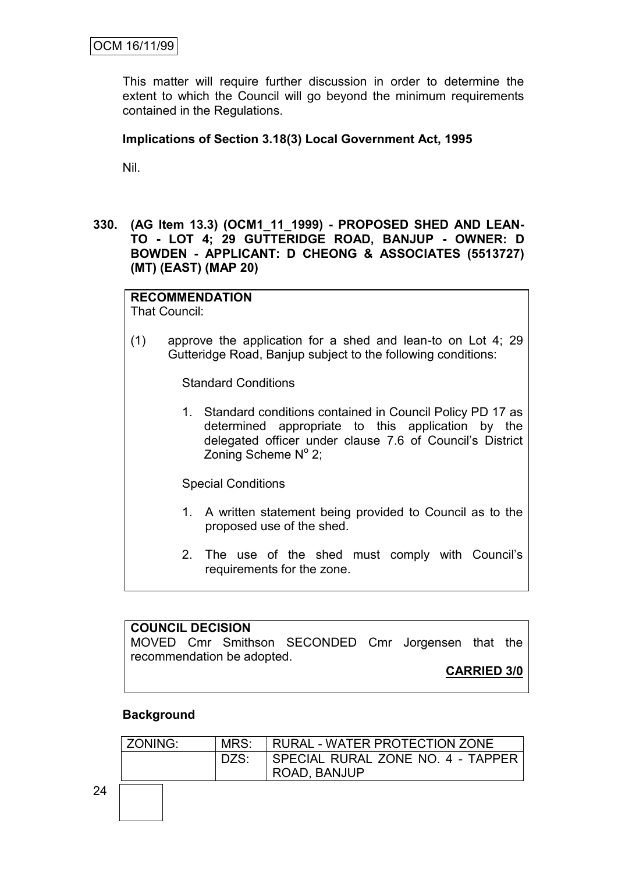This matter will require further discussion in order to determine the extent to which the Council will go beyond the minimum requirements contained in the Regulations.

### **Implications of Section 3.18(3) Local Government Act, 1995**

Nil.

**330. (AG Item 13.3) (OCM1\_11\_1999) - PROPOSED SHED AND LEAN-TO - LOT 4; 29 GUTTERIDGE ROAD, BANJUP - OWNER: D BOWDEN - APPLICANT: D CHEONG & ASSOCIATES (5513727) (MT) (EAST) (MAP 20)**

**RECOMMENDATION**

That Council:

(1) approve the application for a shed and lean-to on Lot 4; 29 Gutteridge Road, Banjup subject to the following conditions:

Standard Conditions

1. Standard conditions contained in Council Policy PD 17 as determined appropriate to this application by the delegated officer under clause 7.6 of Council"s District Zoning Scheme  $N^{\circ}$  2;

Special Conditions

- 1. A written statement being provided to Council as to the proposed use of the shed.
- 2. The use of the shed must comply with Council"s requirements for the zone.

### **COUNCIL DECISION** MOVED Cmr Smithson SECONDED Cmr Jorgensen that the recommendation be adopted. **CARRIED 3/0**

#### **Background**

| ZONING: | MRS: | <b>RURAL - WATER PROTECTION ZONE</b> |
|---------|------|--------------------------------------|
|         | DZS: | I SPECIAL RURAL ZONE NO. 4 - TAPPER  |
|         |      | ROAD, BANJUP                         |
|         |      |                                      |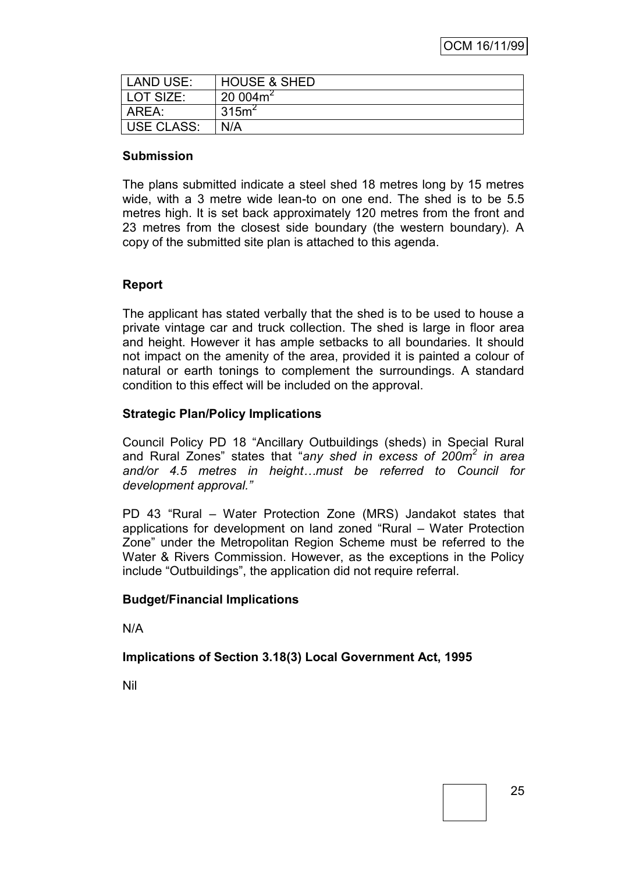| LAND USE:  | <b>HOUSE &amp; SHED</b> |
|------------|-------------------------|
| LOT SIZE:  | 20004m <sup>2</sup>     |
| AREA:      | 315m <sup>2</sup>       |
| USE CLASS: | N/A                     |

#### **Submission**

The plans submitted indicate a steel shed 18 metres long by 15 metres wide, with a 3 metre wide lean-to on one end. The shed is to be 5.5 metres high. It is set back approximately 120 metres from the front and 23 metres from the closest side boundary (the western boundary). A copy of the submitted site plan is attached to this agenda.

#### **Report**

The applicant has stated verbally that the shed is to be used to house a private vintage car and truck collection. The shed is large in floor area and height. However it has ample setbacks to all boundaries. It should not impact on the amenity of the area, provided it is painted a colour of natural or earth tonings to complement the surroundings. A standard condition to this effect will be included on the approval.

#### **Strategic Plan/Policy Implications**

Council Policy PD 18 "Ancillary Outbuildings (sheds) in Special Rural and Rural Zones" states that "*any shed in excess of 200m<sup>2</sup> in area and/or 4.5 metres in height…must be referred to Council for development approval."*

PD 43 "Rural – Water Protection Zone (MRS) Jandakot states that applications for development on land zoned "Rural – Water Protection Zone" under the Metropolitan Region Scheme must be referred to the Water & Rivers Commission. However, as the exceptions in the Policy include "Outbuildings", the application did not require referral.

#### **Budget/Financial Implications**

N/A

#### **Implications of Section 3.18(3) Local Government Act, 1995**

Nil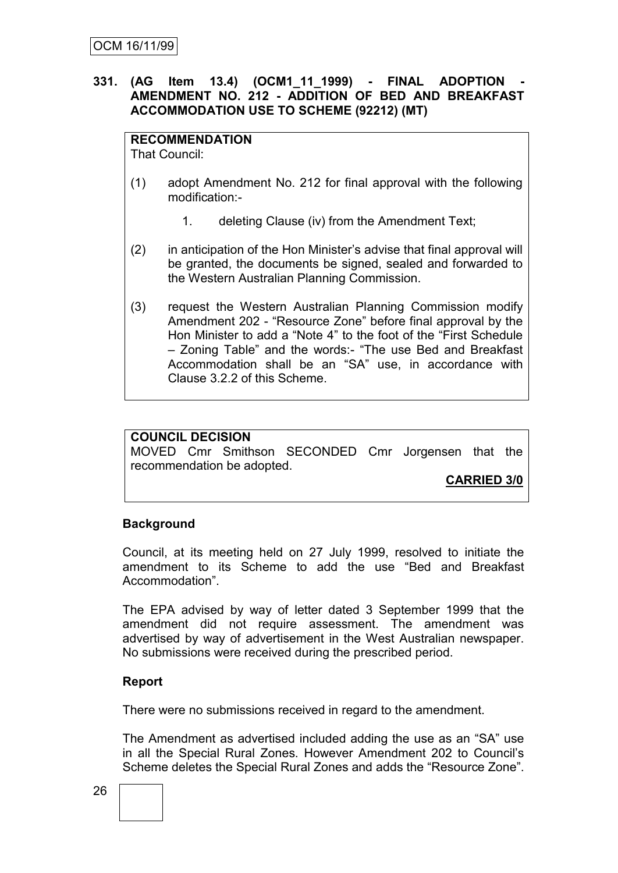#### **331. (AG Item 13.4) (OCM1\_11\_1999) - FINAL ADOPTION - AMENDMENT NO. 212 - ADDITION OF BED AND BREAKFAST ACCOMMODATION USE TO SCHEME (92212) (MT)**

### **RECOMMENDATION**

That Council:

- (1) adopt Amendment No. 212 for final approval with the following modification:-
	- 1. deleting Clause (iv) from the Amendment Text;
- (2) in anticipation of the Hon Minister"s advise that final approval will be granted, the documents be signed, sealed and forwarded to the Western Australian Planning Commission.
- (3) request the Western Australian Planning Commission modify Amendment 202 - "Resource Zone" before final approval by the Hon Minister to add a "Note 4" to the foot of the "First Schedule – Zoning Table" and the words:- "The use Bed and Breakfast Accommodation shall be an "SA" use, in accordance with Clause 3.2.2 of this Scheme.

#### **COUNCIL DECISION**

MOVED Cmr Smithson SECONDED Cmr Jorgensen that the recommendation be adopted.

**CARRIED 3/0**

#### **Background**

Council, at its meeting held on 27 July 1999, resolved to initiate the amendment to its Scheme to add the use "Bed and Breakfast Accommodation".

The EPA advised by way of letter dated 3 September 1999 that the amendment did not require assessment. The amendment was advertised by way of advertisement in the West Australian newspaper. No submissions were received during the prescribed period.

#### **Report**

There were no submissions received in regard to the amendment.

The Amendment as advertised included adding the use as an "SA" use in all the Special Rural Zones. However Amendment 202 to Council"s Scheme deletes the Special Rural Zones and adds the "Resource Zone".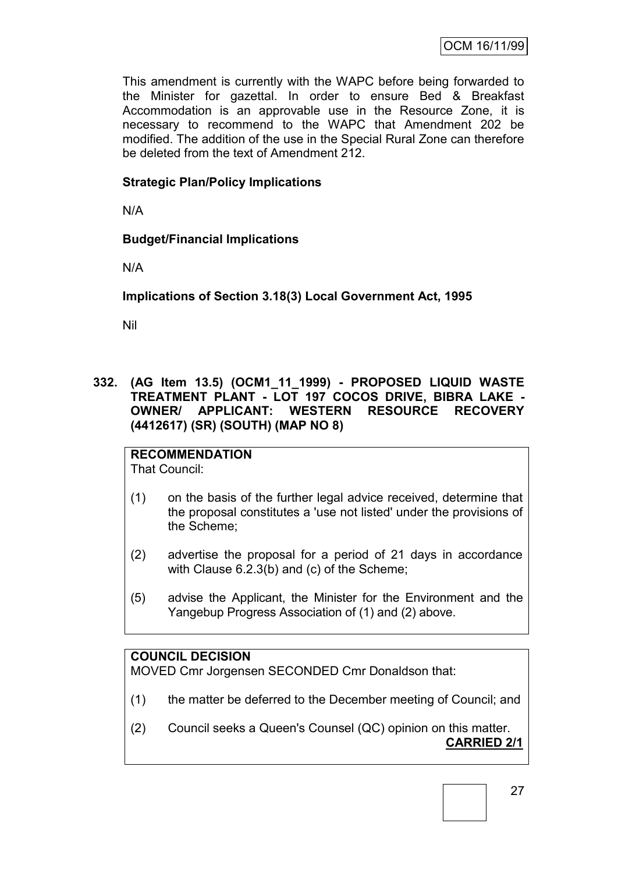This amendment is currently with the WAPC before being forwarded to the Minister for gazettal. In order to ensure Bed & Breakfast Accommodation is an approvable use in the Resource Zone, it is necessary to recommend to the WAPC that Amendment 202 be modified. The addition of the use in the Special Rural Zone can therefore be deleted from the text of Amendment 212.

### **Strategic Plan/Policy Implications**

N/A

# **Budget/Financial Implications**

N/A

# **Implications of Section 3.18(3) Local Government Act, 1995**

Nil

**332. (AG Item 13.5) (OCM1\_11\_1999) - PROPOSED LIQUID WASTE TREATMENT PLANT - LOT 197 COCOS DRIVE, BIBRA LAKE - OWNER/ APPLICANT: WESTERN RESOURCE RECOVERY (4412617) (SR) (SOUTH) (MAP NO 8)**

#### **RECOMMENDATION** That Council:

- (1) on the basis of the further legal advice received, determine that the proposal constitutes a 'use not listed' under the provisions of the Scheme;
	- (2) advertise the proposal for a period of 21 days in accordance with Clause 6.2.3(b) and (c) of the Scheme;
	- (5) advise the Applicant, the Minister for the Environment and the Yangebup Progress Association of (1) and (2) above.

### **COUNCIL DECISION**

MOVED Cmr Jorgensen SECONDED Cmr Donaldson that:

- (1) the matter be deferred to the December meeting of Council; and
- (2) Council seeks a Queen's Counsel (QC) opinion on this matter. **CARRIED 2/1**

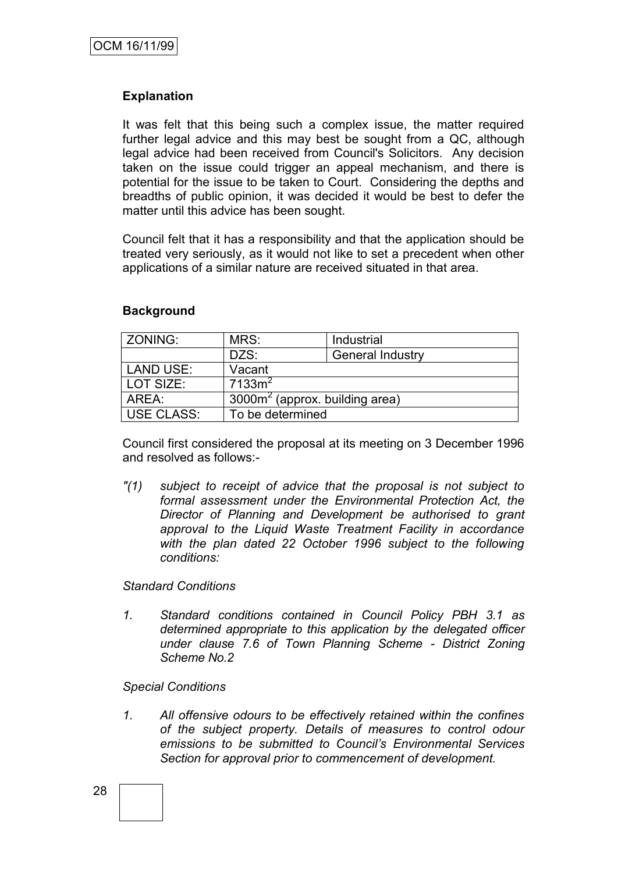#### **Explanation**

It was felt that this being such a complex issue, the matter required further legal advice and this may best be sought from a QC, although legal advice had been received from Council's Solicitors. Any decision taken on the issue could trigger an appeal mechanism, and there is potential for the issue to be taken to Court. Considering the depths and breadths of public opinion, it was decided it would be best to defer the matter until this advice has been sought.

Council felt that it has a responsibility and that the application should be treated very seriously, as it would not like to set a precedent when other applications of a similar nature are received situated in that area.

#### **Background**

| ZONING:           | MRS:                             | Industrial              |  |
|-------------------|----------------------------------|-------------------------|--|
|                   | DZS:                             | <b>General Industry</b> |  |
| <b>LAND USE:</b>  | Vacant                           |                         |  |
| LOT SIZE:         | 7133m <sup>2</sup>               |                         |  |
| AREA:             | $3000m2$ (approx. building area) |                         |  |
| <b>USE CLASS:</b> | To be determined                 |                         |  |

Council first considered the proposal at its meeting on 3 December 1996 and resolved as follows:-

*"(1) subject to receipt of advice that the proposal is not subject to formal assessment under the Environmental Protection Act, the Director of Planning and Development be authorised to grant approval to the Liquid Waste Treatment Facility in accordance with the plan dated 22 October 1996 subject to the following conditions:*

#### *Standard Conditions*

*1. Standard conditions contained in Council Policy PBH 3.1 as determined appropriate to this application by the delegated officer under clause 7.6 of Town Planning Scheme - District Zoning Scheme No.2*

#### *Special Conditions*

*1. All offensive odours to be effectively retained within the confines of the subject property. Details of measures to control odour emissions to be submitted to Council's Environmental Services Section for approval prior to commencement of development.*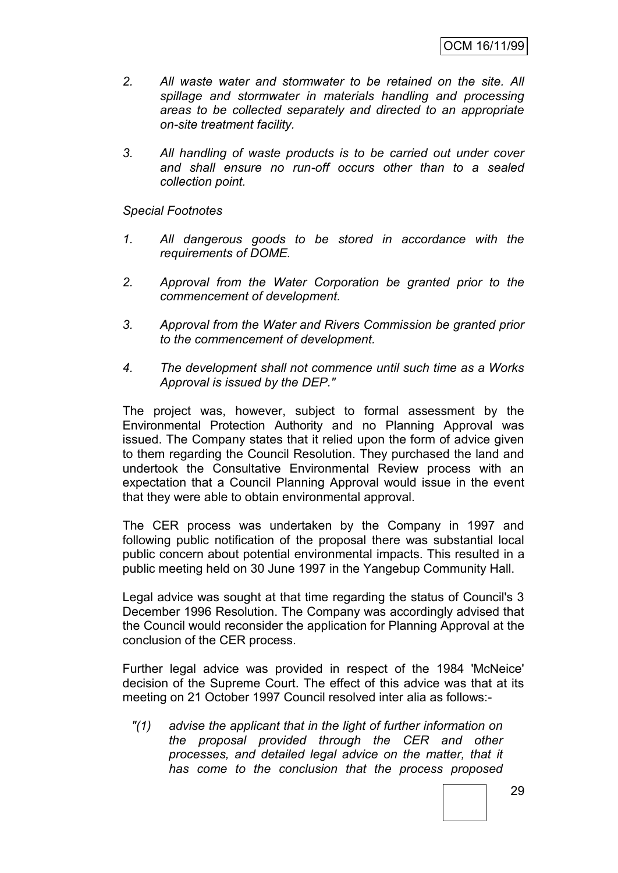- *2. All waste water and stormwater to be retained on the site. All spillage and stormwater in materials handling and processing areas to be collected separately and directed to an appropriate on-site treatment facility.*
- *3. All handling of waste products is to be carried out under cover and shall ensure no run-off occurs other than to a sealed collection point.*

#### *Special Footnotes*

- *1. All dangerous goods to be stored in accordance with the requirements of DOME.*
- *2. Approval from the Water Corporation be granted prior to the commencement of development.*
- *3. Approval from the Water and Rivers Commission be granted prior to the commencement of development.*
- *4. The development shall not commence until such time as a Works Approval is issued by the DEP."*

The project was, however, subject to formal assessment by the Environmental Protection Authority and no Planning Approval was issued. The Company states that it relied upon the form of advice given to them regarding the Council Resolution. They purchased the land and undertook the Consultative Environmental Review process with an expectation that a Council Planning Approval would issue in the event that they were able to obtain environmental approval.

The CER process was undertaken by the Company in 1997 and following public notification of the proposal there was substantial local public concern about potential environmental impacts. This resulted in a public meeting held on 30 June 1997 in the Yangebup Community Hall.

Legal advice was sought at that time regarding the status of Council's 3 December 1996 Resolution. The Company was accordingly advised that the Council would reconsider the application for Planning Approval at the conclusion of the CER process.

Further legal advice was provided in respect of the 1984 'McNeice' decision of the Supreme Court. The effect of this advice was that at its meeting on 21 October 1997 Council resolved inter alia as follows:-

*"(1) advise the applicant that in the light of further information on the proposal provided through the CER and other processes, and detailed legal advice on the matter, that it has come to the conclusion that the process proposed*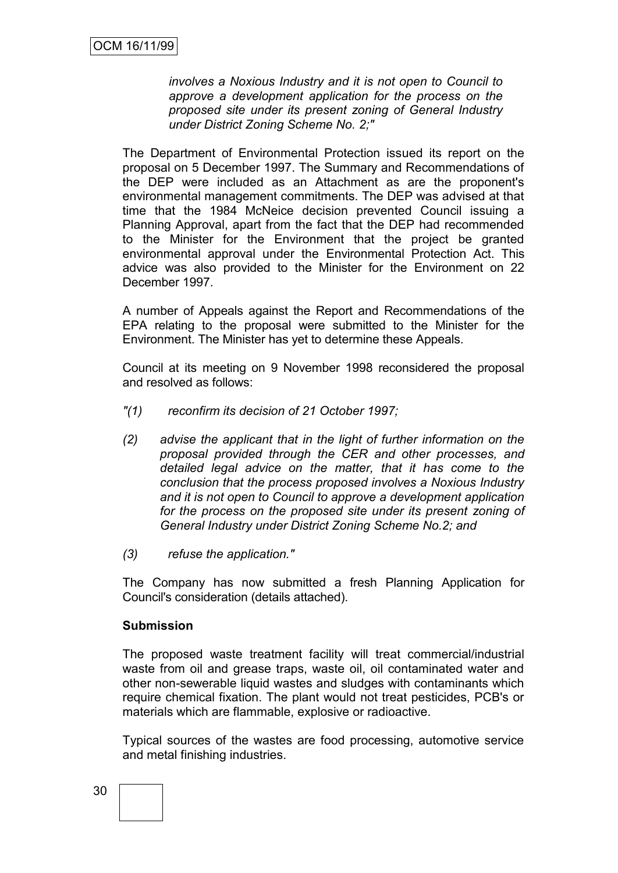*involves a Noxious Industry and it is not open to Council to approve a development application for the process on the proposed site under its present zoning of General Industry under District Zoning Scheme No. 2;"*

The Department of Environmental Protection issued its report on the proposal on 5 December 1997. The Summary and Recommendations of the DEP were included as an Attachment as are the proponent's environmental management commitments. The DEP was advised at that time that the 1984 McNeice decision prevented Council issuing a Planning Approval, apart from the fact that the DEP had recommended to the Minister for the Environment that the project be granted environmental approval under the Environmental Protection Act. This advice was also provided to the Minister for the Environment on 22 December 1997.

A number of Appeals against the Report and Recommendations of the EPA relating to the proposal were submitted to the Minister for the Environment. The Minister has yet to determine these Appeals.

Council at its meeting on 9 November 1998 reconsidered the proposal and resolved as follows:

- *"(1) reconfirm its decision of 21 October 1997;*
- *(2) advise the applicant that in the light of further information on the proposal provided through the CER and other processes, and detailed legal advice on the matter, that it has come to the conclusion that the process proposed involves a Noxious Industry and it is not open to Council to approve a development application for the process on the proposed site under its present zoning of General Industry under District Zoning Scheme No.2; and*
- *(3) refuse the application."*

The Company has now submitted a fresh Planning Application for Council's consideration (details attached).

#### **Submission**

The proposed waste treatment facility will treat commercial/industrial waste from oil and grease traps, waste oil, oil contaminated water and other non-sewerable liquid wastes and sludges with contaminants which require chemical fixation. The plant would not treat pesticides, PCB's or materials which are flammable, explosive or radioactive.

Typical sources of the wastes are food processing, automotive service and metal finishing industries.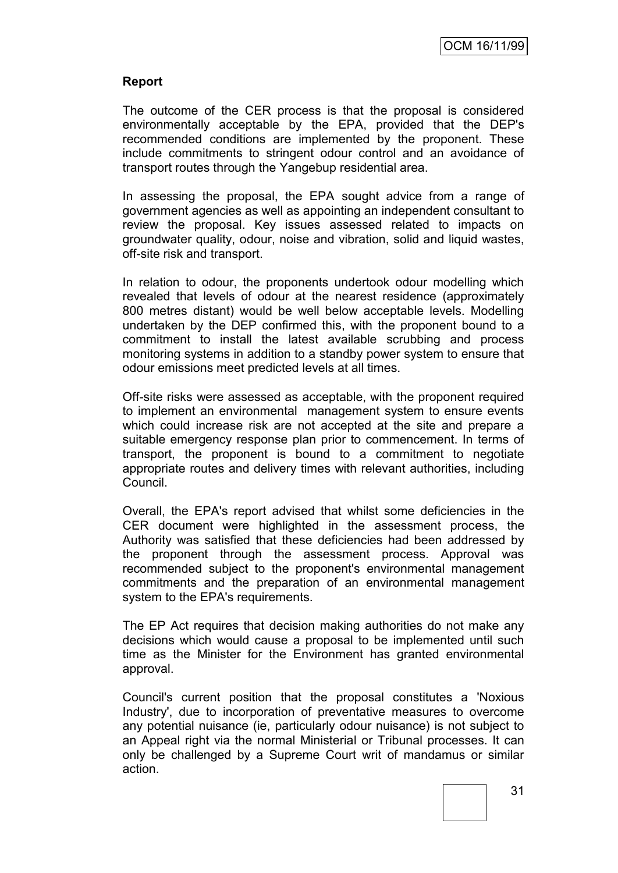### **Report**

The outcome of the CER process is that the proposal is considered environmentally acceptable by the EPA, provided that the DEP's recommended conditions are implemented by the proponent. These include commitments to stringent odour control and an avoidance of transport routes through the Yangebup residential area.

In assessing the proposal, the EPA sought advice from a range of government agencies as well as appointing an independent consultant to review the proposal. Key issues assessed related to impacts on groundwater quality, odour, noise and vibration, solid and liquid wastes, off-site risk and transport.

In relation to odour, the proponents undertook odour modelling which revealed that levels of odour at the nearest residence (approximately 800 metres distant) would be well below acceptable levels. Modelling undertaken by the DEP confirmed this, with the proponent bound to a commitment to install the latest available scrubbing and process monitoring systems in addition to a standby power system to ensure that odour emissions meet predicted levels at all times.

Off-site risks were assessed as acceptable, with the proponent required to implement an environmental management system to ensure events which could increase risk are not accepted at the site and prepare a suitable emergency response plan prior to commencement. In terms of transport, the proponent is bound to a commitment to negotiate appropriate routes and delivery times with relevant authorities, including Council.

Overall, the EPA's report advised that whilst some deficiencies in the CER document were highlighted in the assessment process, the Authority was satisfied that these deficiencies had been addressed by the proponent through the assessment process. Approval was recommended subject to the proponent's environmental management commitments and the preparation of an environmental management system to the EPA's requirements.

The EP Act requires that decision making authorities do not make any decisions which would cause a proposal to be implemented until such time as the Minister for the Environment has granted environmental approval.

Council's current position that the proposal constitutes a 'Noxious Industry', due to incorporation of preventative measures to overcome any potential nuisance (ie, particularly odour nuisance) is not subject to an Appeal right via the normal Ministerial or Tribunal processes. It can only be challenged by a Supreme Court writ of mandamus or similar action.

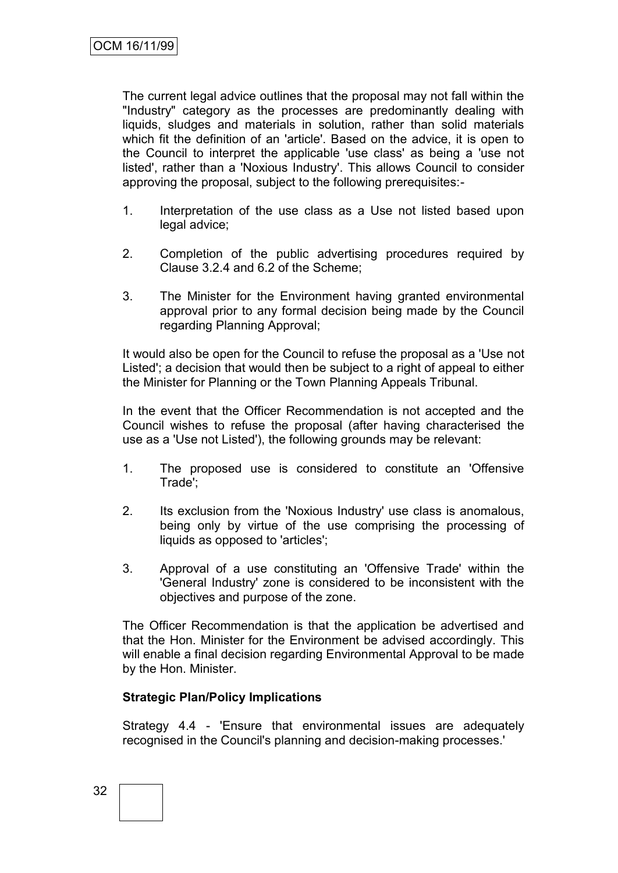The current legal advice outlines that the proposal may not fall within the "Industry" category as the processes are predominantly dealing with liquids, sludges and materials in solution, rather than solid materials which fit the definition of an 'article'. Based on the advice, it is open to the Council to interpret the applicable 'use class' as being a 'use not listed', rather than a 'Noxious Industry'. This allows Council to consider approving the proposal, subject to the following prerequisites:-

- 1. Interpretation of the use class as a Use not listed based upon legal advice;
- 2. Completion of the public advertising procedures required by Clause 3.2.4 and 6.2 of the Scheme;
- 3. The Minister for the Environment having granted environmental approval prior to any formal decision being made by the Council regarding Planning Approval;

It would also be open for the Council to refuse the proposal as a 'Use not Listed'; a decision that would then be subject to a right of appeal to either the Minister for Planning or the Town Planning Appeals Tribunal.

In the event that the Officer Recommendation is not accepted and the Council wishes to refuse the proposal (after having characterised the use as a 'Use not Listed'), the following grounds may be relevant:

- 1. The proposed use is considered to constitute an 'Offensive Trade';
- 2. Its exclusion from the 'Noxious Industry' use class is anomalous, being only by virtue of the use comprising the processing of liquids as opposed to 'articles';
- 3. Approval of a use constituting an 'Offensive Trade' within the 'General Industry' zone is considered to be inconsistent with the objectives and purpose of the zone.

The Officer Recommendation is that the application be advertised and that the Hon. Minister for the Environment be advised accordingly. This will enable a final decision regarding Environmental Approval to be made by the Hon. Minister.

#### **Strategic Plan/Policy Implications**

Strategy 4.4 - 'Ensure that environmental issues are adequately recognised in the Council's planning and decision-making processes.'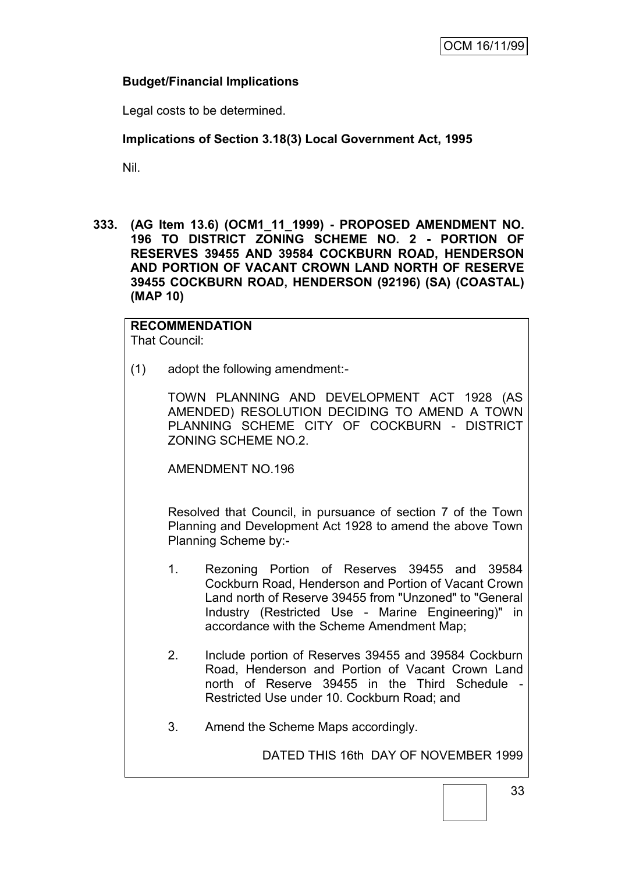### **Budget/Financial Implications**

Legal costs to be determined.

### **Implications of Section 3.18(3) Local Government Act, 1995**

Nil.

**333. (AG Item 13.6) (OCM1\_11\_1999) - PROPOSED AMENDMENT NO. 196 TO DISTRICT ZONING SCHEME NO. 2 - PORTION OF RESERVES 39455 AND 39584 COCKBURN ROAD, HENDERSON AND PORTION OF VACANT CROWN LAND NORTH OF RESERVE 39455 COCKBURN ROAD, HENDERSON (92196) (SA) (COASTAL) (MAP 10)**

# **RECOMMENDATION**

That Council:

(1) adopt the following amendment:-

TOWN PLANNING AND DEVELOPMENT ACT 1928 (AS AMENDED) RESOLUTION DECIDING TO AMEND A TOWN PLANNING SCHEME CITY OF COCKBURN - DISTRICT ZONING SCHEME NO.2.

AMENDMENT NO.196

Resolved that Council, in pursuance of section 7 of the Town Planning and Development Act 1928 to amend the above Town Planning Scheme by:-

- 1. Rezoning Portion of Reserves 39455 and 39584 Cockburn Road, Henderson and Portion of Vacant Crown Land north of Reserve 39455 from "Unzoned" to "General Industry (Restricted Use - Marine Engineering)" in accordance with the Scheme Amendment Map;
- 2. Include portion of Reserves 39455 and 39584 Cockburn Road, Henderson and Portion of Vacant Crown Land north of Reserve 39455 in the Third Schedule Restricted Use under 10. Cockburn Road; and
- 3. Amend the Scheme Maps accordingly.

DATED THIS 16th DAY OF NOVEMBER 1999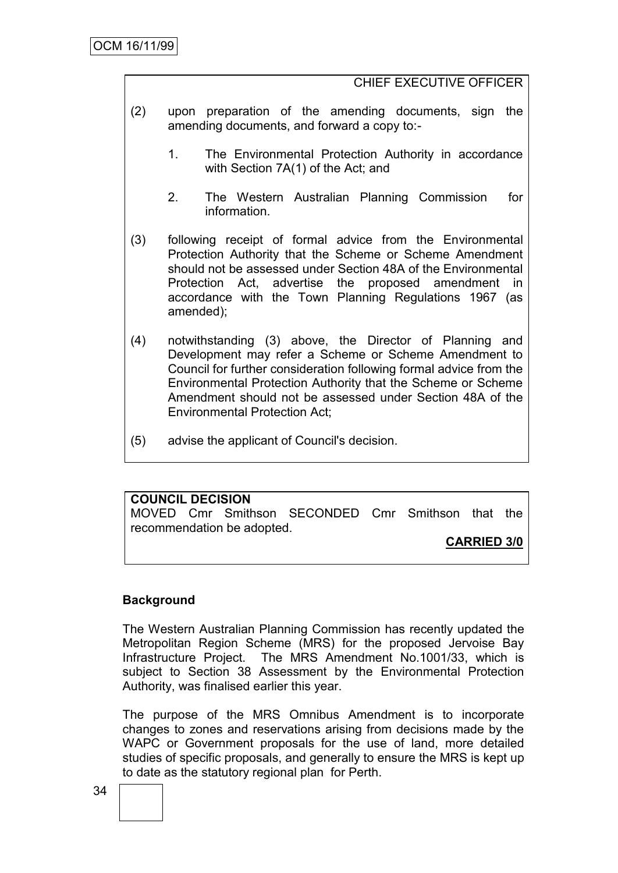### CHIEF EXECUTIVE OFFICER

- (2) upon preparation of the amending documents, sign the amending documents, and forward a copy to:-
	- 1. The Environmental Protection Authority in accordance with Section 7A(1) of the Act; and
	- 2. The Western Australian Planning Commission for information.
- (3) following receipt of formal advice from the Environmental Protection Authority that the Scheme or Scheme Amendment should not be assessed under Section 48A of the Environmental Protection Act, advertise the proposed amendment in accordance with the Town Planning Regulations 1967 (as amended);
- (4) notwithstanding (3) above, the Director of Planning and Development may refer a Scheme or Scheme Amendment to Council for further consideration following formal advice from the Environmental Protection Authority that the Scheme or Scheme Amendment should not be assessed under Section 48A of the Environmental Protection Act;
- (5) advise the applicant of Council's decision.

### **COUNCIL DECISION**

MOVED Cmr Smithson SECONDED Cmr Smithson that the recommendation be adopted.

**CARRIED 3/0**

### **Background**

The Western Australian Planning Commission has recently updated the Metropolitan Region Scheme (MRS) for the proposed Jervoise Bay Infrastructure Project. The MRS Amendment No.1001/33, which is subject to Section 38 Assessment by the Environmental Protection Authority, was finalised earlier this year.

The purpose of the MRS Omnibus Amendment is to incorporate changes to zones and reservations arising from decisions made by the WAPC or Government proposals for the use of land, more detailed studies of specific proposals, and generally to ensure the MRS is kept up to date as the statutory regional plan for Perth.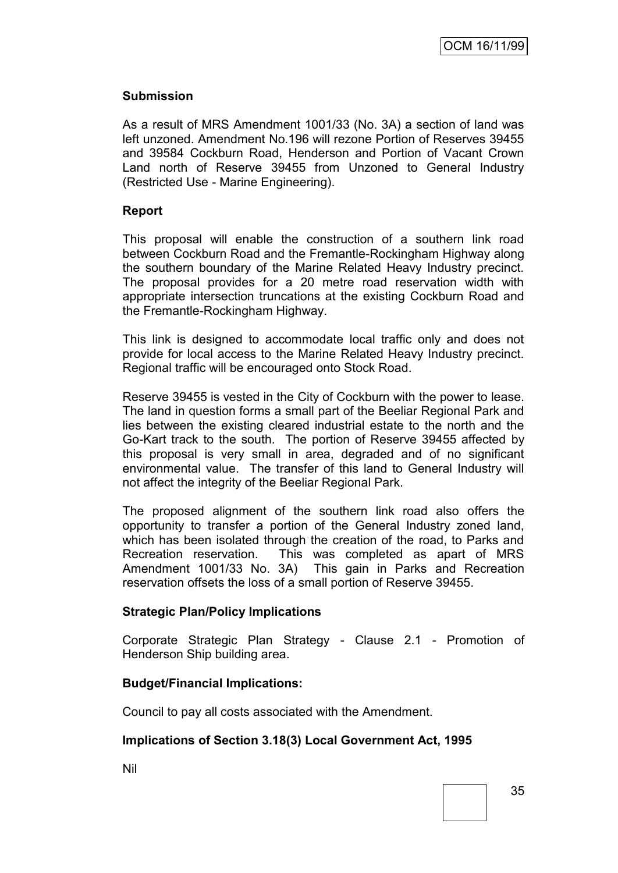#### **Submission**

As a result of MRS Amendment 1001/33 (No. 3A) a section of land was left unzoned. Amendment No.196 will rezone Portion of Reserves 39455 and 39584 Cockburn Road, Henderson and Portion of Vacant Crown Land north of Reserve 39455 from Unzoned to General Industry (Restricted Use - Marine Engineering).

#### **Report**

This proposal will enable the construction of a southern link road between Cockburn Road and the Fremantle-Rockingham Highway along the southern boundary of the Marine Related Heavy Industry precinct. The proposal provides for a 20 metre road reservation width with appropriate intersection truncations at the existing Cockburn Road and the Fremantle-Rockingham Highway.

This link is designed to accommodate local traffic only and does not provide for local access to the Marine Related Heavy Industry precinct. Regional traffic will be encouraged onto Stock Road.

Reserve 39455 is vested in the City of Cockburn with the power to lease. The land in question forms a small part of the Beeliar Regional Park and lies between the existing cleared industrial estate to the north and the Go-Kart track to the south. The portion of Reserve 39455 affected by this proposal is very small in area, degraded and of no significant environmental value. The transfer of this land to General Industry will not affect the integrity of the Beeliar Regional Park.

The proposed alignment of the southern link road also offers the opportunity to transfer a portion of the General Industry zoned land, which has been isolated through the creation of the road, to Parks and Recreation reservation. This was completed as apart of MRS Amendment 1001/33 No. 3A) This gain in Parks and Recreation reservation offsets the loss of a small portion of Reserve 39455.

#### **Strategic Plan/Policy Implications**

Corporate Strategic Plan Strategy - Clause 2.1 - Promotion of Henderson Ship building area.

#### **Budget/Financial Implications:**

Council to pay all costs associated with the Amendment.

## **Implications of Section 3.18(3) Local Government Act, 1995**

Nil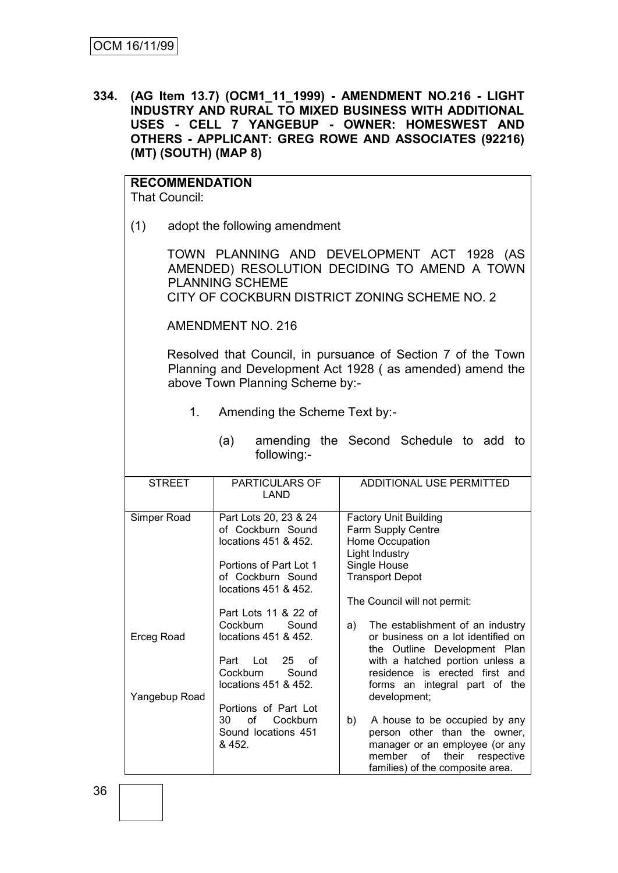**334. (AG Item 13.7) (OCM1\_11\_1999) - AMENDMENT NO.216 - LIGHT INDUSTRY AND RURAL TO MIXED BUSINESS WITH ADDITIONAL USES - CELL 7 YANGEBUP - OWNER: HOMESWEST AND OTHERS - APPLICANT: GREG ROWE AND ASSOCIATES (92216) (MT) (SOUTH) (MAP 8)**

#### **RECOMMENDATION** That Council:

(1) adopt the following amendment

TOWN PLANNING AND DEVELOPMENT ACT 1928 (AS AMENDED) RESOLUTION DECIDING TO AMEND A TOWN PLANNING SCHEME CITY OF COCKBURN DISTRICT ZONING SCHEME NO. 2

AMENDMENT NO. 216

Resolved that Council, in pursuance of Section 7 of the Town Planning and Development Act 1928 ( as amended) amend the above Town Planning Scheme by:-

1. Amending the Scheme Text by:-

| <b>STREET</b> | <b>PARTICULARS OF</b><br>LAND                                                                                                             | ADDITIONAL USE PERMITTED                                                                                                                                                                                                                           |
|---------------|-------------------------------------------------------------------------------------------------------------------------------------------|----------------------------------------------------------------------------------------------------------------------------------------------------------------------------------------------------------------------------------------------------|
| Simper Road   | Part Lots 20, 23 & 24<br>of Cockburn Sound<br>locations 451 & 452.<br>Portions of Part Lot 1<br>of Cockburn Sound<br>locations 451 & 452. | <b>Factory Unit Building</b><br>Farm Supply Centre<br>Home Occupation<br>Light Industry<br>Single House<br><b>Transport Depot</b>                                                                                                                  |
| Erceg Road    | Part Lots 11 & 22 of<br>Cockburn<br>Sound<br>locations 451 & 452.<br>Lot<br>25<br>Part<br>of<br>Cockburn<br>Sound<br>locations 451 & 452. | The Council will not permit:<br>The establishment of an industry<br>a)<br>or business on a lot identified on<br>the Outline Development Plan<br>with a hatched portion unless a<br>residence is erected first and<br>forms an integral part of the |
| Yangebup Road | Portions of Part Lot<br>of<br>30<br>Cockburn<br>Sound locations 451<br>& 452.                                                             | development;<br>b)<br>A house to be occupied by any<br>person other than the owner,<br>manager or an employee (or any<br>member<br>their respective<br>of<br>families) of the composite area.                                                      |

(a) amending the Second Schedule to add to following:-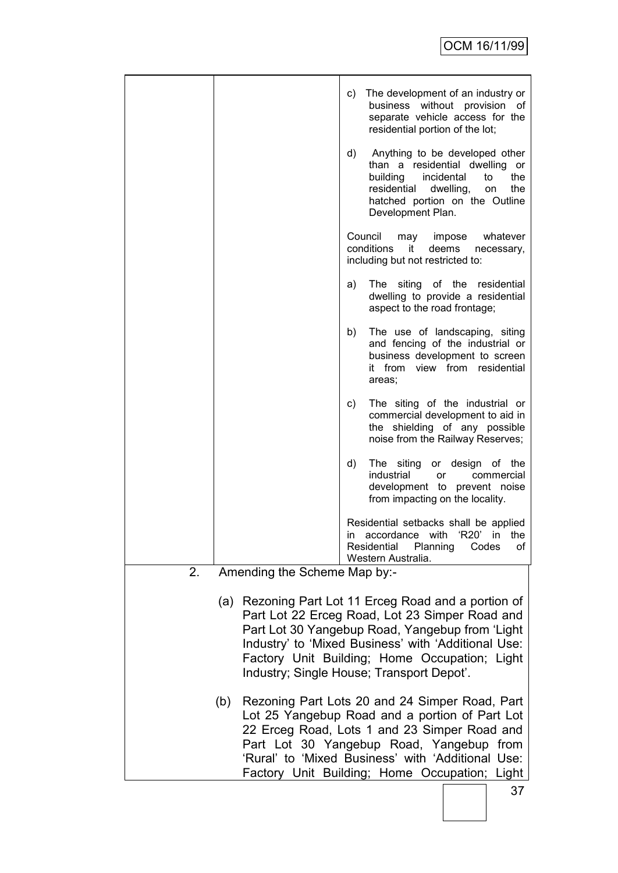|    |                                                                                                                                                                                                                                                                                                                   | The development of an industry or<br>C)<br>business without provision of<br>separate vehicle access for the<br>residential portion of the lot;<br>d)<br>Anything to be developed other<br>than a residential dwelling or<br>building<br>incidental<br>the<br>to<br>residential<br>dwelling,<br>the<br>on<br>hatched portion on the Outline<br>Development Plan. |  |  |
|----|-------------------------------------------------------------------------------------------------------------------------------------------------------------------------------------------------------------------------------------------------------------------------------------------------------------------|-----------------------------------------------------------------------------------------------------------------------------------------------------------------------------------------------------------------------------------------------------------------------------------------------------------------------------------------------------------------|--|--|
|    |                                                                                                                                                                                                                                                                                                                   | Council<br>may<br>whatever<br>impose<br>conditions<br>it<br>deems<br>necessary,<br>including but not restricted to:                                                                                                                                                                                                                                             |  |  |
|    |                                                                                                                                                                                                                                                                                                                   | The siting of the residential<br>a)<br>dwelling to provide a residential<br>aspect to the road frontage;                                                                                                                                                                                                                                                        |  |  |
|    |                                                                                                                                                                                                                                                                                                                   | The use of landscaping, siting<br>b)<br>and fencing of the industrial or<br>business development to screen<br>view from residential<br>it from<br>areas;                                                                                                                                                                                                        |  |  |
|    |                                                                                                                                                                                                                                                                                                                   | c)<br>The siting of the industrial or<br>commercial development to aid in<br>the shielding of any possible<br>noise from the Railway Reserves;                                                                                                                                                                                                                  |  |  |
|    |                                                                                                                                                                                                                                                                                                                   | d)<br>The siting<br>or design of the<br>industrial<br>commercial<br>or<br>development to prevent noise<br>from impacting on the locality.                                                                                                                                                                                                                       |  |  |
|    |                                                                                                                                                                                                                                                                                                                   | Residential setbacks shall be applied<br>'R20'<br>accordance<br>with<br>in<br>in.<br>the<br>Planning<br>Residential<br>Codes<br>of<br>Western Australia.                                                                                                                                                                                                        |  |  |
| 2. | Amending the Scheme Map by:-                                                                                                                                                                                                                                                                                      |                                                                                                                                                                                                                                                                                                                                                                 |  |  |
|    | Rezoning Part Lot 11 Erceg Road and a portion of<br>(a)<br>Part Lot 22 Erceg Road, Lot 23 Simper Road and<br>Part Lot 30 Yangebup Road, Yangebup from 'Light<br>Industry' to 'Mixed Business' with 'Additional Use:<br>Factory Unit Building; Home Occupation; Light<br>Industry; Single House; Transport Depot'. |                                                                                                                                                                                                                                                                                                                                                                 |  |  |
|    | (b)                                                                                                                                                                                                                                                                                                               | Rezoning Part Lots 20 and 24 Simper Road, Part<br>Lot 25 Yangebup Road and a portion of Part Lot<br>22 Erceg Road, Lots 1 and 23 Simper Road and<br>Part Lot 30 Yangebup Road, Yangebup from<br>'Rural' to 'Mixed Business' with 'Additional Use:<br>Factory Unit Building; Home Occupation; Light                                                              |  |  |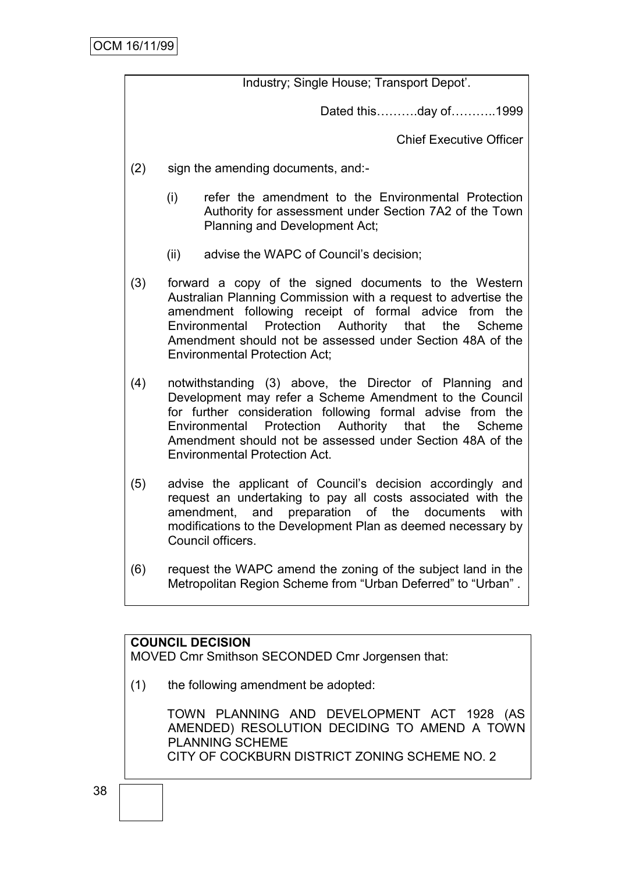Industry; Single House; Transport Depot".

Dated this……….day of………..1999

Chief Executive Officer

- (2) sign the amending documents, and:-
	- (i) refer the amendment to the Environmental Protection Authority for assessment under Section 7A2 of the Town Planning and Development Act;
	- (ii) advise the WAPC of Council"s decision;
- (3) forward a copy of the signed documents to the Western Australian Planning Commission with a request to advertise the amendment following receipt of formal advice from the Environmental Protection Authority that the Scheme Amendment should not be assessed under Section 48A of the Environmental Protection Act;
- (4) notwithstanding (3) above, the Director of Planning and Development may refer a Scheme Amendment to the Council for further consideration following formal advise from the Environmental Protection Authority that the Scheme Amendment should not be assessed under Section 48A of the Environmental Protection Act.
- (5) advise the applicant of Council"s decision accordingly and request an undertaking to pay all costs associated with the amendment, and preparation of the documents with modifications to the Development Plan as deemed necessary by Council officers.
- (6) request the WAPC amend the zoning of the subject land in the Metropolitan Region Scheme from "Urban Deferred" to "Urban" .

#### **COUNCIL DECISION**

MOVED Cmr Smithson SECONDED Cmr Jorgensen that:

(1) the following amendment be adopted:

TOWN PLANNING AND DEVELOPMENT ACT 1928 (AS AMENDED) RESOLUTION DECIDING TO AMEND A TOWN PLANNING SCHEME CITY OF COCKBURN DISTRICT ZONING SCHEME NO. 2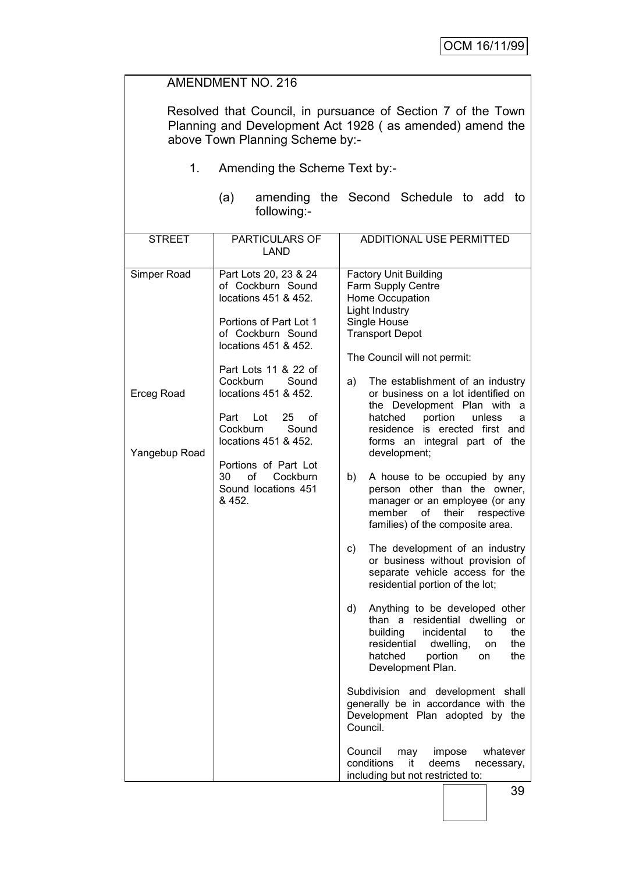## AMENDMENT NO. 216

Resolved that Council, in pursuance of Section 7 of the Town Planning and Development Act 1928 ( as amended) amend the above Town Planning Scheme by:-

- 1. Amending the Scheme Text by:-
	- (a) amending the Second Schedule to add to following:-

| <b>STREET</b>                      | PARTICULARS OF<br><b>LAND</b>                                                                                        | ADDITIONAL USE PERMITTED                                                                                                                                                                                             |
|------------------------------------|----------------------------------------------------------------------------------------------------------------------|----------------------------------------------------------------------------------------------------------------------------------------------------------------------------------------------------------------------|
| Simper Road                        | Part Lots 20, 23 & 24<br>of Cockburn Sound<br>locations 451 & 452.<br>Portions of Part Lot 1<br>of Cockburn Sound    | <b>Factory Unit Building</b><br>Farm Supply Centre<br>Home Occupation<br>Light Industry<br>Single House<br><b>Transport Depot</b>                                                                                    |
|                                    | locations 451 & 452.<br>Part Lots 11 & 22 of<br>Cockburn<br>Sound                                                    | The Council will not permit:<br>a)<br>The establishment of an industry                                                                                                                                               |
| <b>Erceg Road</b><br>Yangebup Road | locations 451 & 452.<br>25<br>Part<br>Lot<br>οf<br>Cockburn<br>Sound<br>locations 451 & 452.<br>Portions of Part Lot | or business on a lot identified on<br>the Development Plan with a<br>hatched<br>portion<br>unless<br>a<br>residence is erected first and<br>forms an integral part of the<br>development;                            |
|                                    | 30<br>οf<br>Cockburn<br>Sound locations 451<br>& 452.                                                                | b)<br>A house to be occupied by any<br>person other than the owner,<br>manager or an employee (or any<br>member<br>of<br>their<br>respective<br>families) of the composite area.                                     |
|                                    |                                                                                                                      | The development of an industry<br>c)<br>or business without provision of<br>separate vehicle access for the<br>residential portion of the lot;                                                                       |
|                                    |                                                                                                                      | Anything to be developed other<br>d)<br>than a<br>residential dwelling<br>or<br>building<br>incidental<br>the<br>to<br>residential<br>the<br>dwelling,<br>on<br>portion<br>hatched<br>the<br>on<br>Development Plan. |
|                                    |                                                                                                                      | Subdivision and development shall<br>generally be in accordance with the<br>Development Plan adopted by the<br>Council.                                                                                              |
|                                    |                                                                                                                      | Council<br>may<br>impose<br>whatever<br>conditions<br>it<br>deems<br>necessary,<br>including but not restricted to:                                                                                                  |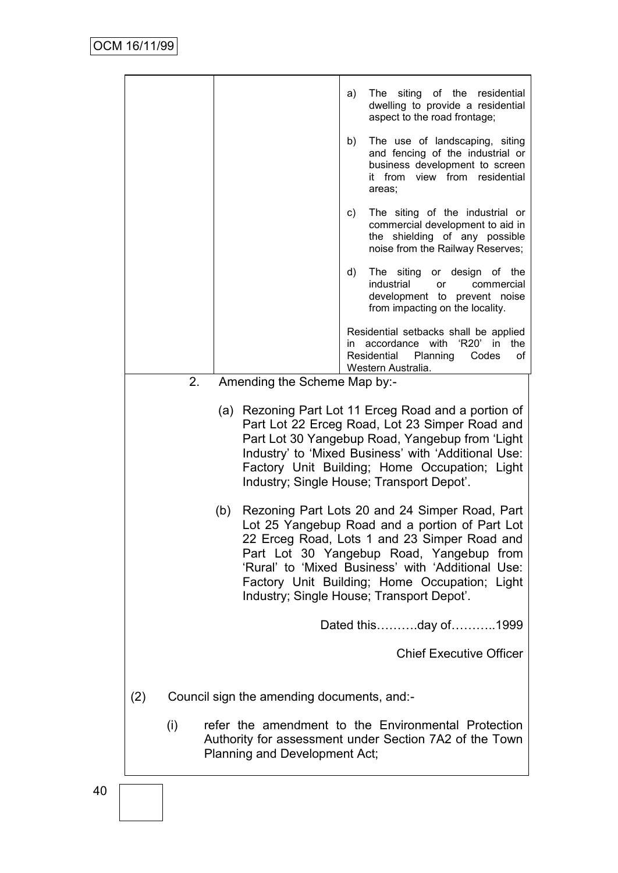|     |                                                                                                                                                                                                                                                                                                                                                        | a) | The siting of the residential<br>dwelling to provide a residential<br>aspect to the road frontage;                                              |  |  |
|-----|--------------------------------------------------------------------------------------------------------------------------------------------------------------------------------------------------------------------------------------------------------------------------------------------------------------------------------------------------------|----|-------------------------------------------------------------------------------------------------------------------------------------------------|--|--|
|     |                                                                                                                                                                                                                                                                                                                                                        | b) | The use of landscaping, siting<br>and fencing of the industrial or<br>business development to screen<br>it from view from residential<br>areas; |  |  |
|     |                                                                                                                                                                                                                                                                                                                                                        | C) | The siting of the industrial or<br>commercial development to aid in<br>the shielding of any possible<br>noise from the Railway Reserves;        |  |  |
|     |                                                                                                                                                                                                                                                                                                                                                        | d) | The siting or design of the<br>industrial<br><b>or</b><br>commercial<br>development to prevent noise<br>from impacting on the locality.         |  |  |
|     |                                                                                                                                                                                                                                                                                                                                                        | in | Residential setbacks shall be applied<br>accordance with 'R20' in<br>the<br>Residential<br>Planning<br>Codes<br>of<br>Western Australia.        |  |  |
| 2.  | Amending the Scheme Map by:-                                                                                                                                                                                                                                                                                                                           |    |                                                                                                                                                 |  |  |
|     | (a) Rezoning Part Lot 11 Erceg Road and a portion of<br>Part Lot 22 Erceg Road, Lot 23 Simper Road and<br>Part Lot 30 Yangebup Road, Yangebup from 'Light<br>Industry' to 'Mixed Business' with 'Additional Use:<br>Factory Unit Building; Home Occupation; Light<br>Industry; Single House; Transport Depot'.                                         |    |                                                                                                                                                 |  |  |
|     | Rezoning Part Lots 20 and 24 Simper Road, Part<br>(b)<br>Lot 25 Yangebup Road and a portion of Part Lot<br>22 Erceg Road, Lots 1 and 23 Simper Road and<br>Part Lot 30 Yangebup Road, Yangebup from<br>'Rural' to 'Mixed Business' with 'Additional Use:<br>Factory Unit Building; Home Occupation; Light<br>Industry; Single House; Transport Depot'. |    |                                                                                                                                                 |  |  |
|     |                                                                                                                                                                                                                                                                                                                                                        |    | Dated thisday of1999                                                                                                                            |  |  |
|     |                                                                                                                                                                                                                                                                                                                                                        |    | <b>Chief Executive Officer</b>                                                                                                                  |  |  |
| (2) | Council sign the amending documents, and:-                                                                                                                                                                                                                                                                                                             |    |                                                                                                                                                 |  |  |
| (i) | Planning and Development Act;                                                                                                                                                                                                                                                                                                                          |    | refer the amendment to the Environmental Protection<br>Authority for assessment under Section 7A2 of the Town                                   |  |  |
|     |                                                                                                                                                                                                                                                                                                                                                        |    |                                                                                                                                                 |  |  |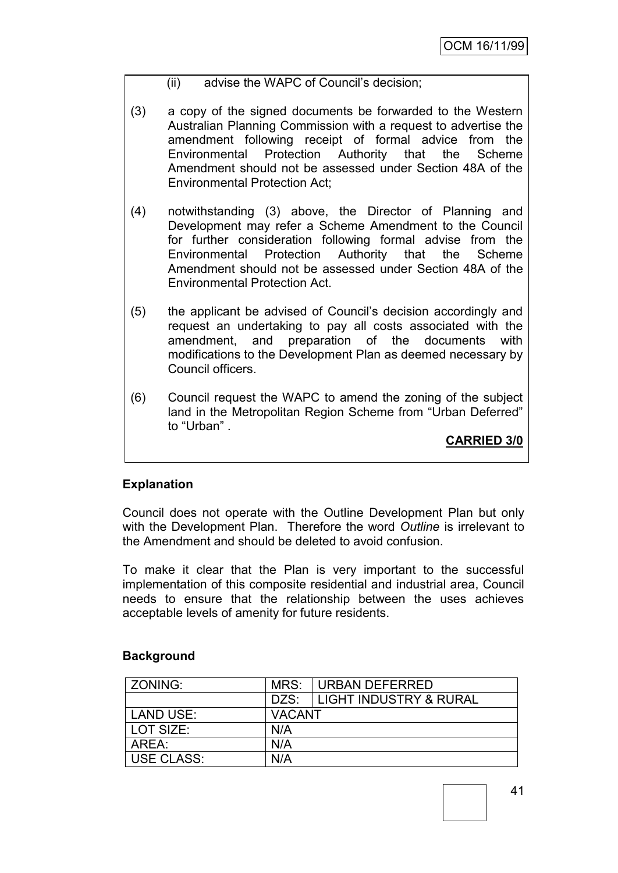#### (ii) advise the WAPC of Council"s decision;

- (3) a copy of the signed documents be forwarded to the Western Australian Planning Commission with a request to advertise the amendment following receipt of formal advice from the Environmental Protection Authority that the Scheme Amendment should not be assessed under Section 48A of the Environmental Protection Act;
- (4) notwithstanding (3) above, the Director of Planning and Development may refer a Scheme Amendment to the Council for further consideration following formal advise from the Environmental Protection Authority that the Scheme Amendment should not be assessed under Section 48A of the Environmental Protection Act.
- (5) the applicant be advised of Council"s decision accordingly and request an undertaking to pay all costs associated with the amendment, and preparation of the documents with modifications to the Development Plan as deemed necessary by Council officers.
- (6) Council request the WAPC to amend the zoning of the subject land in the Metropolitan Region Scheme from "Urban Deferred" to "Urban" .

**CARRIED 3/0**

#### **Explanation**

Council does not operate with the Outline Development Plan but only with the Development Plan. Therefore the word *Outline* is irrelevant to the Amendment and should be deleted to avoid confusion.

To make it clear that the Plan is very important to the successful implementation of this composite residential and industrial area, Council needs to ensure that the relationship between the uses achieves acceptable levels of amenity for future residents.

#### **Background**

| ZONING:           | MRS:   | URBAN DEFERRED                    |  |  |
|-------------------|--------|-----------------------------------|--|--|
|                   | DZS:   | <b>LIGHT INDUSTRY &amp; RURAL</b> |  |  |
| LAND USE:         | VACANT |                                   |  |  |
| LOT SIZE:         | N/A    |                                   |  |  |
| AREA:             | N/A    |                                   |  |  |
| <b>USE CLASS:</b> | N/A    |                                   |  |  |

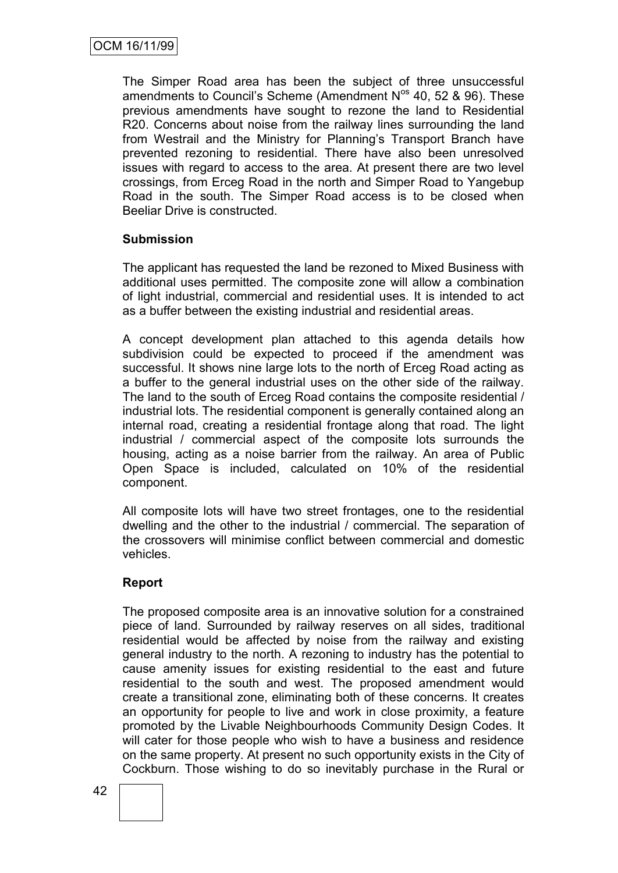The Simper Road area has been the subject of three unsuccessful amendments to Council's Scheme (Amendment  $N^{os}$  40, 52 & 96). These previous amendments have sought to rezone the land to Residential R20. Concerns about noise from the railway lines surrounding the land from Westrail and the Ministry for Planning"s Transport Branch have prevented rezoning to residential. There have also been unresolved issues with regard to access to the area. At present there are two level crossings, from Erceg Road in the north and Simper Road to Yangebup Road in the south. The Simper Road access is to be closed when Beeliar Drive is constructed.

#### **Submission**

The applicant has requested the land be rezoned to Mixed Business with additional uses permitted. The composite zone will allow a combination of light industrial, commercial and residential uses. It is intended to act as a buffer between the existing industrial and residential areas.

A concept development plan attached to this agenda details how subdivision could be expected to proceed if the amendment was successful. It shows nine large lots to the north of Erceg Road acting as a buffer to the general industrial uses on the other side of the railway. The land to the south of Erceg Road contains the composite residential / industrial lots. The residential component is generally contained along an internal road, creating a residential frontage along that road. The light industrial / commercial aspect of the composite lots surrounds the housing, acting as a noise barrier from the railway. An area of Public Open Space is included, calculated on 10% of the residential component.

All composite lots will have two street frontages, one to the residential dwelling and the other to the industrial / commercial. The separation of the crossovers will minimise conflict between commercial and domestic vehicles.

#### **Report**

The proposed composite area is an innovative solution for a constrained piece of land. Surrounded by railway reserves on all sides, traditional residential would be affected by noise from the railway and existing general industry to the north. A rezoning to industry has the potential to cause amenity issues for existing residential to the east and future residential to the south and west. The proposed amendment would create a transitional zone, eliminating both of these concerns. It creates an opportunity for people to live and work in close proximity, a feature promoted by the Livable Neighbourhoods Community Design Codes. It will cater for those people who wish to have a business and residence on the same property. At present no such opportunity exists in the City of Cockburn. Those wishing to do so inevitably purchase in the Rural or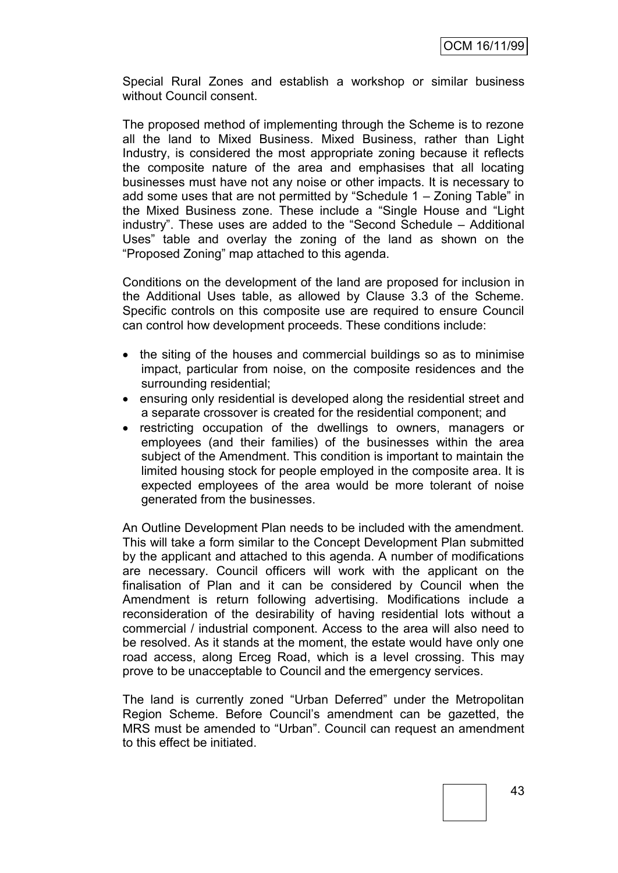Special Rural Zones and establish a workshop or similar business without Council consent.

The proposed method of implementing through the Scheme is to rezone all the land to Mixed Business. Mixed Business, rather than Light Industry, is considered the most appropriate zoning because it reflects the composite nature of the area and emphasises that all locating businesses must have not any noise or other impacts. It is necessary to add some uses that are not permitted by "Schedule 1 – Zoning Table" in the Mixed Business zone. These include a "Single House and "Light industry". These uses are added to the "Second Schedule – Additional Uses" table and overlay the zoning of the land as shown on the "Proposed Zoning" map attached to this agenda.

Conditions on the development of the land are proposed for inclusion in the Additional Uses table, as allowed by Clause 3.3 of the Scheme. Specific controls on this composite use are required to ensure Council can control how development proceeds. These conditions include:

- the siting of the houses and commercial buildings so as to minimise impact, particular from noise, on the composite residences and the surrounding residential;
- ensuring only residential is developed along the residential street and a separate crossover is created for the residential component; and
- restricting occupation of the dwellings to owners, managers or employees (and their families) of the businesses within the area subject of the Amendment. This condition is important to maintain the limited housing stock for people employed in the composite area. It is expected employees of the area would be more tolerant of noise generated from the businesses.

An Outline Development Plan needs to be included with the amendment. This will take a form similar to the Concept Development Plan submitted by the applicant and attached to this agenda. A number of modifications are necessary. Council officers will work with the applicant on the finalisation of Plan and it can be considered by Council when the Amendment is return following advertising. Modifications include a reconsideration of the desirability of having residential lots without a commercial / industrial component. Access to the area will also need to be resolved. As it stands at the moment, the estate would have only one road access, along Erceg Road, which is a level crossing. This may prove to be unacceptable to Council and the emergency services.

The land is currently zoned "Urban Deferred" under the Metropolitan Region Scheme. Before Council"s amendment can be gazetted, the MRS must be amended to "Urban". Council can request an amendment to this effect be initiated.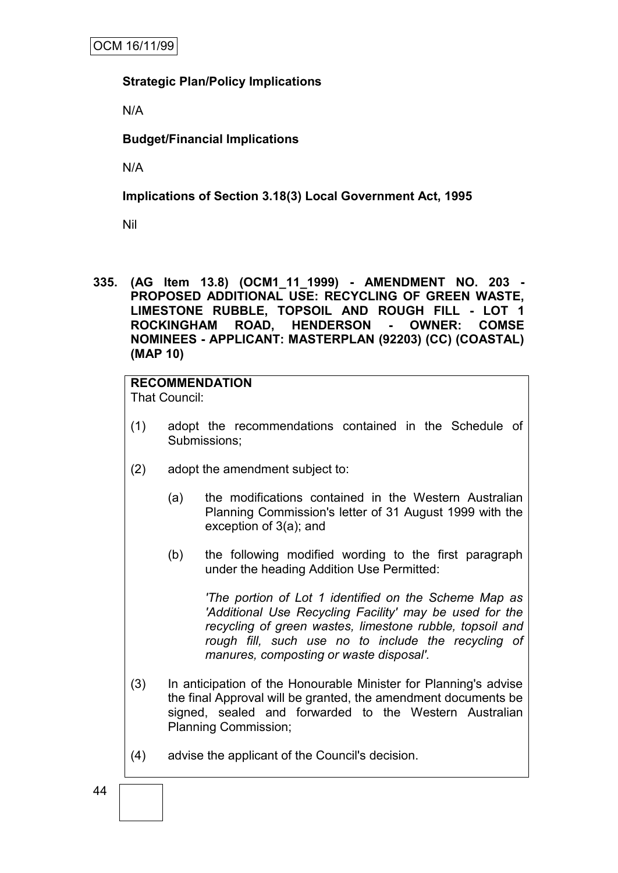#### **Strategic Plan/Policy Implications**

N/A

#### **Budget/Financial Implications**

N/A

#### **Implications of Section 3.18(3) Local Government Act, 1995**

Nil

**335. (AG Item 13.8) (OCM1\_11\_1999) - AMENDMENT NO. 203 - PROPOSED ADDITIONAL USE: RECYCLING OF GREEN WASTE, LIMESTONE RUBBLE, TOPSOIL AND ROUGH FILL - LOT 1 ROCKINGHAM ROAD, HENDERSON - OWNER: COMSE NOMINEES - APPLICANT: MASTERPLAN (92203) (CC) (COASTAL) (MAP 10)**

# **RECOMMENDATION**

That Council:

- (1) adopt the recommendations contained in the Schedule of Submissions;
- (2) adopt the amendment subject to:
	- (a) the modifications contained in the Western Australian Planning Commission's letter of 31 August 1999 with the exception of 3(a); and
	- (b) the following modified wording to the first paragraph under the heading Addition Use Permitted:

*'The portion of Lot 1 identified on the Scheme Map as 'Additional Use Recycling Facility' may be used for the recycling of green wastes, limestone rubble, topsoil and rough fill, such use no to include the recycling of manures, composting or waste disposal'.*

- (3) In anticipation of the Honourable Minister for Planning's advise the final Approval will be granted, the amendment documents be signed, sealed and forwarded to the Western Australian Planning Commission;
- (4) advise the applicant of the Council's decision.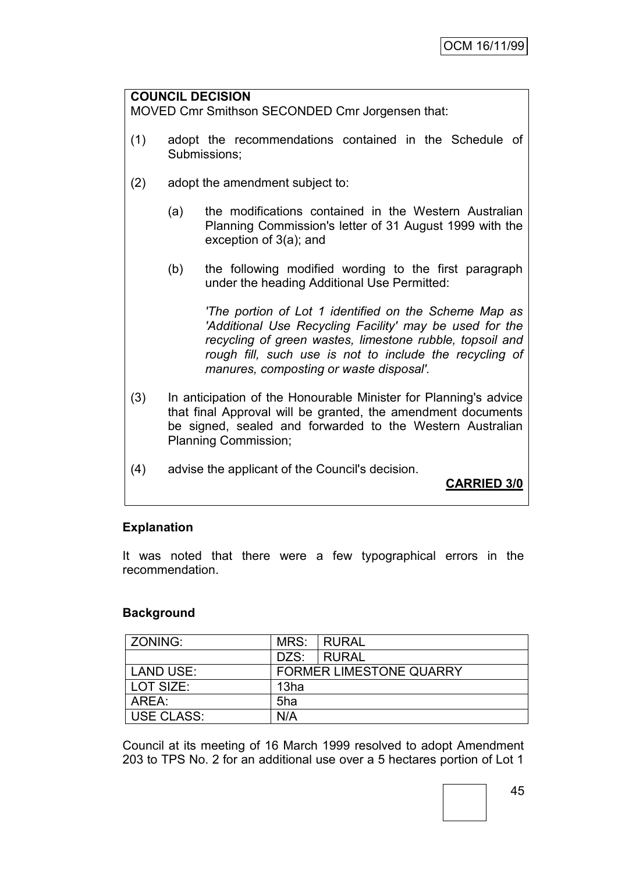#### **COUNCIL DECISION**

MOVED Cmr Smithson SECONDED Cmr Jorgensen that:

- (1) adopt the recommendations contained in the Schedule of Submissions;
- (2) adopt the amendment subject to:
	- (a) the modifications contained in the Western Australian Planning Commission's letter of 31 August 1999 with the exception of 3(a); and
	- (b) the following modified wording to the first paragraph under the heading Additional Use Permitted:

*'The portion of Lot 1 identified on the Scheme Map as 'Additional Use Recycling Facility' may be used for the recycling of green wastes, limestone rubble, topsoil and rough fill, such use is not to include the recycling of manures, composting or waste disposal'.*

- (3) In anticipation of the Honourable Minister for Planning's advice that final Approval will be granted, the amendment documents be signed, sealed and forwarded to the Western Australian Planning Commission;
- (4) advise the applicant of the Council's decision.

**CARRIED 3/0**

#### **Explanation**

It was noted that there were a few typographical errors in the recommendation.

#### **Background**

| ZONING:    | MRS:                           | I RURAL |  |  |
|------------|--------------------------------|---------|--|--|
|            | DZS:                           | I RURAL |  |  |
| LAND USE:  | <b>FORMER LIMESTONE QUARRY</b> |         |  |  |
| LOT SIZE:  | 13ha                           |         |  |  |
| AREA:      | 5ha                            |         |  |  |
| USE CLASS: | N/A                            |         |  |  |

Council at its meeting of 16 March 1999 resolved to adopt Amendment 203 to TPS No. 2 for an additional use over a 5 hectares portion of Lot 1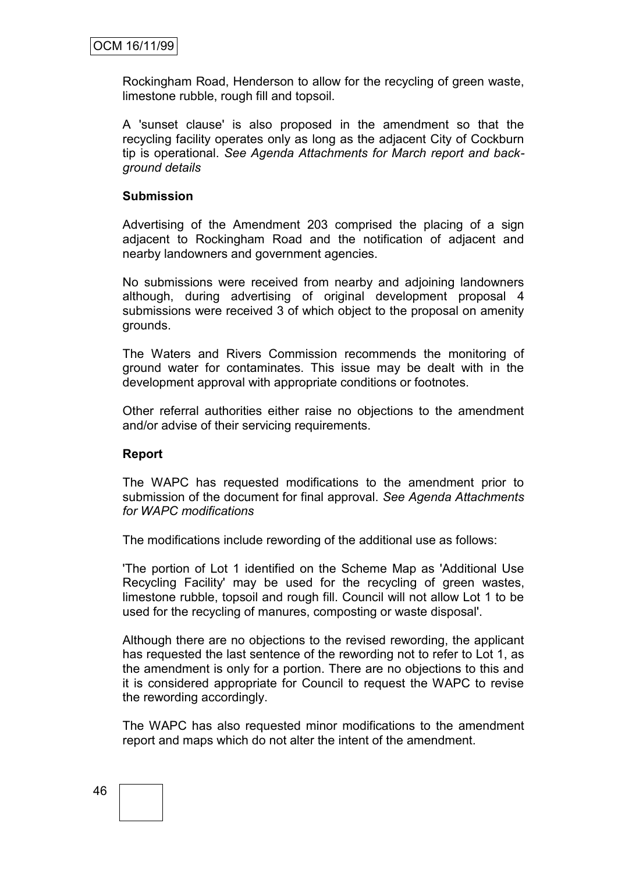Rockingham Road, Henderson to allow for the recycling of green waste, limestone rubble, rough fill and topsoil.

A 'sunset clause' is also proposed in the amendment so that the recycling facility operates only as long as the adjacent City of Cockburn tip is operational. *See Agenda Attachments for March report and background details*

#### **Submission**

Advertising of the Amendment 203 comprised the placing of a sign adjacent to Rockingham Road and the notification of adjacent and nearby landowners and government agencies.

No submissions were received from nearby and adjoining landowners although, during advertising of original development proposal 4 submissions were received 3 of which object to the proposal on amenity grounds.

The Waters and Rivers Commission recommends the monitoring of ground water for contaminates. This issue may be dealt with in the development approval with appropriate conditions or footnotes.

Other referral authorities either raise no objections to the amendment and/or advise of their servicing requirements.

#### **Report**

The WAPC has requested modifications to the amendment prior to submission of the document for final approval. *See Agenda Attachments for WAPC modifications*

The modifications include rewording of the additional use as follows:

'The portion of Lot 1 identified on the Scheme Map as 'Additional Use Recycling Facility' may be used for the recycling of green wastes, limestone rubble, topsoil and rough fill. Council will not allow Lot 1 to be used for the recycling of manures, composting or waste disposal'.

Although there are no objections to the revised rewording, the applicant has requested the last sentence of the rewording not to refer to Lot 1, as the amendment is only for a portion. There are no objections to this and it is considered appropriate for Council to request the WAPC to revise the rewording accordingly.

The WAPC has also requested minor modifications to the amendment report and maps which do not alter the intent of the amendment.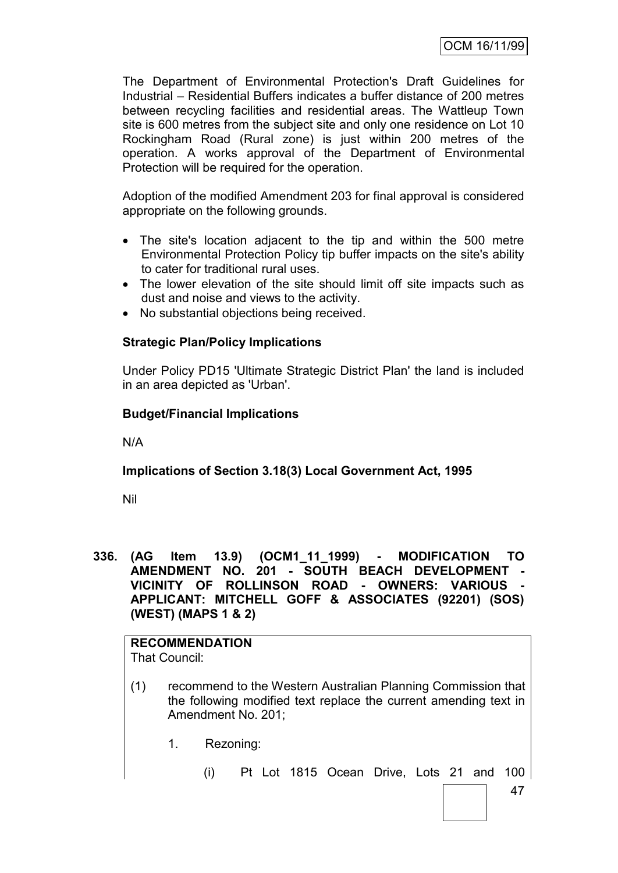The Department of Environmental Protection's Draft Guidelines for Industrial – Residential Buffers indicates a buffer distance of 200 metres between recycling facilities and residential areas. The Wattleup Town site is 600 metres from the subject site and only one residence on Lot 10 Rockingham Road (Rural zone) is just within 200 metres of the operation. A works approval of the Department of Environmental Protection will be required for the operation.

Adoption of the modified Amendment 203 for final approval is considered appropriate on the following grounds.

- The site's location adjacent to the tip and within the 500 metre Environmental Protection Policy tip buffer impacts on the site's ability to cater for traditional rural uses.
- The lower elevation of the site should limit off site impacts such as dust and noise and views to the activity.
- No substantial objections being received.

#### **Strategic Plan/Policy Implications**

Under Policy PD15 'Ultimate Strategic District Plan' the land is included in an area depicted as 'Urban'.

#### **Budget/Financial Implications**

N/A

## **Implications of Section 3.18(3) Local Government Act, 1995**

Nil

**336. (AG Item 13.9) (OCM1\_11\_1999) - MODIFICATION TO AMENDMENT NO. 201 - SOUTH BEACH DEVELOPMENT VICINITY OF ROLLINSON ROAD - OWNERS: VARIOUS - APPLICANT: MITCHELL GOFF & ASSOCIATES (92201) (SOS) (WEST) (MAPS 1 & 2)**

# **RECOMMENDATION**

That Council:

- (1) recommend to the Western Australian Planning Commission that the following modified text replace the current amending text in Amendment No. 201;
	- 1. Rezoning:
		- (i) Pt Lot 1815 Ocean Drive, Lots 21 and 100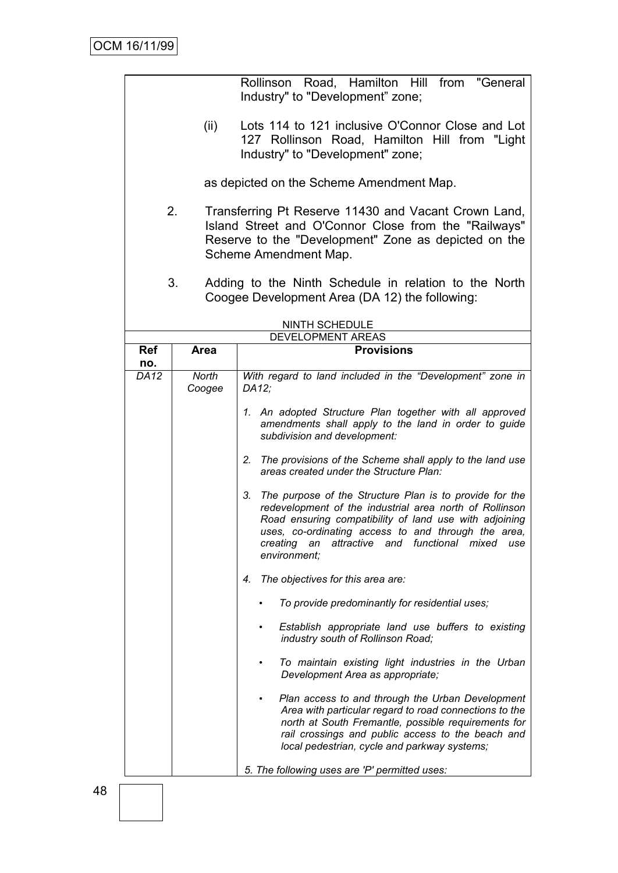|             |                                                                                                                                               | Rollinson Road, Hamilton Hill from "General<br>Industry" to "Development" zone;                                                                                                                                                                                                                                             |  |  |  |  |
|-------------|-----------------------------------------------------------------------------------------------------------------------------------------------|-----------------------------------------------------------------------------------------------------------------------------------------------------------------------------------------------------------------------------------------------------------------------------------------------------------------------------|--|--|--|--|
|             |                                                                                                                                               |                                                                                                                                                                                                                                                                                                                             |  |  |  |  |
|             | Lots 114 to 121 inclusive O'Connor Close and Lot<br>(ii)<br>127 Rollinson Road, Hamilton Hill from "Light<br>Industry" to "Development" zone; |                                                                                                                                                                                                                                                                                                                             |  |  |  |  |
|             |                                                                                                                                               | as depicted on the Scheme Amendment Map.                                                                                                                                                                                                                                                                                    |  |  |  |  |
|             | 2.                                                                                                                                            | Transferring Pt Reserve 11430 and Vacant Crown Land,                                                                                                                                                                                                                                                                        |  |  |  |  |
|             |                                                                                                                                               | Island Street and O'Connor Close from the "Railways"<br>Reserve to the "Development" Zone as depicted on the<br>Scheme Amendment Map.                                                                                                                                                                                       |  |  |  |  |
|             | 3.                                                                                                                                            | Adding to the Ninth Schedule in relation to the North<br>Coogee Development Area (DA 12) the following:                                                                                                                                                                                                                     |  |  |  |  |
|             |                                                                                                                                               | NINTH SCHEDULE                                                                                                                                                                                                                                                                                                              |  |  |  |  |
| <b>Ref</b>  | <b>Area</b>                                                                                                                                   | DEVELOPMENT AREAS<br><b>Provisions</b>                                                                                                                                                                                                                                                                                      |  |  |  |  |
| no.         |                                                                                                                                               |                                                                                                                                                                                                                                                                                                                             |  |  |  |  |
| <b>DA12</b> | North<br>Coogee                                                                                                                               | With regard to land included in the "Development" zone in<br>DA12;                                                                                                                                                                                                                                                          |  |  |  |  |
|             |                                                                                                                                               | 1. An adopted Structure Plan together with all approved<br>amendments shall apply to the land in order to guide<br>subdivision and development:                                                                                                                                                                             |  |  |  |  |
|             |                                                                                                                                               | 2. The provisions of the Scheme shall apply to the land use<br>areas created under the Structure Plan:                                                                                                                                                                                                                      |  |  |  |  |
|             |                                                                                                                                               | 3.<br>The purpose of the Structure Plan is to provide for the<br>redevelopment of the industrial area north of Rollinson<br>Road ensuring compatibility of land use with adjoining<br>uses, co-ordinating access to and through the area,<br>and functional<br>creating<br>attractive<br>mixed<br>use<br>an<br>environment; |  |  |  |  |
|             |                                                                                                                                               | The objectives for this area are:<br>4.                                                                                                                                                                                                                                                                                     |  |  |  |  |
|             |                                                                                                                                               | To provide predominantly for residential uses;                                                                                                                                                                                                                                                                              |  |  |  |  |
|             |                                                                                                                                               | Establish appropriate land use buffers to existing<br>industry south of Rollinson Road;                                                                                                                                                                                                                                     |  |  |  |  |
|             |                                                                                                                                               | To maintain existing light industries in the Urban<br>Development Area as appropriate;                                                                                                                                                                                                                                      |  |  |  |  |
|             |                                                                                                                                               | Plan access to and through the Urban Development<br>Area with particular regard to road connections to the<br>north at South Fremantle, possible requirements for<br>rail crossings and public access to the beach and<br>local pedestrian, cycle and parkway systems;                                                      |  |  |  |  |
|             |                                                                                                                                               | 5. The following uses are 'P' permitted uses:                                                                                                                                                                                                                                                                               |  |  |  |  |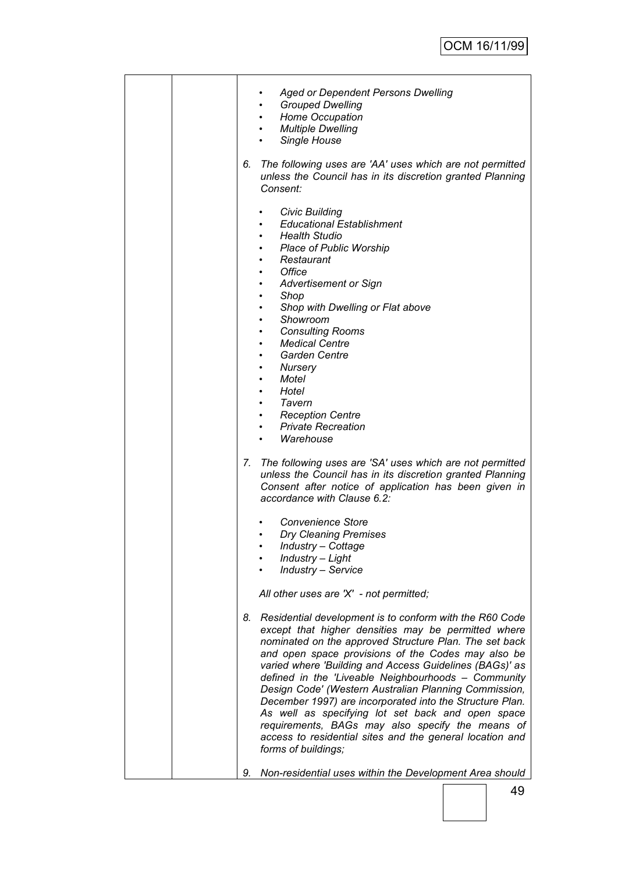| <b>Aged or Dependent Persons Dwelling</b><br><b>Grouped Dwelling</b><br>$\bullet$<br><b>Home Occupation</b><br>$\bullet$<br>• Multiple Dwelling<br>Single House<br>6.<br>The following uses are 'AA' uses which are not permitted<br>unless the Council has in its discretion granted Planning<br>Consent:                                                                                                                                                                                                                                                                                                                                                                                                         |
|--------------------------------------------------------------------------------------------------------------------------------------------------------------------------------------------------------------------------------------------------------------------------------------------------------------------------------------------------------------------------------------------------------------------------------------------------------------------------------------------------------------------------------------------------------------------------------------------------------------------------------------------------------------------------------------------------------------------|
| <b>Civic Building</b><br><b>Educational Establishment</b><br><b>Health Studio</b><br>٠<br><b>Place of Public Worship</b><br>٠<br>Restaurant<br>٠<br>Office<br><b>Advertisement or Sign</b><br>Shop<br>$\bullet$<br>Shop with Dwelling or Flat above<br>$\bullet$<br>Showroom<br>$\bullet$<br><b>Consulting Rooms</b><br>$\bullet$<br><b>Medical Centre</b><br>$\bullet$<br><b>Garden Centre</b><br>$\bullet$<br>Nursery<br>$\bullet$<br>Motel<br>$\bullet$<br>Hotel<br>$\bullet$<br>Tavern<br>$\bullet$<br>• Reception Centre<br>• Private Recreation                                                                                                                                                              |
| Warehouse<br>7. The following uses are 'SA' uses which are not permitted<br>unless the Council has in its discretion granted Planning<br>Consent after notice of application has been given in<br>accordance with Clause 6.2:                                                                                                                                                                                                                                                                                                                                                                                                                                                                                      |
| <b>Convenience Store</b><br><b>Dry Cleaning Premises</b><br>٠<br>Industry - Cottage<br>Industry - Light<br><b>Industry - Service</b>                                                                                                                                                                                                                                                                                                                                                                                                                                                                                                                                                                               |
| All other uses are 'X' - not permitted;<br>Residential development is to conform with the R60 Code<br>8.<br>except that higher densities may be permitted where<br>nominated on the approved Structure Plan. The set back<br>and open space provisions of the Codes may also be<br>varied where 'Building and Access Guidelines (BAGs)' as<br>defined in the 'Liveable Neighbourhoods - Community<br>Design Code' (Western Australian Planning Commission,<br>December 1997) are incorporated into the Structure Plan.<br>As well as specifying lot set back and open space<br>requirements, BAGs may also specify the means of<br>access to residential sites and the general location and<br>forms of buildings; |
| Non-residential uses within the Development Area should<br>9.                                                                                                                                                                                                                                                                                                                                                                                                                                                                                                                                                                                                                                                      |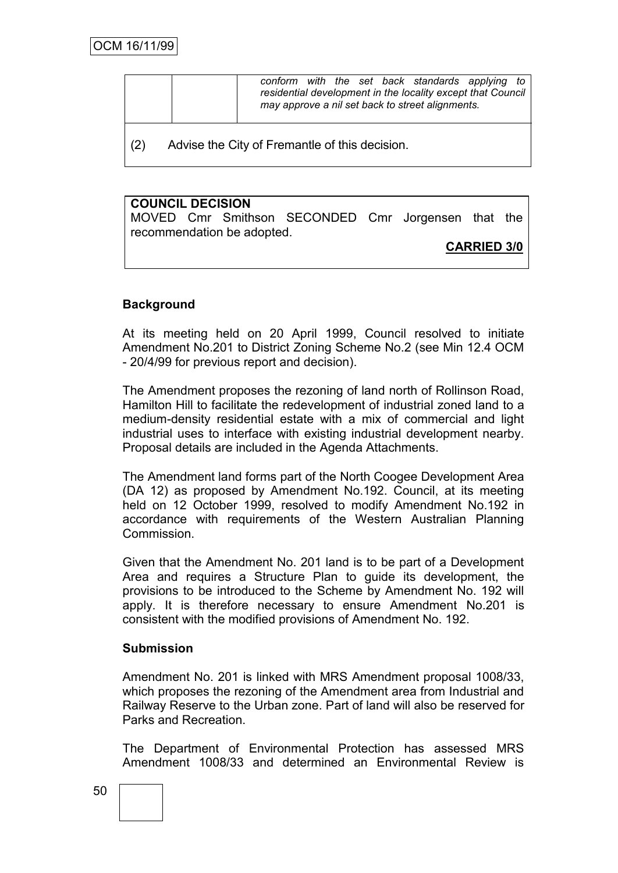|     | conform with the set back standards applying<br>to<br>residential development in the locality except that Council<br>may approve a nil set back to street alignments. |
|-----|-----------------------------------------------------------------------------------------------------------------------------------------------------------------------|
| (2) | Advise the City of Fremantle of this decision.                                                                                                                        |

#### **COUNCIL DECISION**

MOVED Cmr Smithson SECONDED Cmr Jorgensen that the recommendation be adopted.

**CARRIED 3/0**

## **Background**

At its meeting held on 20 April 1999, Council resolved to initiate Amendment No.201 to District Zoning Scheme No.2 (see Min 12.4 OCM - 20/4/99 for previous report and decision).

The Amendment proposes the rezoning of land north of Rollinson Road, Hamilton Hill to facilitate the redevelopment of industrial zoned land to a medium-density residential estate with a mix of commercial and light industrial uses to interface with existing industrial development nearby. Proposal details are included in the Agenda Attachments.

The Amendment land forms part of the North Coogee Development Area (DA 12) as proposed by Amendment No.192. Council, at its meeting held on 12 October 1999, resolved to modify Amendment No.192 in accordance with requirements of the Western Australian Planning **Commission** 

Given that the Amendment No. 201 land is to be part of a Development Area and requires a Structure Plan to guide its development, the provisions to be introduced to the Scheme by Amendment No. 192 will apply. It is therefore necessary to ensure Amendment No.201 is consistent with the modified provisions of Amendment No. 192.

#### **Submission**

Amendment No. 201 is linked with MRS Amendment proposal 1008/33, which proposes the rezoning of the Amendment area from Industrial and Railway Reserve to the Urban zone. Part of land will also be reserved for Parks and Recreation.

The Department of Environmental Protection has assessed MRS Amendment 1008/33 and determined an Environmental Review is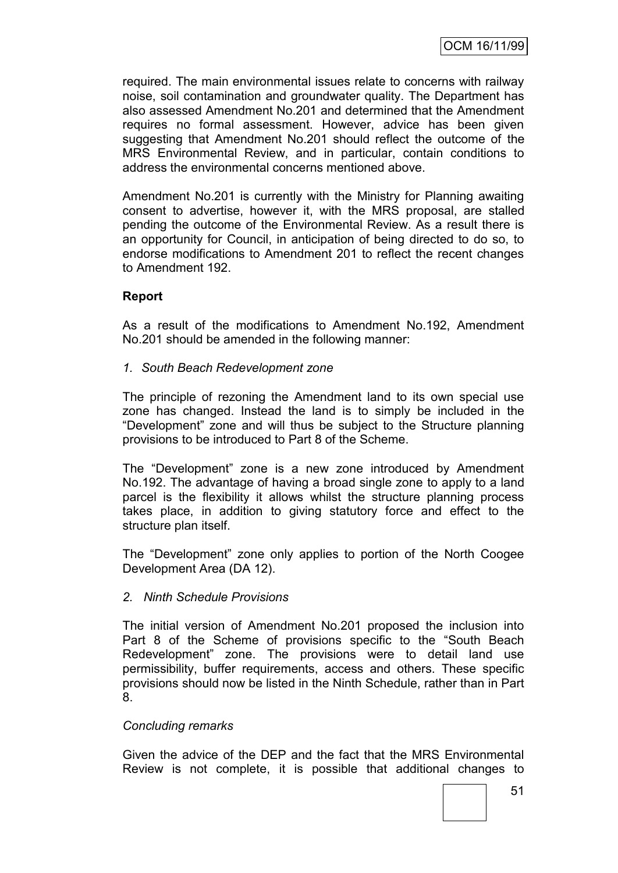required. The main environmental issues relate to concerns with railway noise, soil contamination and groundwater quality. The Department has also assessed Amendment No.201 and determined that the Amendment requires no formal assessment. However, advice has been given suggesting that Amendment No.201 should reflect the outcome of the MRS Environmental Review, and in particular, contain conditions to address the environmental concerns mentioned above.

Amendment No.201 is currently with the Ministry for Planning awaiting consent to advertise, however it, with the MRS proposal, are stalled pending the outcome of the Environmental Review. As a result there is an opportunity for Council, in anticipation of being directed to do so, to endorse modifications to Amendment 201 to reflect the recent changes to Amendment 192.

#### **Report**

As a result of the modifications to Amendment No.192, Amendment No.201 should be amended in the following manner:

*1. South Beach Redevelopment zone*

The principle of rezoning the Amendment land to its own special use zone has changed. Instead the land is to simply be included in the "Development" zone and will thus be subject to the Structure planning provisions to be introduced to Part 8 of the Scheme.

The "Development" zone is a new zone introduced by Amendment No.192. The advantage of having a broad single zone to apply to a land parcel is the flexibility it allows whilst the structure planning process takes place, in addition to giving statutory force and effect to the structure plan itself.

The "Development" zone only applies to portion of the North Coogee Development Area (DA 12).

#### *2. Ninth Schedule Provisions*

The initial version of Amendment No.201 proposed the inclusion into Part 8 of the Scheme of provisions specific to the "South Beach Redevelopment" zone. The provisions were to detail land use permissibility, buffer requirements, access and others. These specific provisions should now be listed in the Ninth Schedule, rather than in Part 8.

#### *Concluding remarks*

Given the advice of the DEP and the fact that the MRS Environmental Review is not complete, it is possible that additional changes to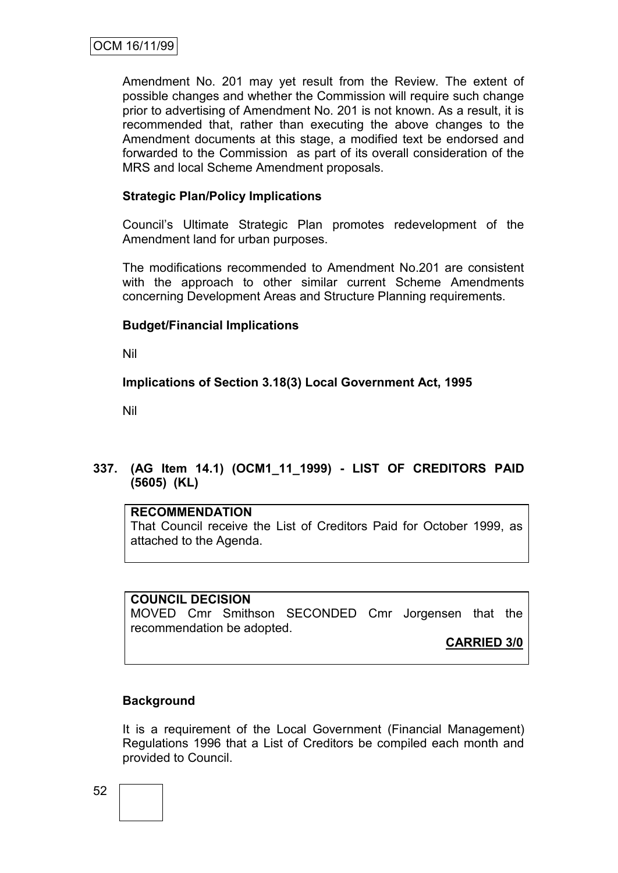Amendment No. 201 may yet result from the Review. The extent of possible changes and whether the Commission will require such change prior to advertising of Amendment No. 201 is not known. As a result, it is recommended that, rather than executing the above changes to the Amendment documents at this stage, a modified text be endorsed and forwarded to the Commission as part of its overall consideration of the MRS and local Scheme Amendment proposals.

#### **Strategic Plan/Policy Implications**

Council"s Ultimate Strategic Plan promotes redevelopment of the Amendment land for urban purposes.

The modifications recommended to Amendment No.201 are consistent with the approach to other similar current Scheme Amendments concerning Development Areas and Structure Planning requirements.

#### **Budget/Financial Implications**

Nil

#### **Implications of Section 3.18(3) Local Government Act, 1995**

Nil

## **337. (AG Item 14.1) (OCM1\_11\_1999) - LIST OF CREDITORS PAID (5605) (KL)**

#### **RECOMMENDATION**

That Council receive the List of Creditors Paid for October 1999, as attached to the Agenda.

#### **COUNCIL DECISION**

MOVED Cmr Smithson SECONDED Cmr Jorgensen that the recommendation be adopted.

**CARRIED 3/0**

#### **Background**

It is a requirement of the Local Government (Financial Management) Regulations 1996 that a List of Creditors be compiled each month and provided to Council.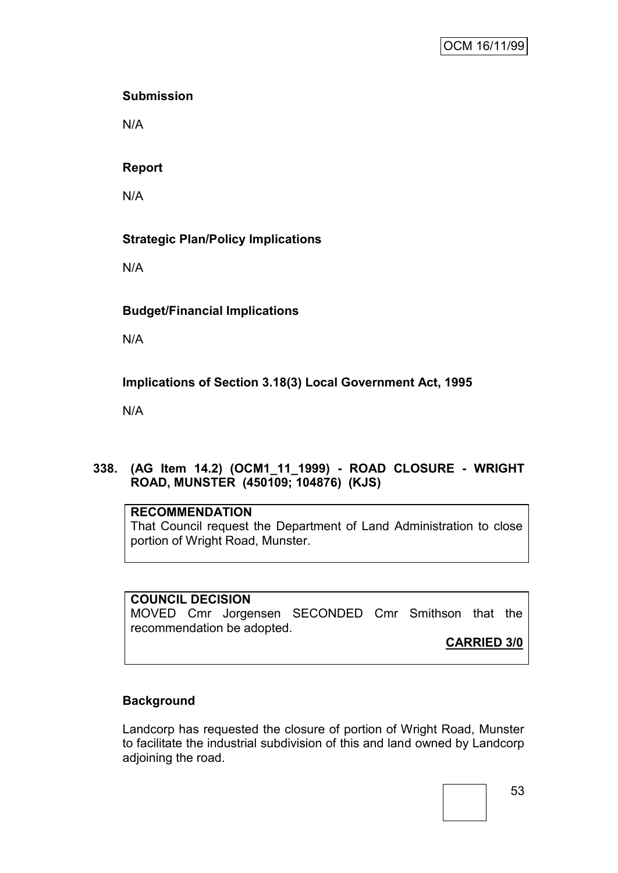#### **Submission**

N/A

#### **Report**

N/A

## **Strategic Plan/Policy Implications**

N/A

## **Budget/Financial Implications**

N/A

## **Implications of Section 3.18(3) Local Government Act, 1995**

N/A

## **338. (AG Item 14.2) (OCM1\_11\_1999) - ROAD CLOSURE - WRIGHT ROAD, MUNSTER (450109; 104876) (KJS)**

#### **RECOMMENDATION**

That Council request the Department of Land Administration to close portion of Wright Road, Munster.

#### **COUNCIL DECISION**

MOVED Cmr Jorgensen SECONDED Cmr Smithson that the recommendation be adopted.

**CARRIED 3/0**

## **Background**

Landcorp has requested the closure of portion of Wright Road, Munster to facilitate the industrial subdivision of this and land owned by Landcorp adjoining the road.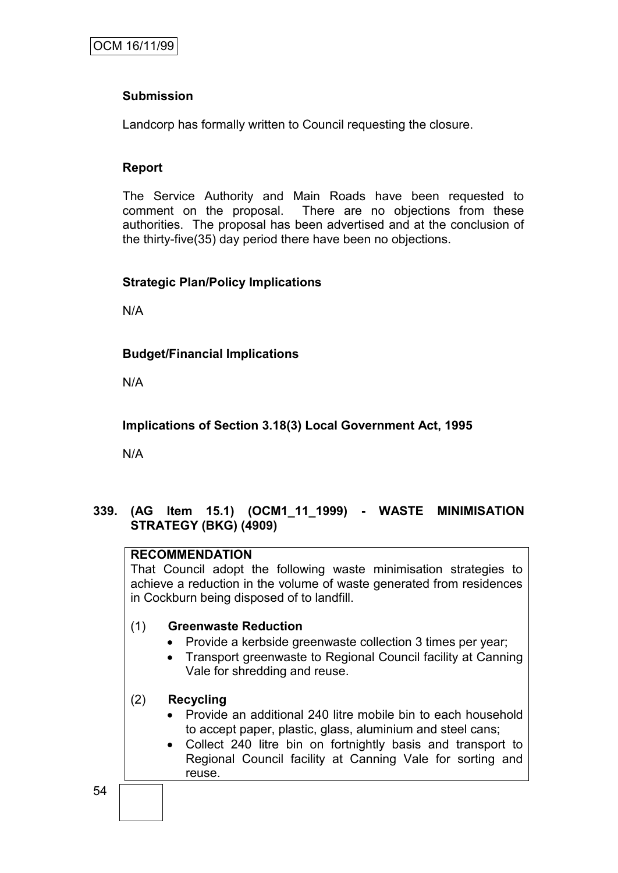#### **Submission**

Landcorp has formally written to Council requesting the closure.

#### **Report**

The Service Authority and Main Roads have been requested to comment on the proposal. There are no objections from these authorities. The proposal has been advertised and at the conclusion of the thirty-five(35) day period there have been no objections.

#### **Strategic Plan/Policy Implications**

N/A

#### **Budget/Financial Implications**

N/A

**Implications of Section 3.18(3) Local Government Act, 1995**

N/A

## **339. (AG Item 15.1) (OCM1\_11\_1999) - WASTE MINIMISATION STRATEGY (BKG) (4909)**

#### **RECOMMENDATION**

That Council adopt the following waste minimisation strategies to achieve a reduction in the volume of waste generated from residences in Cockburn being disposed of to landfill.

## (1) **Greenwaste Reduction**

- Provide a kerbside greenwaste collection 3 times per year;
- Transport greenwaste to Regional Council facility at Canning Vale for shredding and reuse.

## (2) **Recycling**

- Provide an additional 240 litre mobile bin to each household to accept paper, plastic, glass, aluminium and steel cans;
- Collect 240 litre bin on fortnightly basis and transport to Regional Council facility at Canning Vale for sorting and reuse.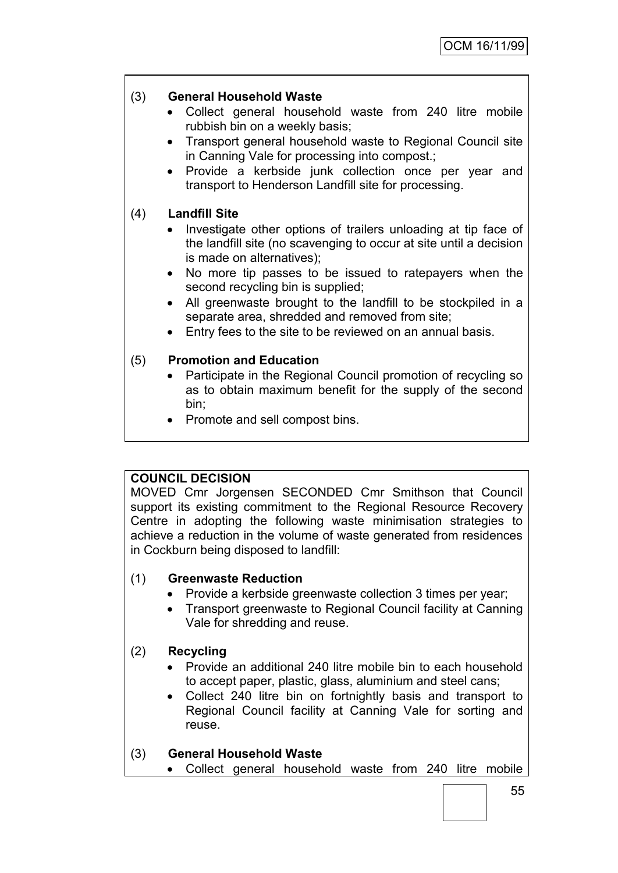#### (3) **General Household Waste**

- Collect general household waste from 240 litre mobile rubbish bin on a weekly basis;
- Transport general household waste to Regional Council site in Canning Vale for processing into compost.;
- Provide a kerbside junk collection once per year and transport to Henderson Landfill site for processing.

#### (4) **Landfill Site**

- Investigate other options of trailers unloading at tip face of the landfill site (no scavenging to occur at site until a decision is made on alternatives);
- No more tip passes to be issued to ratepayers when the second recycling bin is supplied;
- All greenwaste brought to the landfill to be stockpiled in a separate area, shredded and removed from site;
- Entry fees to the site to be reviewed on an annual basis.

#### (5) **Promotion and Education**

- Participate in the Regional Council promotion of recycling so as to obtain maximum benefit for the supply of the second bin;
- Promote and sell compost bins.

## **COUNCIL DECISION**

MOVED Cmr Jorgensen SECONDED Cmr Smithson that Council support its existing commitment to the Regional Resource Recovery Centre in adopting the following waste minimisation strategies to achieve a reduction in the volume of waste generated from residences in Cockburn being disposed to landfill:

#### (1) **Greenwaste Reduction**

- Provide a kerbside greenwaste collection 3 times per year;
- Transport greenwaste to Regional Council facility at Canning Vale for shredding and reuse.

## (2) **Recycling**

- Provide an additional 240 litre mobile bin to each household to accept paper, plastic, glass, aluminium and steel cans;
- Collect 240 litre bin on fortnightly basis and transport to Regional Council facility at Canning Vale for sorting and reuse.

## (3) **General Household Waste**

Collect general household waste from 240 litre mobile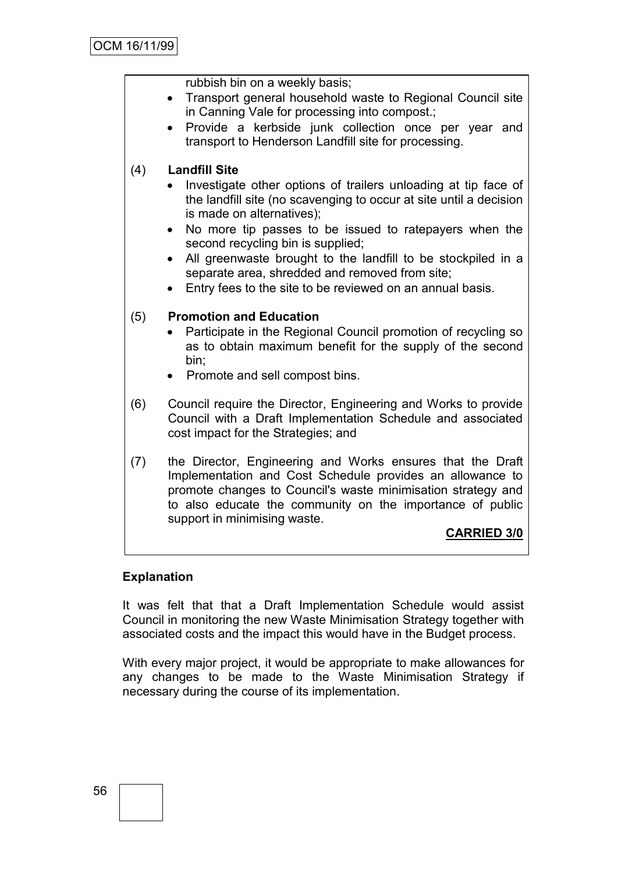rubbish bin on a weekly basis;

- Transport general household waste to Regional Council site in Canning Vale for processing into compost.;
- Provide a kerbside junk collection once per year and transport to Henderson Landfill site for processing.

## (4) **Landfill Site**

- Investigate other options of trailers unloading at tip face of the landfill site (no scavenging to occur at site until a decision is made on alternatives);
- No more tip passes to be issued to ratepayers when the second recycling bin is supplied;
- All greenwaste brought to the landfill to be stockpiled in a separate area, shredded and removed from site;
- Entry fees to the site to be reviewed on an annual basis.

## (5) **Promotion and Education**

- Participate in the Regional Council promotion of recycling so as to obtain maximum benefit for the supply of the second bin;
- Promote and sell compost bins.
- (6) Council require the Director, Engineering and Works to provide Council with a Draft Implementation Schedule and associated cost impact for the Strategies; and
- (7) the Director, Engineering and Works ensures that the Draft Implementation and Cost Schedule provides an allowance to promote changes to Council's waste minimisation strategy and to also educate the community on the importance of public support in minimising waste.

## **CARRIED 3/0**

#### **Explanation**

It was felt that that a Draft Implementation Schedule would assist Council in monitoring the new Waste Minimisation Strategy together with associated costs and the impact this would have in the Budget process.

With every major project, it would be appropriate to make allowances for any changes to be made to the Waste Minimisation Strategy if necessary during the course of its implementation.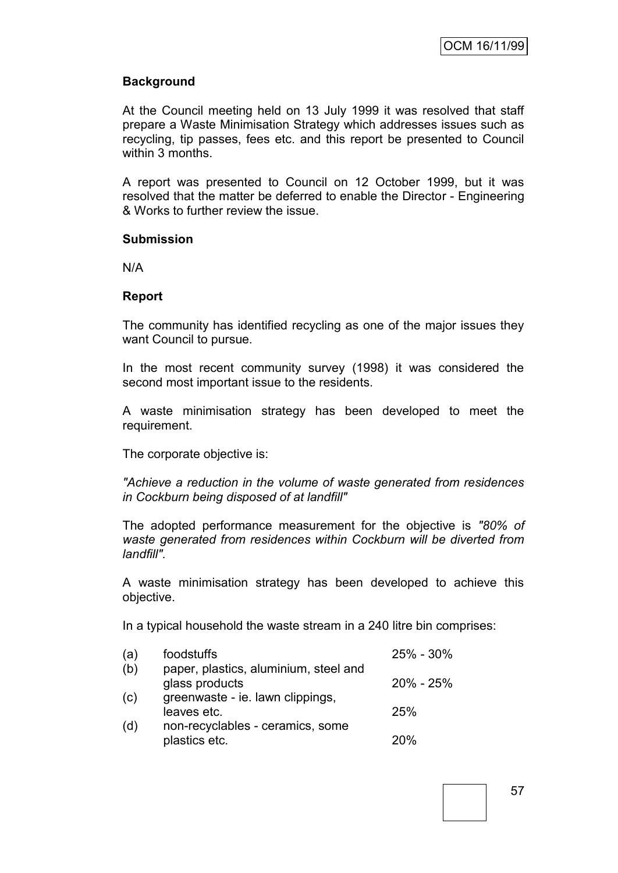#### **Background**

At the Council meeting held on 13 July 1999 it was resolved that staff prepare a Waste Minimisation Strategy which addresses issues such as recycling, tip passes, fees etc. and this report be presented to Council within 3 months.

A report was presented to Council on 12 October 1999, but it was resolved that the matter be deferred to enable the Director - Engineering & Works to further review the issue.

#### **Submission**

N/A

#### **Report**

The community has identified recycling as one of the major issues they want Council to pursue.

In the most recent community survey (1998) it was considered the second most important issue to the residents.

A waste minimisation strategy has been developed to meet the requirement.

The corporate objective is:

*"Achieve a reduction in the volume of waste generated from residences in Cockburn being disposed of at landfill"*

The adopted performance measurement for the objective is *"80% of waste generated from residences within Cockburn will be diverted from landfill".*

A waste minimisation strategy has been developed to achieve this objective.

In a typical household the waste stream in a 240 litre bin comprises:

| (a) | foodstuffs                                              | $25\% - 30\%$ |
|-----|---------------------------------------------------------|---------------|
| (b) | paper, plastics, aluminium, steel and<br>glass products | $20\% - 25\%$ |
| (c) | greenwaste - ie. lawn clippings,<br>leaves etc.         | 25%           |
| (d) | non-recyclables - ceramics, some<br>plastics etc.       | 20%           |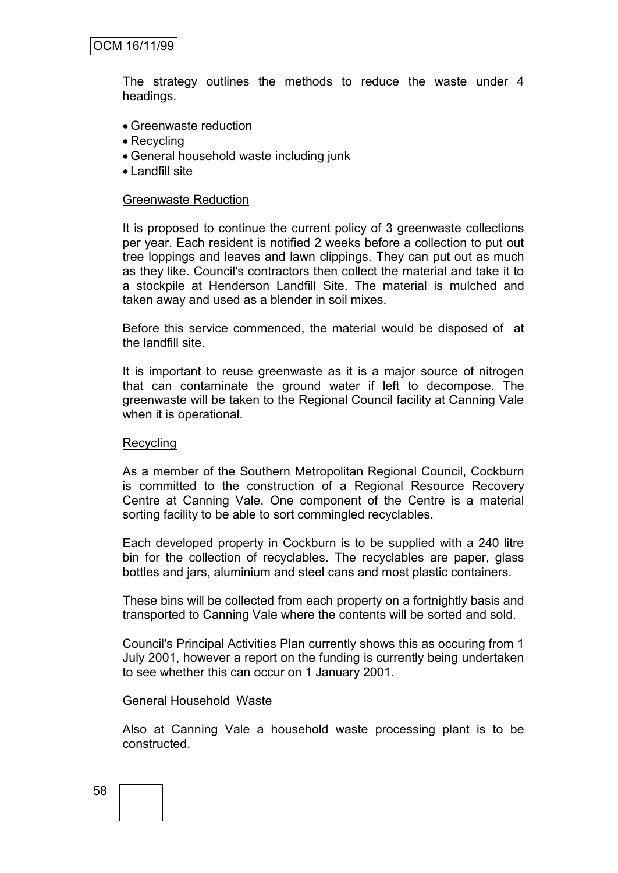The strategy outlines the methods to reduce the waste under 4 headings.

- Greenwaste reduction
- Recycling
- General household waste including junk
- Landfill site

#### Greenwaste Reduction

It is proposed to continue the current policy of 3 greenwaste collections per year. Each resident is notified 2 weeks before a collection to put out tree loppings and leaves and lawn clippings. They can put out as much as they like. Council's contractors then collect the material and take it to a stockpile at Henderson Landfill Site. The material is mulched and taken away and used as a blender in soil mixes.

Before this service commenced, the material would be disposed of at the landfill site.

It is important to reuse greenwaste as it is a major source of nitrogen that can contaminate the ground water if left to decompose. The greenwaste will be taken to the Regional Council facility at Canning Vale when it is operational.

#### Recycling

As a member of the Southern Metropolitan Regional Council, Cockburn is committed to the construction of a Regional Resource Recovery Centre at Canning Vale. One component of the Centre is a material sorting facility to be able to sort commingled recyclables.

Each developed property in Cockburn is to be supplied with a 240 litre bin for the collection of recyclables. The recyclables are paper, glass bottles and jars, aluminium and steel cans and most plastic containers.

These bins will be collected from each property on a fortnightly basis and transported to Canning Vale where the contents will be sorted and sold.

Council's Principal Activities Plan currently shows this as occuring from 1 July 2001, however a report on the funding is currently being undertaken to see whether this can occur on 1 January 2001.

#### General Household Waste

Also at Canning Vale a household waste processing plant is to be constructed.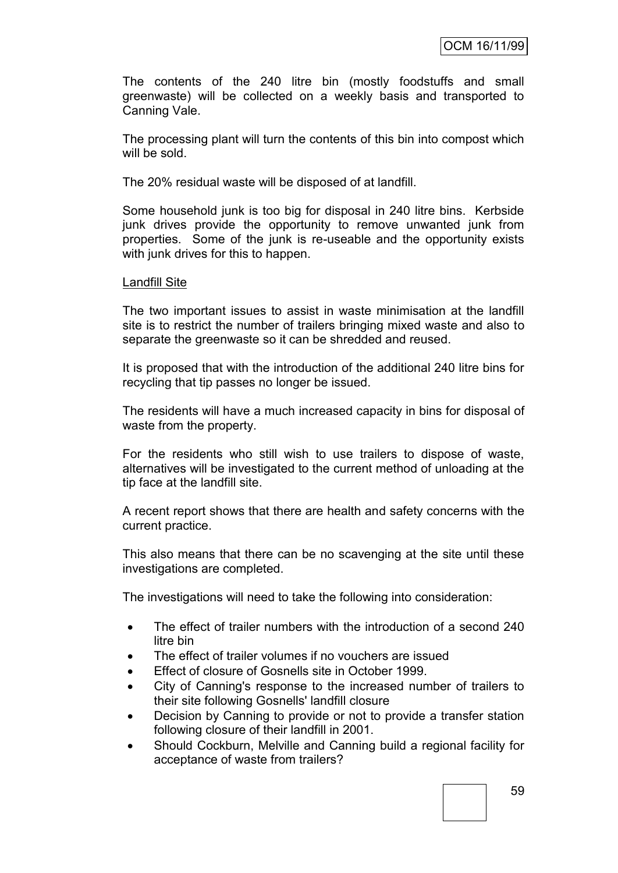The contents of the 240 litre bin (mostly foodstuffs and small greenwaste) will be collected on a weekly basis and transported to Canning Vale.

The processing plant will turn the contents of this bin into compost which will be sold.

The 20% residual waste will be disposed of at landfill.

Some household junk is too big for disposal in 240 litre bins. Kerbside junk drives provide the opportunity to remove unwanted junk from properties. Some of the junk is re-useable and the opportunity exists with junk drives for this to happen.

#### Landfill Site

The two important issues to assist in waste minimisation at the landfill site is to restrict the number of trailers bringing mixed waste and also to separate the greenwaste so it can be shredded and reused.

It is proposed that with the introduction of the additional 240 litre bins for recycling that tip passes no longer be issued.

The residents will have a much increased capacity in bins for disposal of waste from the property.

For the residents who still wish to use trailers to dispose of waste, alternatives will be investigated to the current method of unloading at the tip face at the landfill site.

A recent report shows that there are health and safety concerns with the current practice.

This also means that there can be no scavenging at the site until these investigations are completed.

The investigations will need to take the following into consideration:

- The effect of trailer numbers with the introduction of a second 240 litre bin
- The effect of trailer volumes if no vouchers are issued
- Effect of closure of Gosnells site in October 1999.
- City of Canning's response to the increased number of trailers to their site following Gosnells' landfill closure
- Decision by Canning to provide or not to provide a transfer station following closure of their landfill in 2001.
- Should Cockburn, Melville and Canning build a regional facility for acceptance of waste from trailers?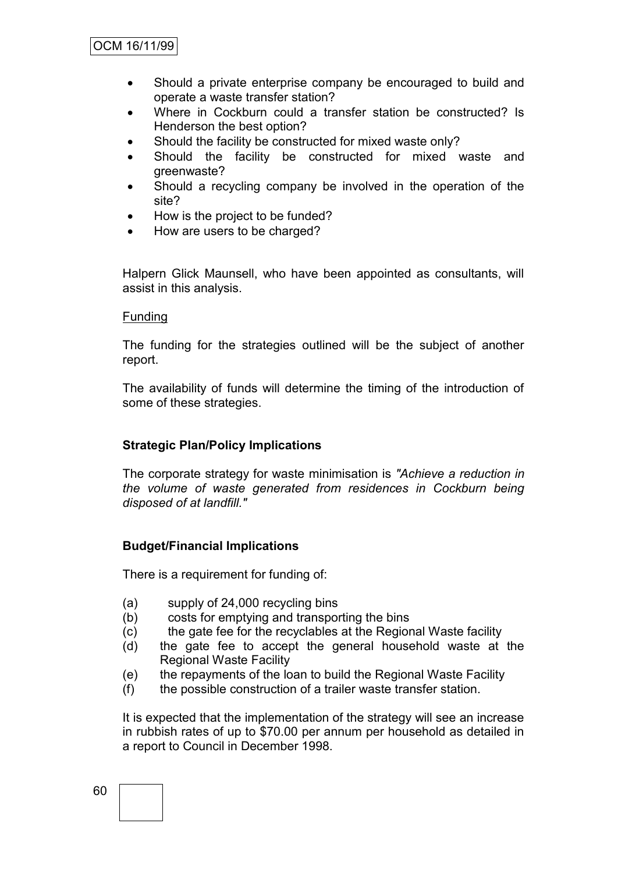- Should a private enterprise company be encouraged to build and operate a waste transfer station?
- Where in Cockburn could a transfer station be constructed? Is Henderson the best option?
- Should the facility be constructed for mixed waste only?
- Should the facility be constructed for mixed waste and greenwaste?
- Should a recycling company be involved in the operation of the site?
- How is the project to be funded?
- How are users to be charged?

Halpern Glick Maunsell, who have been appointed as consultants, will assist in this analysis.

#### Funding

The funding for the strategies outlined will be the subject of another report.

The availability of funds will determine the timing of the introduction of some of these strategies.

#### **Strategic Plan/Policy Implications**

The corporate strategy for waste minimisation is *"Achieve a reduction in the volume of waste generated from residences in Cockburn being disposed of at landfill."*

#### **Budget/Financial Implications**

There is a requirement for funding of:

- (a) supply of 24,000 recycling bins
- (b) costs for emptying and transporting the bins
- (c) the gate fee for the recyclables at the Regional Waste facility
- (d) the gate fee to accept the general household waste at the Regional Waste Facility
- (e) the repayments of the loan to build the Regional Waste Facility
- (f) the possible construction of a trailer waste transfer station.

It is expected that the implementation of the strategy will see an increase in rubbish rates of up to \$70.00 per annum per household as detailed in a report to Council in December 1998.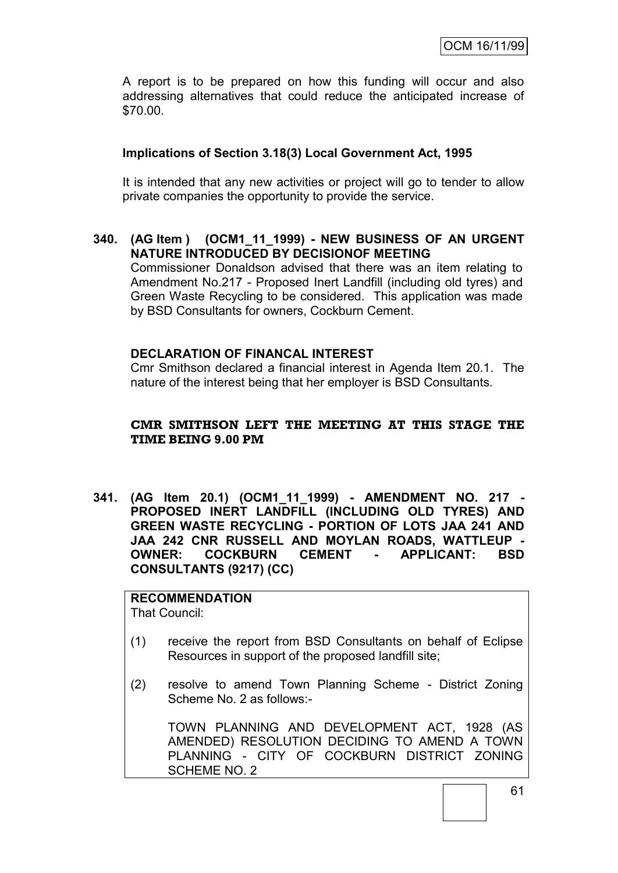A report is to be prepared on how this funding will occur and also addressing alternatives that could reduce the anticipated increase of \$70.00.

#### **Implications of Section 3.18(3) Local Government Act, 1995**

It is intended that any new activities or project will go to tender to allow private companies the opportunity to provide the service.

#### **340. (AG Item ) (OCM1\_11\_1999) - NEW BUSINESS OF AN URGENT NATURE INTRODUCED BY DECISIONOF MEETING**

Commissioner Donaldson advised that there was an item relating to Amendment No.217 - Proposed Inert Landfill (including old tyres) and Green Waste Recycling to be considered. This application was made by BSD Consultants for owners, Cockburn Cement.

#### **DECLARATION OF FINANCAL INTEREST**

Cmr Smithson declared a financial interest in Agenda Item 20.1. The nature of the interest being that her employer is BSD Consultants.

#### **CMR SMITHSON LEFT THE MEETING AT THIS STAGE THE TIME BEING 9.00 PM**

**341. (AG Item 20.1) (OCM1\_11\_1999) - AMENDMENT NO. 217 - PROPOSED INERT LANDFILL (INCLUDING OLD TYRES) AND GREEN WASTE RECYCLING - PORTION OF LOTS JAA 241 AND JAA 242 CNR RUSSELL AND MOYLAN ROADS, WATTLEUP - OWNER: COCKBURN CEMENT - APPLICANT: BSD CONSULTANTS (9217) (CC)**

## **RECOMMENDATION**

That Council:

- (1) receive the report from BSD Consultants on behalf of Eclipse Resources in support of the proposed landfill site;
- (2) resolve to amend Town Planning Scheme District Zoning Scheme No. 2 as follows:-

TOWN PLANNING AND DEVELOPMENT ACT, 1928 (AS AMENDED) RESOLUTION DECIDING TO AMEND A TOWN PLANNING - CITY OF COCKBURN DISTRICT ZONING SCHEME NO. 2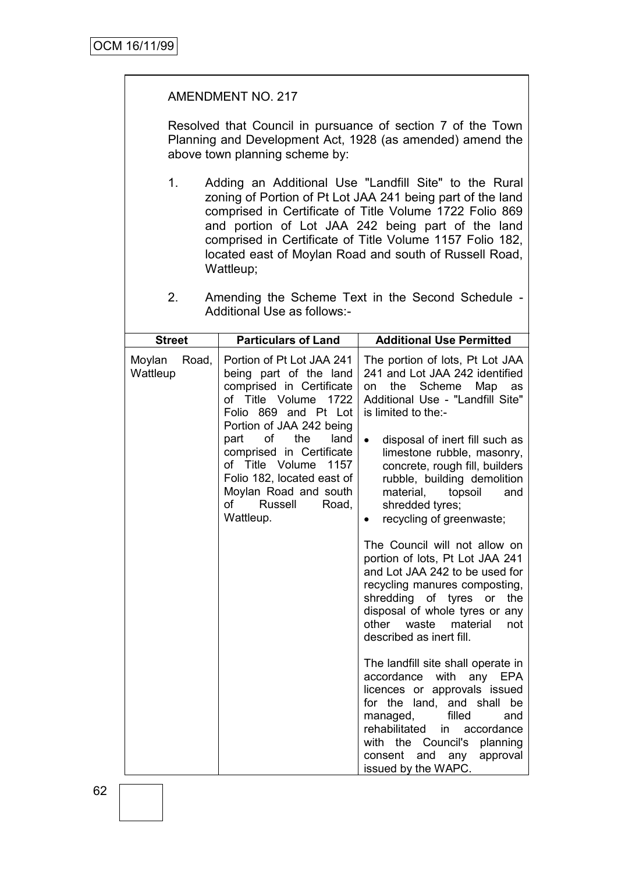#### AMENDMENT NO. 217

Resolved that Council in pursuance of section 7 of the Town Planning and Development Act, 1928 (as amended) amend the above town planning scheme by:

1. Adding an Additional Use "Landfill Site" to the Rural zoning of Portion of Pt Lot JAA 241 being part of the land comprised in Certificate of Title Volume 1722 Folio 869 and portion of Lot JAA 242 being part of the land comprised in Certificate of Title Volume 1157 Folio 182, located east of Moylan Road and south of Russell Road, Wattleup;

| Amending the Scheme Text in the Second Schedule - |  |  |  |  |
|---------------------------------------------------|--|--|--|--|
| Additional Use as follows:-                       |  |  |  |  |

| <b>Street</b>               | <b>Particulars of Land</b>                                                                                                                                                                                                                                                                                                                 | <b>Additional Use Permitted</b>                                                                                                                                                                                                                                                                                                                                                                                                 |
|-----------------------------|--------------------------------------------------------------------------------------------------------------------------------------------------------------------------------------------------------------------------------------------------------------------------------------------------------------------------------------------|---------------------------------------------------------------------------------------------------------------------------------------------------------------------------------------------------------------------------------------------------------------------------------------------------------------------------------------------------------------------------------------------------------------------------------|
| Moylan<br>Road,<br>Wattleup | Portion of Pt Lot JAA 241<br>being part of the land<br>comprised in Certificate<br>of Title Volume 1722<br>Folio 869 and Pt Lot<br>Portion of JAA 242 being<br>of the<br>land<br>part<br>comprised in Certificate<br>of Title Volume<br>1157<br>Folio 182, located east of<br>Moylan Road and south<br>of<br>Russell<br>Road,<br>Wattleup. | The portion of lots, Pt Lot JAA<br>241 and Lot JAA 242 identified<br>the<br>Scheme<br>Map<br>as<br>on<br>Additional Use - "Landfill Site"<br>is limited to the:-<br>disposal of inert fill such as<br>$\bullet$<br>limestone rubble, masonry,<br>concrete, rough fill, builders<br>rubble, building demolition<br>material, topsoil<br>and<br>shredded tyres;<br>recycling of greenwaste;<br>٠<br>The Council will not allow on |
|                             |                                                                                                                                                                                                                                                                                                                                            | portion of lots, Pt Lot JAA 241<br>and Lot JAA 242 to be used for<br>recycling manures composting,<br>shredding of tyres or<br>the<br>disposal of whole tyres or any<br>other waste<br>material<br>not<br>described as inert fill.                                                                                                                                                                                              |
|                             |                                                                                                                                                                                                                                                                                                                                            | The landfill site shall operate in<br>with<br>accordance<br>any<br><b>EPA</b><br>licences or approvals issued<br>for the land, and shall be<br>filled<br>managed,<br>and<br>rehabilitated<br>in<br>accordance<br>the Council's<br>with<br>planning<br>approval<br>consent<br>and<br>any<br>issued by the WAPC.                                                                                                                  |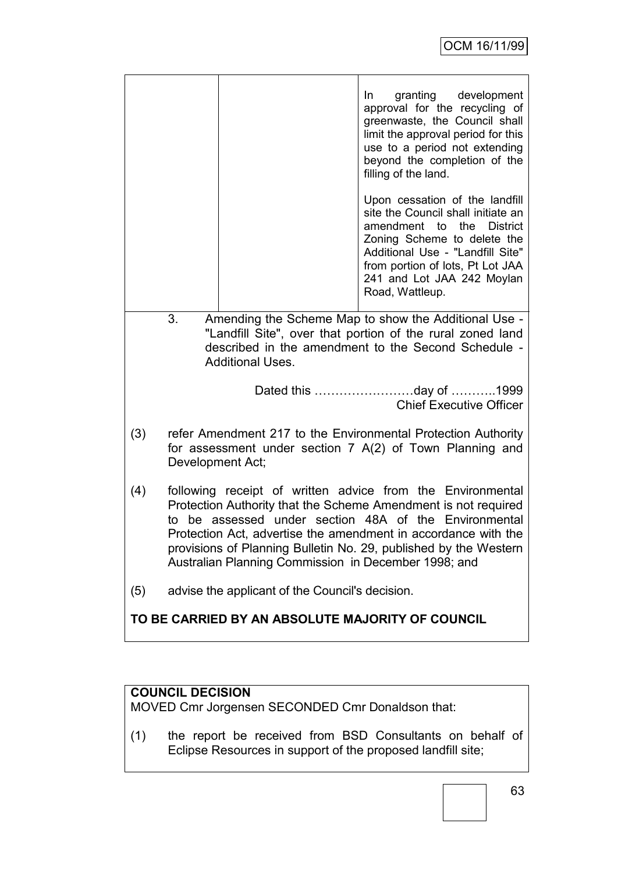|                                                                                                                                                                                                            |                                                                                                                                                                                                                                                                                                                                                                                     | granting development<br>In In<br>approval for the recycling of<br>greenwaste, the Council shall<br>limit the approval period for this<br>use to a period not extending<br>beyond the completion of the<br>filling of the land.                            |  |  |
|------------------------------------------------------------------------------------------------------------------------------------------------------------------------------------------------------------|-------------------------------------------------------------------------------------------------------------------------------------------------------------------------------------------------------------------------------------------------------------------------------------------------------------------------------------------------------------------------------------|-----------------------------------------------------------------------------------------------------------------------------------------------------------------------------------------------------------------------------------------------------------|--|--|
|                                                                                                                                                                                                            |                                                                                                                                                                                                                                                                                                                                                                                     | Upon cessation of the landfill<br>site the Council shall initiate an<br>amendment to the District<br>Zoning Scheme to delete the<br>Additional Use - "Landfill Site"<br>from portion of lots, Pt Lot JAA<br>241 and Lot JAA 242 Moylan<br>Road, Wattleup. |  |  |
| Amending the Scheme Map to show the Additional Use -<br>3.<br>"Landfill Site", over that portion of the rural zoned land<br>described in the amendment to the Second Schedule -<br><b>Additional Uses.</b> |                                                                                                                                                                                                                                                                                                                                                                                     |                                                                                                                                                                                                                                                           |  |  |
|                                                                                                                                                                                                            |                                                                                                                                                                                                                                                                                                                                                                                     | Dated this day of 1999<br><b>Chief Executive Officer</b>                                                                                                                                                                                                  |  |  |
| (3)                                                                                                                                                                                                        | refer Amendment 217 to the Environmental Protection Authority<br>for assessment under section 7 A(2) of Town Planning and<br>Development Act;                                                                                                                                                                                                                                       |                                                                                                                                                                                                                                                           |  |  |
| (4)                                                                                                                                                                                                        | following receipt of written advice from the Environmental<br>Protection Authority that the Scheme Amendment is not required<br>to be assessed under section 48A of the Environmental<br>Protection Act, advertise the amendment in accordance with the<br>provisions of Planning Bulletin No. 29, published by the Western<br>Australian Planning Commission in December 1998; and |                                                                                                                                                                                                                                                           |  |  |
| (5)                                                                                                                                                                                                        | advise the applicant of the Council's decision.                                                                                                                                                                                                                                                                                                                                     |                                                                                                                                                                                                                                                           |  |  |
| TO BE CARRIED BY AN ABSOLUTE MAJORITY OF COUNCIL                                                                                                                                                           |                                                                                                                                                                                                                                                                                                                                                                                     |                                                                                                                                                                                                                                                           |  |  |

## **COUNCIL DECISION**

MOVED Cmr Jorgensen SECONDED Cmr Donaldson that:

(1) the report be received from BSD Consultants on behalf of Eclipse Resources in support of the proposed landfill site;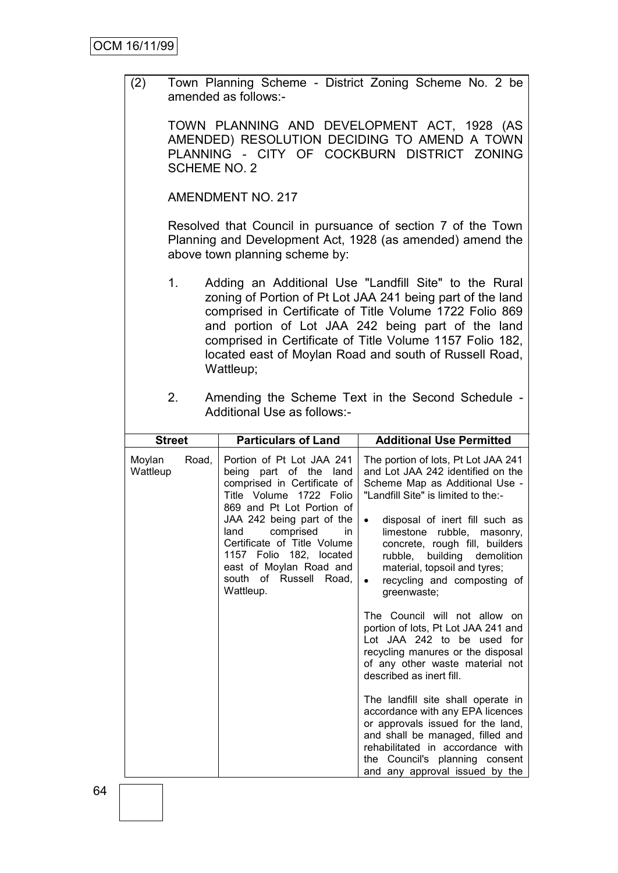(2) Town Planning Scheme - District Zoning Scheme No. 2 be amended as follows:-

TOWN PLANNING AND DEVELOPMENT ACT, 1928 (AS AMENDED) RESOLUTION DECIDING TO AMEND A TOWN PLANNING - CITY OF COCKBURN DISTRICT ZONING SCHEME NO. 2

AMENDMENT NO. 217

Resolved that Council in pursuance of section 7 of the Town Planning and Development Act, 1928 (as amended) amend the above town planning scheme by:

- 1. Adding an Additional Use "Landfill Site" to the Rural zoning of Portion of Pt Lot JAA 241 being part of the land comprised in Certificate of Title Volume 1722 Folio 869 and portion of Lot JAA 242 being part of the land comprised in Certificate of Title Volume 1157 Folio 182, located east of Moylan Road and south of Russell Road, Wattleup;
- 2. Amending the Scheme Text in the Second Schedule Additional Use as follows:-

| <b>Street</b>               | <b>Particulars of Land</b>                                                                                                                                                                                                                                                                                                     | <b>Additional Use Permitted</b>                                                                                                                                                                                                                                                                                                                                                                                                                                                                                                                                                                                                                                                                                                                                                                                                                                       |
|-----------------------------|--------------------------------------------------------------------------------------------------------------------------------------------------------------------------------------------------------------------------------------------------------------------------------------------------------------------------------|-----------------------------------------------------------------------------------------------------------------------------------------------------------------------------------------------------------------------------------------------------------------------------------------------------------------------------------------------------------------------------------------------------------------------------------------------------------------------------------------------------------------------------------------------------------------------------------------------------------------------------------------------------------------------------------------------------------------------------------------------------------------------------------------------------------------------------------------------------------------------|
| Moylan<br>Road,<br>Wattleup | Portion of Pt Lot JAA 241<br>being part of the land<br>comprised in Certificate of<br>Title Volume 1722 Folio<br>869 and Pt Lot Portion of<br>JAA 242 being part of the<br>comprised<br>land<br>in<br>Certificate of Title Volume<br>1157 Folio 182, located<br>east of Moylan Road and<br>south of Russell Road.<br>Wattleup. | The portion of lots, Pt Lot JAA 241<br>and Lot JAA 242 identified on the<br>Scheme Map as Additional Use -<br>"Landfill Site" is limited to the:-<br>disposal of inert fill such as<br>$\bullet$<br>limestone<br>rubble,<br>masonry,<br>concrete, rough fill, builders<br>rubble, building demolition<br>material, topsoil and tyres;<br>recycling and composting of<br>$\bullet$<br>greenwaste;<br>The Council will not allow on<br>portion of lots, Pt Lot JAA 241 and<br>Lot JAA 242 to be used for<br>recycling manures or the disposal<br>of any other waste material not<br>described as inert fill.<br>The landfill site shall operate in<br>accordance with any EPA licences<br>or approvals issued for the land,<br>and shall be managed, filled and<br>rehabilitated in accordance with<br>the Council's planning consent<br>and any approval issued by the |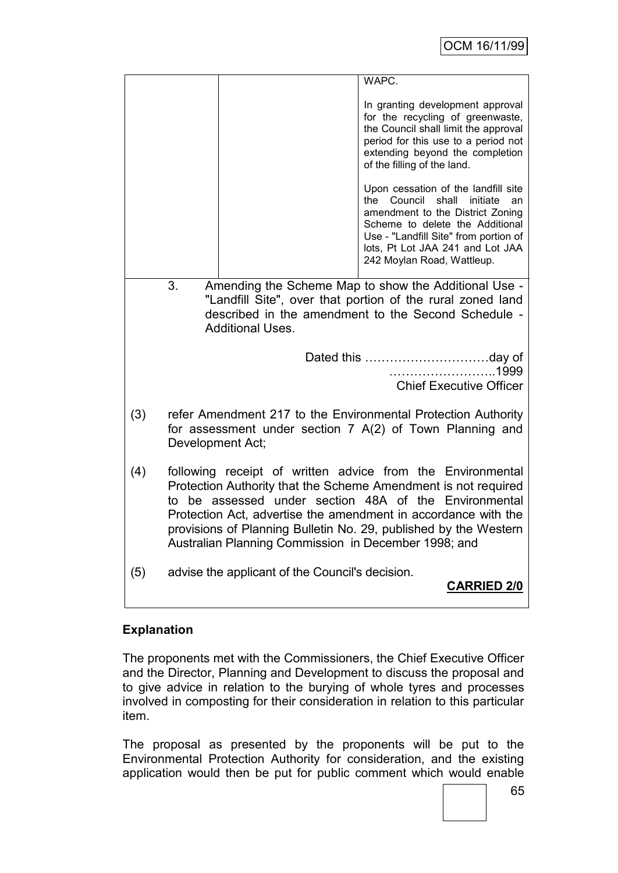|     |                                                                                                                                                                                                                                                                                                                                                                                     | WAPC.                                                                                                                                                                                                                                                           |  |  |  |
|-----|-------------------------------------------------------------------------------------------------------------------------------------------------------------------------------------------------------------------------------------------------------------------------------------------------------------------------------------------------------------------------------------|-----------------------------------------------------------------------------------------------------------------------------------------------------------------------------------------------------------------------------------------------------------------|--|--|--|
|     |                                                                                                                                                                                                                                                                                                                                                                                     | In granting development approval<br>for the recycling of greenwaste,<br>the Council shall limit the approval<br>period for this use to a period not<br>extending beyond the completion<br>of the filling of the land.                                           |  |  |  |
|     |                                                                                                                                                                                                                                                                                                                                                                                     | Upon cessation of the landfill site<br>the Council<br>initiate<br>shall<br>an<br>amendment to the District Zoning<br>Scheme to delete the Additional<br>Use - "Landfill Site" from portion of<br>lots, Pt Lot JAA 241 and Lot JAA<br>242 Moylan Road, Wattleup. |  |  |  |
|     | 3.<br>Amending the Scheme Map to show the Additional Use -                                                                                                                                                                                                                                                                                                                          |                                                                                                                                                                                                                                                                 |  |  |  |
|     |                                                                                                                                                                                                                                                                                                                                                                                     | "Landfill Site", over that portion of the rural zoned land<br>described in the amendment to the Second Schedule -                                                                                                                                               |  |  |  |
|     | <b>Additional Uses.</b>                                                                                                                                                                                                                                                                                                                                                             |                                                                                                                                                                                                                                                                 |  |  |  |
|     |                                                                                                                                                                                                                                                                                                                                                                                     |                                                                                                                                                                                                                                                                 |  |  |  |
|     |                                                                                                                                                                                                                                                                                                                                                                                     | <b>Chief Executive Officer</b>                                                                                                                                                                                                                                  |  |  |  |
| (3) | refer Amendment 217 to the Environmental Protection Authority<br>for assessment under section 7 A(2) of Town Planning and<br>Development Act;                                                                                                                                                                                                                                       |                                                                                                                                                                                                                                                                 |  |  |  |
| (4) | following receipt of written advice from the Environmental<br>Protection Authority that the Scheme Amendment is not required<br>to be assessed under section 48A of the Environmental<br>Protection Act, advertise the amendment in accordance with the<br>provisions of Planning Bulletin No. 29, published by the Western<br>Australian Planning Commission in December 1998; and |                                                                                                                                                                                                                                                                 |  |  |  |
| (5) | advise the applicant of the Council's decision.                                                                                                                                                                                                                                                                                                                                     | <b>CARRIED 2/0</b>                                                                                                                                                                                                                                              |  |  |  |

## **Explanation**

The proponents met with the Commissioners, the Chief Executive Officer and the Director, Planning and Development to discuss the proposal and to give advice in relation to the burying of whole tyres and processes involved in composting for their consideration in relation to this particular item.

The proposal as presented by the proponents will be put to the Environmental Protection Authority for consideration, and the existing application would then be put for public comment which would enable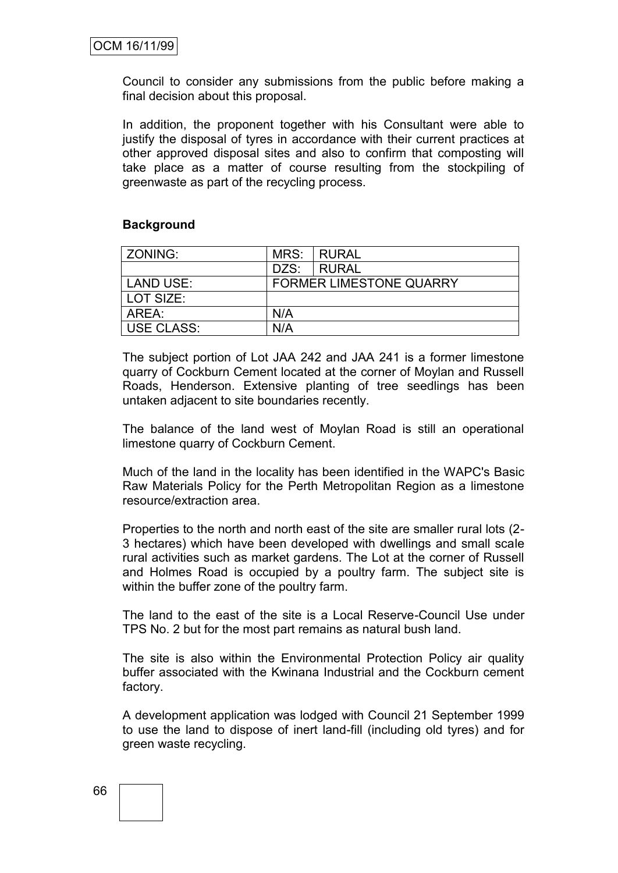Council to consider any submissions from the public before making a final decision about this proposal.

In addition, the proponent together with his Consultant were able to justify the disposal of tyres in accordance with their current practices at other approved disposal sites and also to confirm that composting will take place as a matter of course resulting from the stockpiling of greenwaste as part of the recycling process.

#### **Background**

| <b>ZONING:</b>    |                                | MRS: RURAL   |
|-------------------|--------------------------------|--------------|
|                   | DZS:                           | <b>RURAL</b> |
| LAND USE:         | <b>FORMER LIMESTONE QUARRY</b> |              |
| l LOT SIZE:       |                                |              |
| AREA:             | N/A                            |              |
| <b>USE CLASS:</b> | N/A                            |              |

The subject portion of Lot JAA 242 and JAA 241 is a former limestone quarry of Cockburn Cement located at the corner of Moylan and Russell Roads, Henderson. Extensive planting of tree seedlings has been untaken adjacent to site boundaries recently.

The balance of the land west of Moylan Road is still an operational limestone quarry of Cockburn Cement.

Much of the land in the locality has been identified in the WAPC's Basic Raw Materials Policy for the Perth Metropolitan Region as a limestone resource/extraction area.

Properties to the north and north east of the site are smaller rural lots (2- 3 hectares) which have been developed with dwellings and small scale rural activities such as market gardens. The Lot at the corner of Russell and Holmes Road is occupied by a poultry farm. The subject site is within the buffer zone of the poultry farm.

The land to the east of the site is a Local Reserve-Council Use under TPS No. 2 but for the most part remains as natural bush land.

The site is also within the Environmental Protection Policy air quality buffer associated with the Kwinana Industrial and the Cockburn cement factory.

A development application was lodged with Council 21 September 1999 to use the land to dispose of inert land-fill (including old tyres) and for green waste recycling.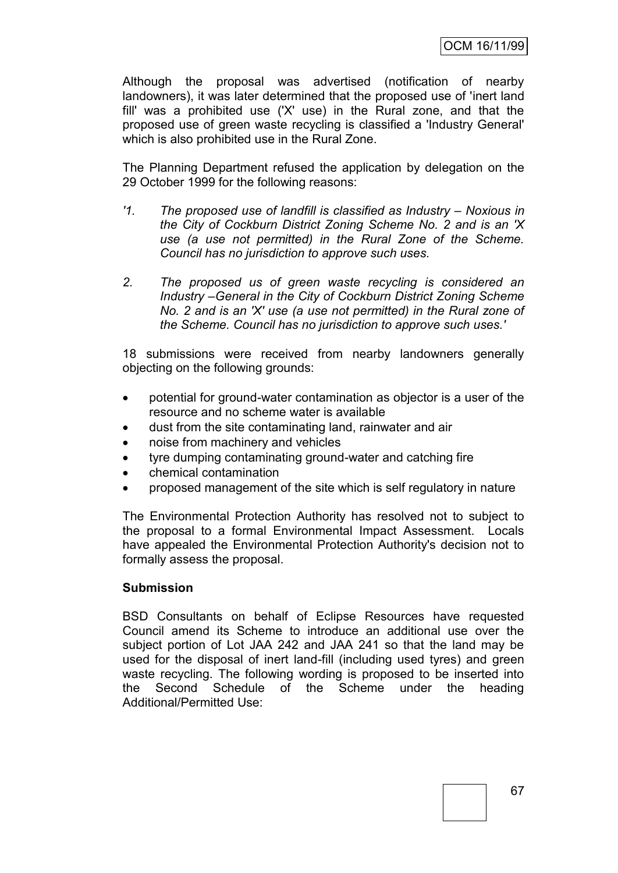Although the proposal was advertised (notification of nearby landowners), it was later determined that the proposed use of 'inert land fill' was a prohibited use ('X' use) in the Rural zone, and that the proposed use of green waste recycling is classified a 'Industry General' which is also prohibited use in the Rural Zone.

The Planning Department refused the application by delegation on the 29 October 1999 for the following reasons:

- *'1.* The proposed use of landfill is classified as Industry Noxious in *the City of Cockburn District Zoning Scheme No. 2 and is an 'X use (a use not permitted) in the Rural Zone of the Scheme. Council has no jurisdiction to approve such uses.*
- *2. The proposed us of green waste recycling is considered an Industry –General in the City of Cockburn District Zoning Scheme No. 2 and is an 'X' use (a use not permitted) in the Rural zone of the Scheme. Council has no jurisdiction to approve such uses.'*

18 submissions were received from nearby landowners generally objecting on the following grounds:

- potential for ground-water contamination as objector is a user of the resource and no scheme water is available
- dust from the site contaminating land, rainwater and air
- noise from machinery and vehicles
- tyre dumping contaminating ground-water and catching fire
- chemical contamination
- proposed management of the site which is self regulatory in nature

The Environmental Protection Authority has resolved not to subject to the proposal to a formal Environmental Impact Assessment. Locals have appealed the Environmental Protection Authority's decision not to formally assess the proposal.

#### **Submission**

BSD Consultants on behalf of Eclipse Resources have requested Council amend its Scheme to introduce an additional use over the subject portion of Lot JAA 242 and JAA 241 so that the land may be used for the disposal of inert land-fill (including used tyres) and green waste recycling. The following wording is proposed to be inserted into the Second Schedule of the Scheme under the heading Additional/Permitted Use: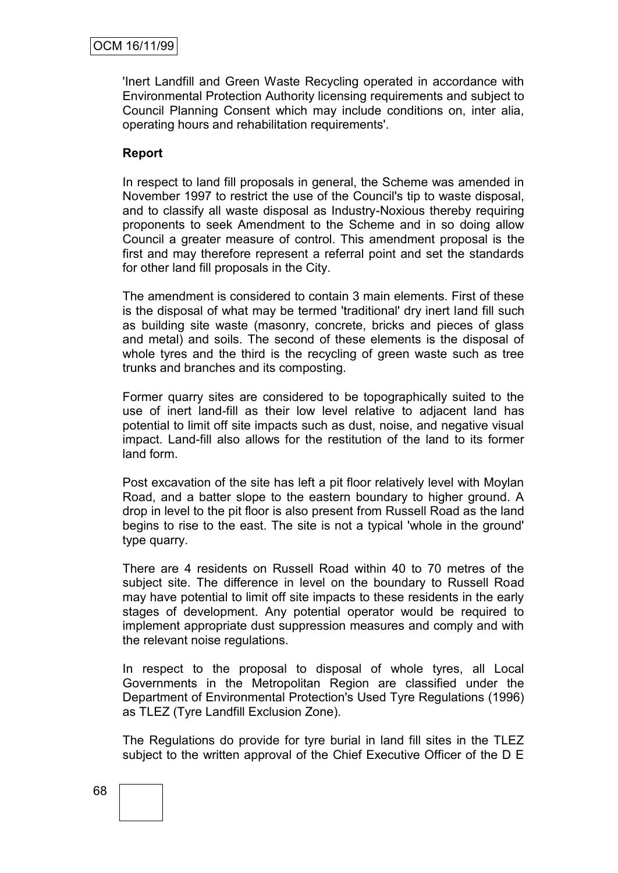'Inert Landfill and Green Waste Recycling operated in accordance with Environmental Protection Authority licensing requirements and subject to Council Planning Consent which may include conditions on, inter alia, operating hours and rehabilitation requirements'.

#### **Report**

In respect to land fill proposals in general, the Scheme was amended in November 1997 to restrict the use of the Council's tip to waste disposal, and to classify all waste disposal as Industry-Noxious thereby requiring proponents to seek Amendment to the Scheme and in so doing allow Council a greater measure of control. This amendment proposal is the first and may therefore represent a referral point and set the standards for other land fill proposals in the City.

The amendment is considered to contain 3 main elements. First of these is the disposal of what may be termed 'traditional' dry inert land fill such as building site waste (masonry, concrete, bricks and pieces of glass and metal) and soils. The second of these elements is the disposal of whole tyres and the third is the recycling of green waste such as tree trunks and branches and its composting.

Former quarry sites are considered to be topographically suited to the use of inert land-fill as their low level relative to adjacent land has potential to limit off site impacts such as dust, noise, and negative visual impact. Land-fill also allows for the restitution of the land to its former land form.

Post excavation of the site has left a pit floor relatively level with Moylan Road, and a batter slope to the eastern boundary to higher ground. A drop in level to the pit floor is also present from Russell Road as the land begins to rise to the east. The site is not a typical 'whole in the ground' type quarry.

There are 4 residents on Russell Road within 40 to 70 metres of the subject site. The difference in level on the boundary to Russell Road may have potential to limit off site impacts to these residents in the early stages of development. Any potential operator would be required to implement appropriate dust suppression measures and comply and with the relevant noise regulations.

In respect to the proposal to disposal of whole tyres, all Local Governments in the Metropolitan Region are classified under the Department of Environmental Protection's Used Tyre Regulations (1996) as TLEZ (Tyre Landfill Exclusion Zone).

The Regulations do provide for tyre burial in land fill sites in the TLEZ subject to the written approval of the Chief Executive Officer of the D E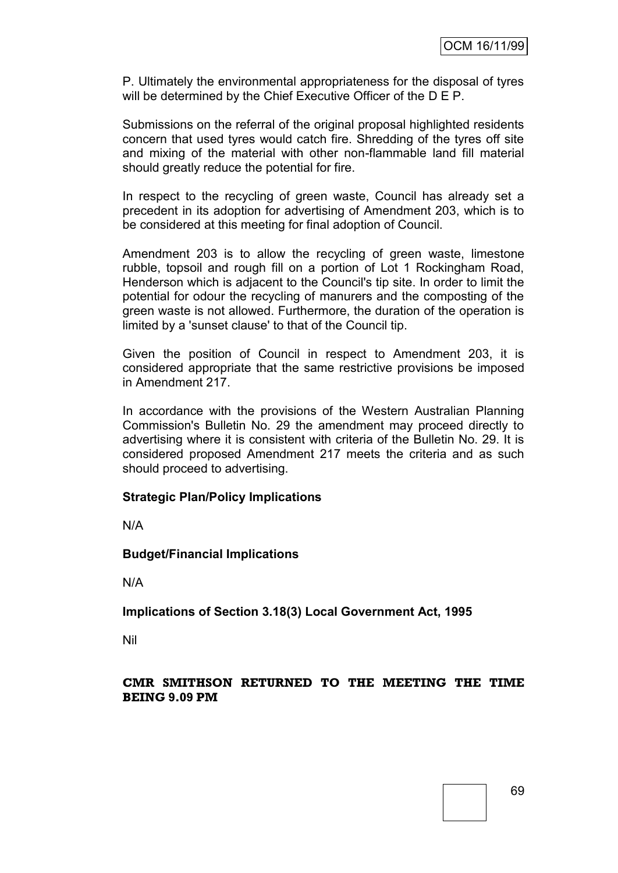P. Ultimately the environmental appropriateness for the disposal of tyres will be determined by the Chief Executive Officer of the D E P.

Submissions on the referral of the original proposal highlighted residents concern that used tyres would catch fire. Shredding of the tyres off site and mixing of the material with other non-flammable land fill material should greatly reduce the potential for fire.

In respect to the recycling of green waste, Council has already set a precedent in its adoption for advertising of Amendment 203, which is to be considered at this meeting for final adoption of Council.

Amendment 203 is to allow the recycling of green waste, limestone rubble, topsoil and rough fill on a portion of Lot 1 Rockingham Road, Henderson which is adjacent to the Council's tip site. In order to limit the potential for odour the recycling of manurers and the composting of the green waste is not allowed. Furthermore, the duration of the operation is limited by a 'sunset clause' to that of the Council tip.

Given the position of Council in respect to Amendment 203, it is considered appropriate that the same restrictive provisions be imposed in Amendment 217.

In accordance with the provisions of the Western Australian Planning Commission's Bulletin No. 29 the amendment may proceed directly to advertising where it is consistent with criteria of the Bulletin No. 29. It is considered proposed Amendment 217 meets the criteria and as such should proceed to advertising.

#### **Strategic Plan/Policy Implications**

N/A

#### **Budget/Financial Implications**

N/A

**Implications of Section 3.18(3) Local Government Act, 1995**

Nil

#### **CMR SMITHSON RETURNED TO THE MEETING THE TIME BEING 9.09 PM**